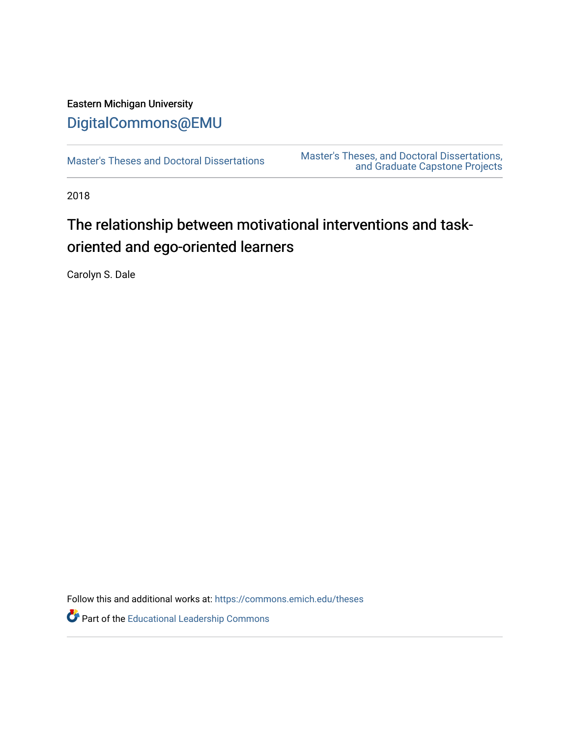# Eastern Michigan University [DigitalCommons@EMU](https://commons.emich.edu/)

[Master's Theses and Doctoral Dissertations](https://commons.emich.edu/theses) Master's Theses, and Doctoral Dissertations, [and Graduate Capstone Projects](https://commons.emich.edu/etd) 

2018

# The relationship between motivational interventions and taskoriented and ego-oriented learners

Carolyn S. Dale

Follow this and additional works at: [https://commons.emich.edu/theses](https://commons.emich.edu/theses?utm_source=commons.emich.edu%2Ftheses%2F1147&utm_medium=PDF&utm_campaign=PDFCoverPages) 

Part of the [Educational Leadership Commons](https://network.bepress.com/hgg/discipline/1230?utm_source=commons.emich.edu%2Ftheses%2F1147&utm_medium=PDF&utm_campaign=PDFCoverPages)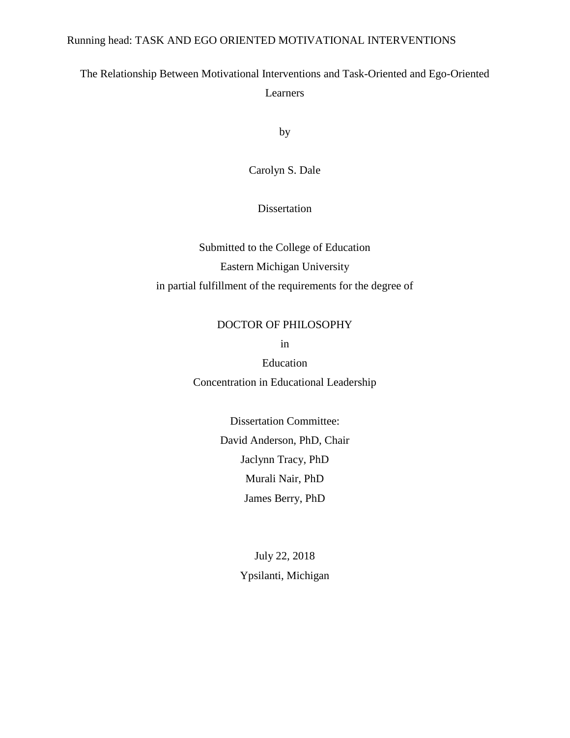## Running head: TASK AND EGO ORIENTED MOTIVATIONAL INTERVENTIONS

# The Relationship Between Motivational Interventions and Task-Oriented and Ego-Oriented Learners

by

Carolyn S. Dale

Dissertation

Submitted to the College of Education Eastern Michigan University in partial fulfillment of the requirements for the degree of

## DOCTOR OF PHILOSOPHY

in

Education Concentration in Educational Leadership

> Dissertation Committee: David Anderson, PhD, Chair Jaclynn Tracy, PhD Murali Nair, PhD James Berry, PhD

> > July 22, 2018 Ypsilanti, Michigan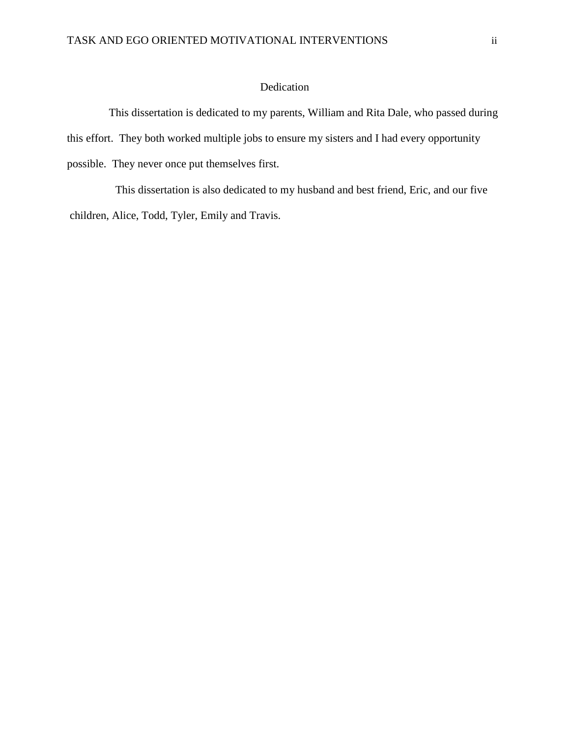## Dedication

This dissertation is dedicated to my parents, William and Rita Dale, who passed during this effort. They both worked multiple jobs to ensure my sisters and I had every opportunity possible. They never once put themselves first.

This dissertation is also dedicated to my husband and best friend, Eric, and our five children, Alice, Todd, Tyler, Emily and Travis.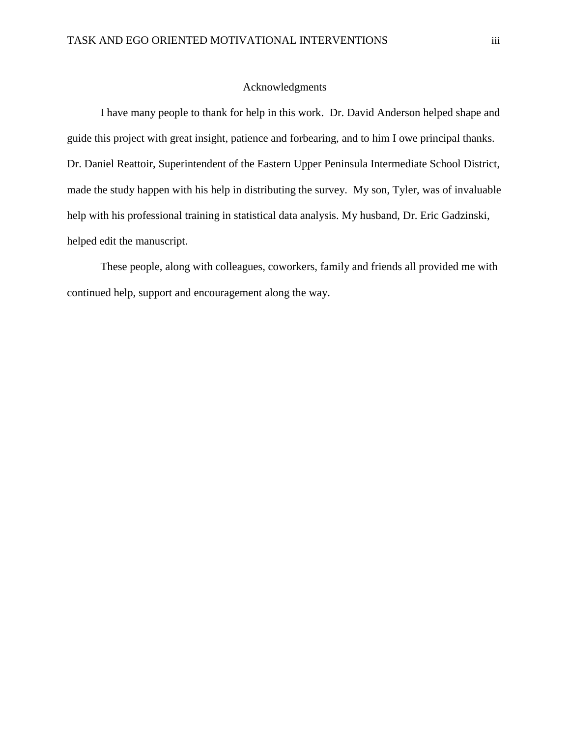## Acknowledgments

I have many people to thank for help in this work. Dr. David Anderson helped shape and guide this project with great insight, patience and forbearing, and to him I owe principal thanks. Dr. Daniel Reattoir, Superintendent of the Eastern Upper Peninsula Intermediate School District, made the study happen with his help in distributing the survey. My son, Tyler, was of invaluable help with his professional training in statistical data analysis. My husband, Dr. Eric Gadzinski, helped edit the manuscript.

These people, along with colleagues, coworkers, family and friends all provided me with continued help, support and encouragement along the way.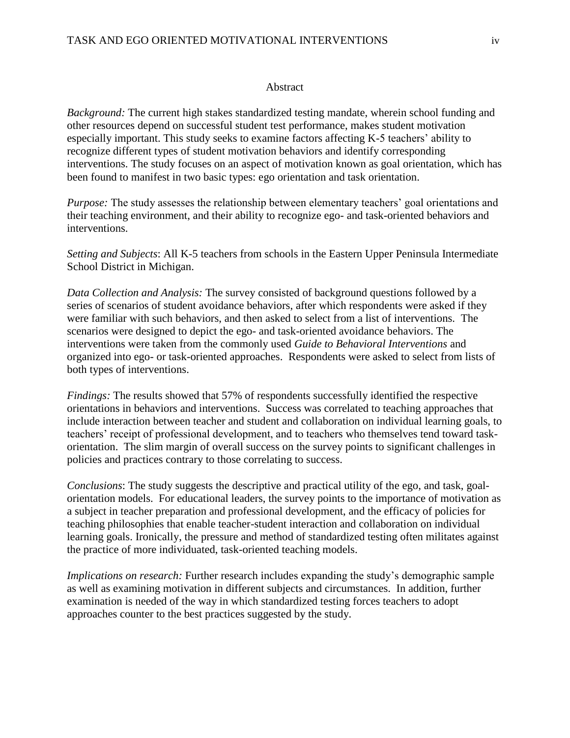#### Abstract

*Background:* The current high stakes standardized testing mandate, wherein school funding and other resources depend on successful student test performance, makes student motivation especially important. This study seeks to examine factors affecting K-5 teachers' ability to recognize different types of student motivation behaviors and identify corresponding interventions. The study focuses on an aspect of motivation known as goal orientation, which has been found to manifest in two basic types: ego orientation and task orientation.

*Purpose:* The study assesses the relationship between elementary teachers' goal orientations and their teaching environment, and their ability to recognize ego- and task-oriented behaviors and interventions.

*Setting and Subjects*: All K-5 teachers from schools in the Eastern Upper Peninsula Intermediate School District in Michigan.

*Data Collection and Analysis:* The survey consisted of background questions followed by a series of scenarios of student avoidance behaviors, after which respondents were asked if they were familiar with such behaviors, and then asked to select from a list of interventions. The scenarios were designed to depict the ego- and task-oriented avoidance behaviors. The interventions were taken from the commonly used *Guide to Behavioral Interventions* and organized into ego- or task-oriented approaches. Respondents were asked to select from lists of both types of interventions.

*Findings:* The results showed that 57% of respondents successfully identified the respective orientations in behaviors and interventions. Success was correlated to teaching approaches that include interaction between teacher and student and collaboration on individual learning goals, to teachers' receipt of professional development, and to teachers who themselves tend toward taskorientation. The slim margin of overall success on the survey points to significant challenges in policies and practices contrary to those correlating to success.

*Conclusions*: The study suggests the descriptive and practical utility of the ego, and task, goalorientation models. For educational leaders, the survey points to the importance of motivation as a subject in teacher preparation and professional development, and the efficacy of policies for teaching philosophies that enable teacher-student interaction and collaboration on individual learning goals. Ironically, the pressure and method of standardized testing often militates against the practice of more individuated, task-oriented teaching models.

*Implications on research:* Further research includes expanding the study's demographic sample as well as examining motivation in different subjects and circumstances. In addition, further examination is needed of the way in which standardized testing forces teachers to adopt approaches counter to the best practices suggested by the study.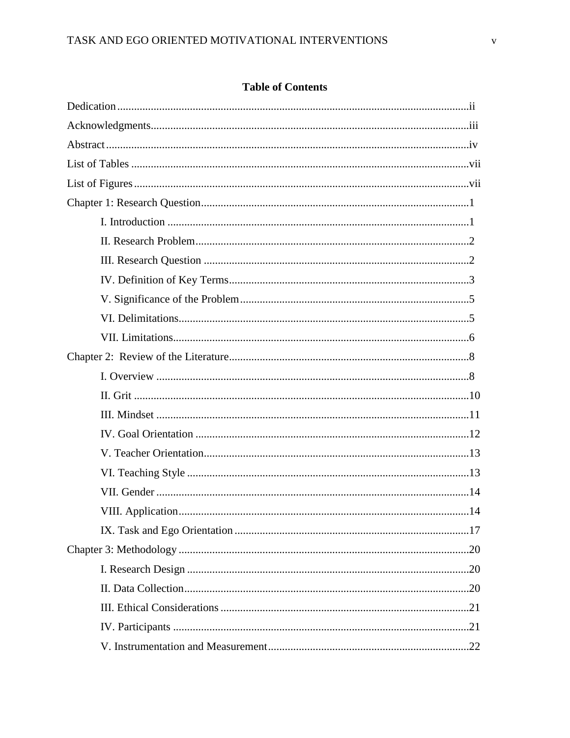## **Table of Contents**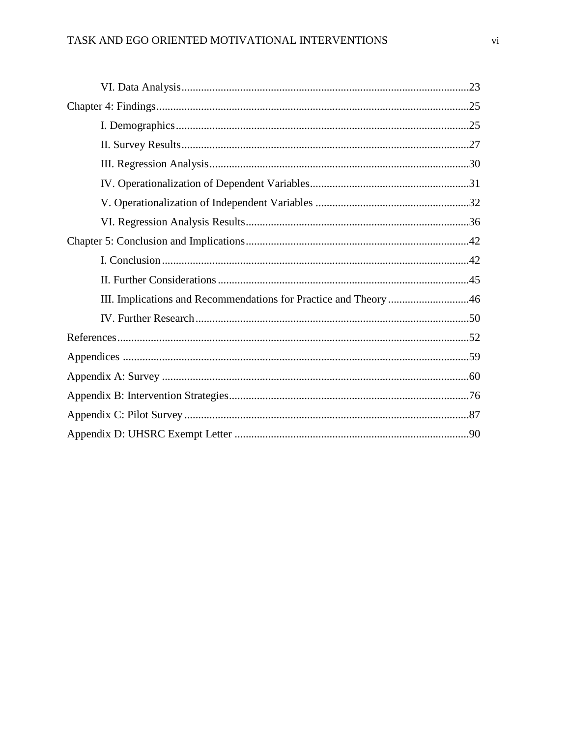| III. Implications and Recommendations for Practice and Theory46 |  |
|-----------------------------------------------------------------|--|
|                                                                 |  |
|                                                                 |  |
|                                                                 |  |
|                                                                 |  |
|                                                                 |  |
|                                                                 |  |
|                                                                 |  |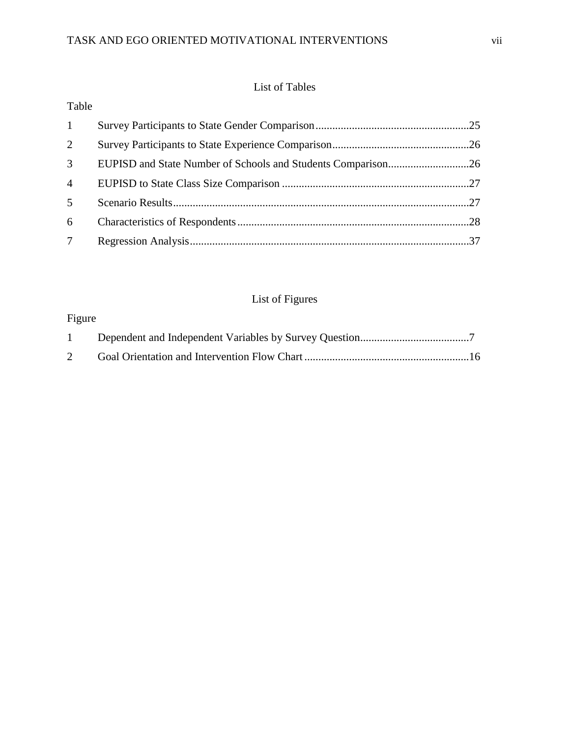## List of Tables

| Table          |  |
|----------------|--|
| $\mathbf{1}$   |  |
| 2              |  |
| 3              |  |
| $\overline{4}$ |  |
| $\overline{5}$ |  |
| 6              |  |
|                |  |

## List of Figures

Figure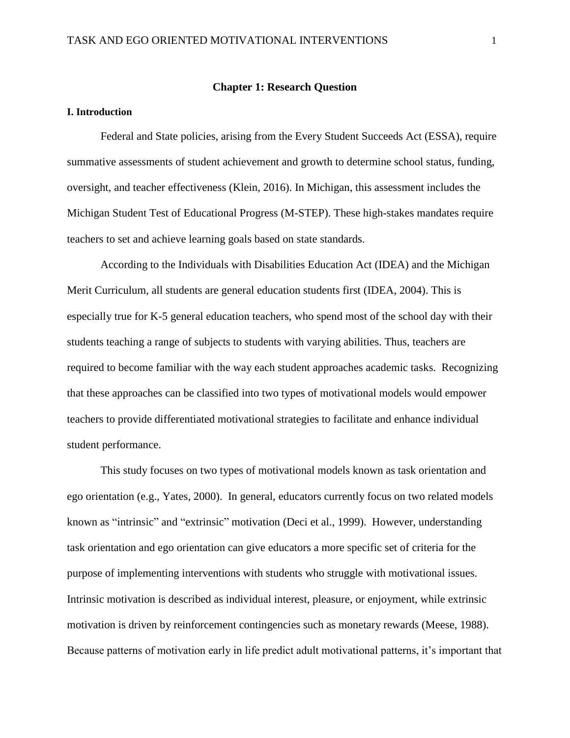#### **Chapter 1: Research Question**

#### **I. Introduction**

Federal and State policies, arising from the Every Student Succeeds Act (ESSA), require summative assessments of student achievement and growth to determine school status, funding, oversight, and teacher effectiveness (Klein, 2016). In Michigan, this assessment includes the Michigan Student Test of Educational Progress (M-STEP). These high-stakes mandates require teachers to set and achieve learning goals based on state standards.

According to the Individuals with Disabilities Education Act (IDEA) and the Michigan Merit Curriculum, all students are general education students first (IDEA, 2004). This is especially true for K-5 general education teachers, who spend most of the school day with their students teaching a range of subjects to students with varying abilities. Thus, teachers are required to become familiar with the way each student approaches academic tasks. Recognizing that these approaches can be classified into two types of motivational models would empower teachers to provide differentiated motivational strategies to facilitate and enhance individual student performance.

This study focuses on two types of motivational models known as task orientation and ego orientation (e.g., Yates, 2000). In general, educators currently focus on two related models known as "intrinsic" and "extrinsic" motivation (Deci et al., 1999). However, understanding task orientation and ego orientation can give educators a more specific set of criteria for the purpose of implementing interventions with students who struggle with motivational issues. Intrinsic motivation is described as individual interest, pleasure, or enjoyment, while extrinsic motivation is driven by reinforcement contingencies such as monetary rewards (Meese, 1988). Because patterns of motivation early in life predict adult motivational patterns, it's important that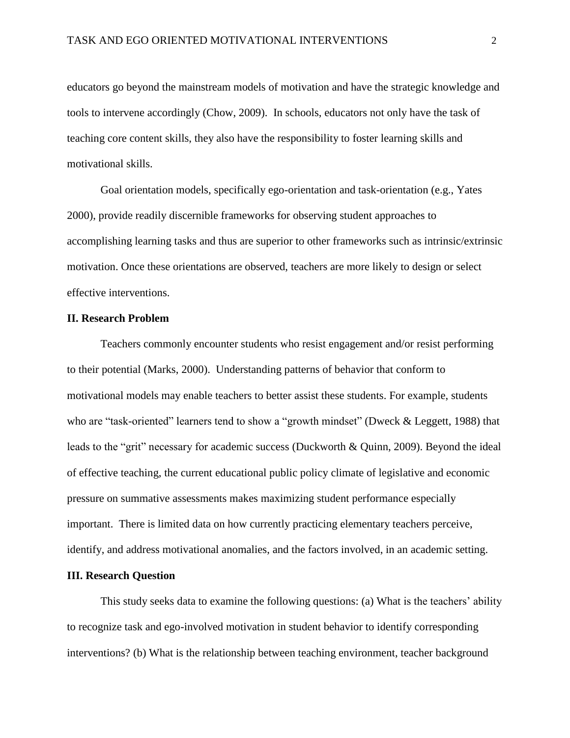educators go beyond the mainstream models of motivation and have the strategic knowledge and tools to intervene accordingly (Chow, 2009). In schools, educators not only have the task of teaching core content skills, they also have the responsibility to foster learning skills and motivational skills.

Goal orientation models, specifically ego-orientation and task-orientation (e.g., Yates 2000), provide readily discernible frameworks for observing student approaches to accomplishing learning tasks and thus are superior to other frameworks such as intrinsic/extrinsic motivation. Once these orientations are observed, teachers are more likely to design or select effective interventions.

## **II. Research Problem**

Teachers commonly encounter students who resist engagement and/or resist performing to their potential (Marks, 2000). Understanding patterns of behavior that conform to motivational models may enable teachers to better assist these students. For example, students who are "task-oriented" learners tend to show a "growth mindset" (Dweck & Leggett, 1988) that leads to the "grit" necessary for academic success (Duckworth & Quinn, 2009). Beyond the ideal of effective teaching, the current educational public policy climate of legislative and economic pressure on summative assessments makes maximizing student performance especially important. There is limited data on how currently practicing elementary teachers perceive, identify, and address motivational anomalies, and the factors involved, in an academic setting.

## **III. Research Question**

This study seeks data to examine the following questions: (a) What is the teachers' ability to recognize task and ego-involved motivation in student behavior to identify corresponding interventions? (b) What is the relationship between teaching environment, teacher background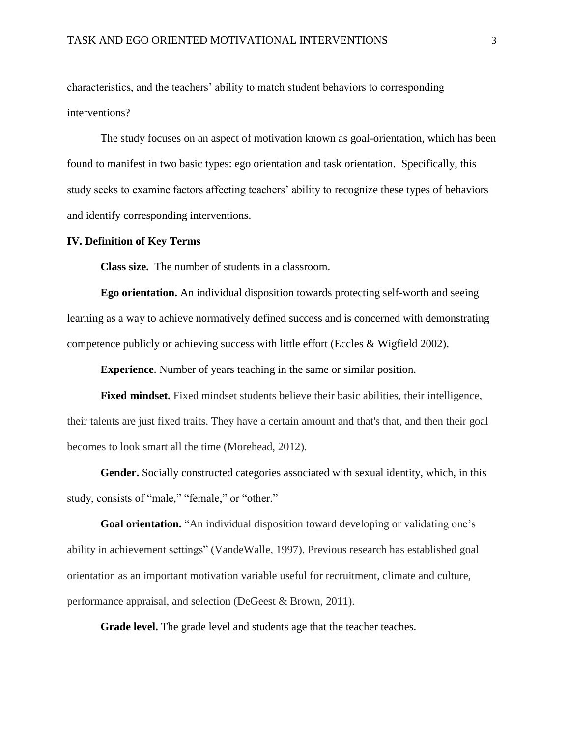characteristics, and the teachers' ability to match student behaviors to corresponding interventions?

 The study focuses on an aspect of motivation known as goal-orientation, which has been found to manifest in two basic types: ego orientation and task orientation. Specifically, this study seeks to examine factors affecting teachers' ability to recognize these types of behaviors and identify corresponding interventions.

#### **IV. Definition of Key Terms**

**Class size.** The number of students in a classroom.

**Ego orientation.** An individual disposition towards protecting self-worth and seeing learning as a way to achieve normatively defined success and is concerned with demonstrating competence publicly or achieving success with little effort (Eccles & Wigfield 2002).

**Experience**. Number of years teaching in the same or similar position.

**Fixed mindset.** Fixed mindset students believe their basic abilities, their intelligence, their talents are just fixed traits. They have a certain amount and that's that, and then their goal becomes to look smart all the time (Morehead, 2012).

**Gender.** Socially constructed categories associated with sexual identity, which, in this study, consists of "male," "female," or "other."

**Goal orientation.** "An individual disposition toward developing or validating one's ability in achievement settings" (VandeWalle, 1997). Previous research has established goal orientation as an important motivation variable useful for recruitment, climate and culture, performance appraisal, and selection (DeGeest & Brown, 2011).

**Grade level.** The grade level and students age that the teacher teaches.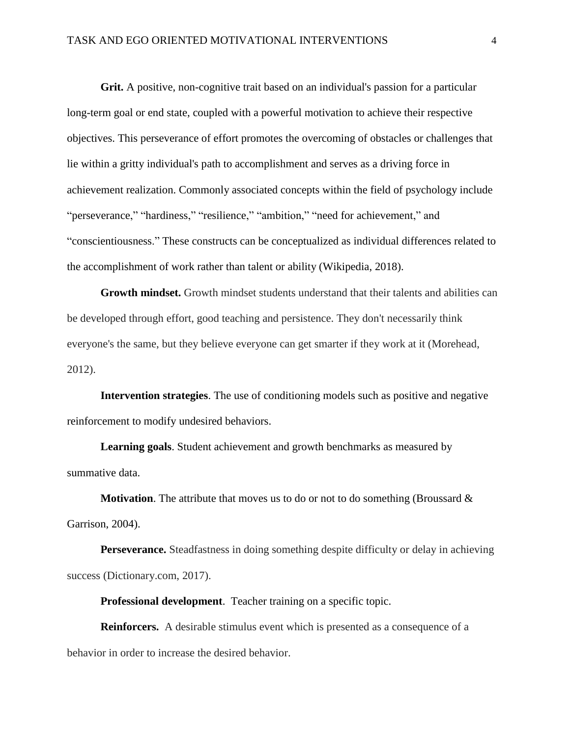Grit. A positive, non-cognitive [trait](https://en.wikipedia.org/wiki/Trait_theory) based on an individual's passion for a particular long-term goal or end state, coupled with a powerful [motivation](https://en.wikipedia.org/wiki/Motivation) to achieve their respective objectives. This perseverance of effort promotes the overcoming of obstacles or challenges that lie within a gritty individual's path to accomplishment and serves as a driving force in achievement realization. Commonly associated concepts within the field of psychology include "perseverance," ["hardiness,](https://en.wikipedia.org/wiki/Hardiness_(psychological))" ["resilience,](https://en.wikipedia.org/wiki/Psychological_resilience)" "ambition," ["need for achievement,](https://en.wikipedia.org/wiki/Need_for_achievement)" and ["conscientiousness.](https://en.wikipedia.org/wiki/Conscientiousness)" These constructs can be conceptualized as individual [differences](https://en.wikipedia.org/wiki/Differential_psychology) related to the accomplishment of work rather than talent or ability (Wikipedia, 2018).

**Growth mindset.** Growth mindset students understand that their talents and abilities can be developed through effort, good teaching and persistence. They don't necessarily think everyone's the same, but they believe everyone can get smarter if they work at it (Morehead, 2012).

**Intervention strategies**. The use of conditioning models such as positive and negative reinforcement to modify undesired behaviors.

**Learning goals**. Student achievement and growth benchmarks as measured by summative data.

**Motivation**. The attribute that moves us to do or not to do something (Broussard  $\&$ Garrison, 2004).

**Perseverance.** Steadfastness in doing something despite difficulty or delay in achieving success (Dictionary.com, 2017).

**Professional development**. Teacher training on a specific topic.

**Reinforcers.** A desirable stimulus event which is presented as a consequence of a behavior in order to increase the desired behavior.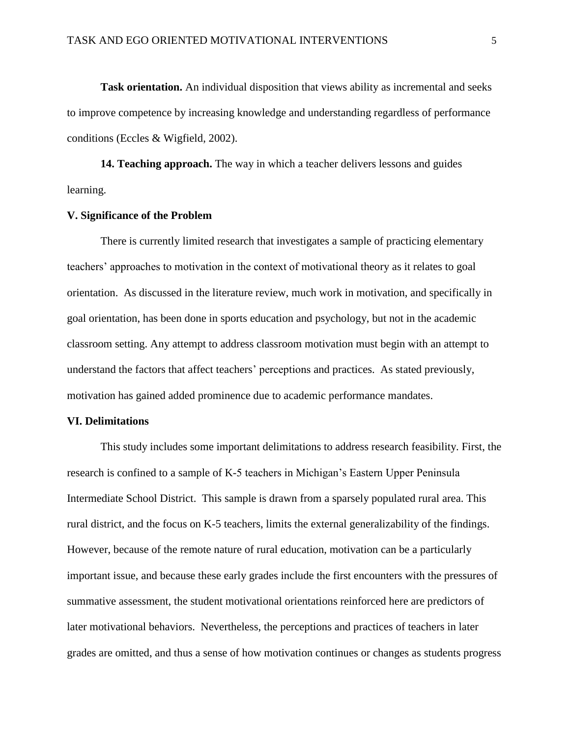Task orientation. An individual disposition that views ability as incremental and seeks to improve competence by increasing knowledge and understanding regardless of performance conditions (Eccles & Wigfield, 2002).

**14. Teaching approach.** The way in which a teacher delivers lessons and guides learning.

## **V. Significance of the Problem**

There is currently limited research that investigates a sample of practicing elementary teachers' approaches to motivation in the context of motivational theory as it relates to goal orientation. As discussed in the literature review, much work in motivation, and specifically in goal orientation, has been done in sports education and psychology, but not in the academic classroom setting. Any attempt to address classroom motivation must begin with an attempt to understand the factors that affect teachers' perceptions and practices. As stated previously, motivation has gained added prominence due to academic performance mandates.

## **VI. Delimitations**

This study includes some important delimitations to address research feasibility. First, the research is confined to a sample of K-5 teachers in Michigan's Eastern Upper Peninsula Intermediate School District. This sample is drawn from a sparsely populated rural area. This rural district, and the focus on K-5 teachers, limits the external generalizability of the findings. However, because of the remote nature of rural education, motivation can be a particularly important issue, and because these early grades include the first encounters with the pressures of summative assessment, the student motivational orientations reinforced here are predictors of later motivational behaviors. Nevertheless, the perceptions and practices of teachers in later grades are omitted, and thus a sense of how motivation continues or changes as students progress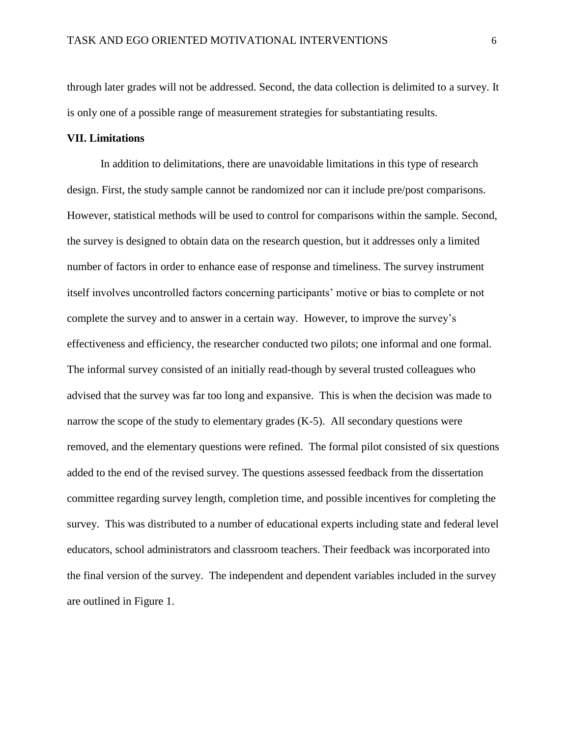through later grades will not be addressed. Second, the data collection is delimited to a survey. It is only one of a possible range of measurement strategies for substantiating results.

#### **VII. Limitations**

In addition to delimitations, there are unavoidable limitations in this type of research design. First, the study sample cannot be randomized nor can it include pre/post comparisons. However, statistical methods will be used to control for comparisons within the sample. Second, the survey is designed to obtain data on the research question, but it addresses only a limited number of factors in order to enhance ease of response and timeliness. The survey instrument itself involves uncontrolled factors concerning participants' motive or bias to complete or not complete the survey and to answer in a certain way. However, to improve the survey's effectiveness and efficiency, the researcher conducted two pilots; one informal and one formal. The informal survey consisted of an initially read-though by several trusted colleagues who advised that the survey was far too long and expansive. This is when the decision was made to narrow the scope of the study to elementary grades  $(K-5)$ . All secondary questions were removed, and the elementary questions were refined. The formal pilot consisted of six questions added to the end of the revised survey. The questions assessed feedback from the dissertation committee regarding survey length, completion time, and possible incentives for completing the survey. This was distributed to a number of educational experts including state and federal level educators, school administrators and classroom teachers. Their feedback was incorporated into the final version of the survey. The independent and dependent variables included in the survey are outlined in Figure 1.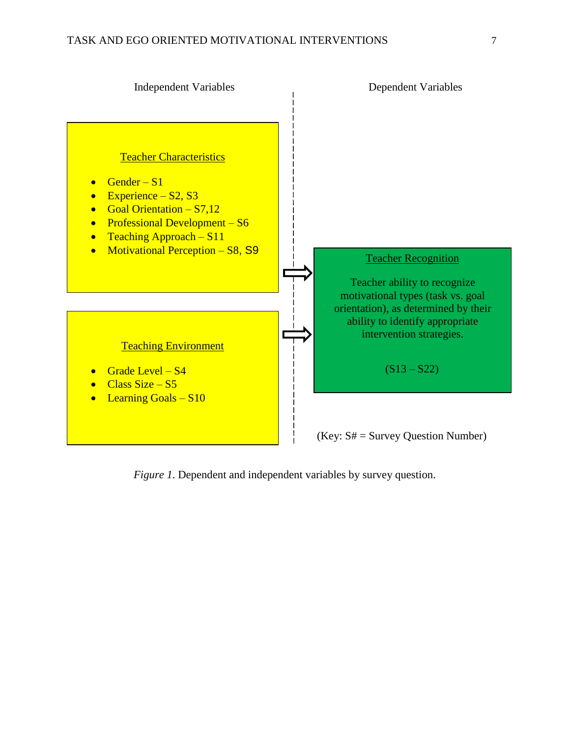

*Figure 1*. Dependent and independent variables by survey question.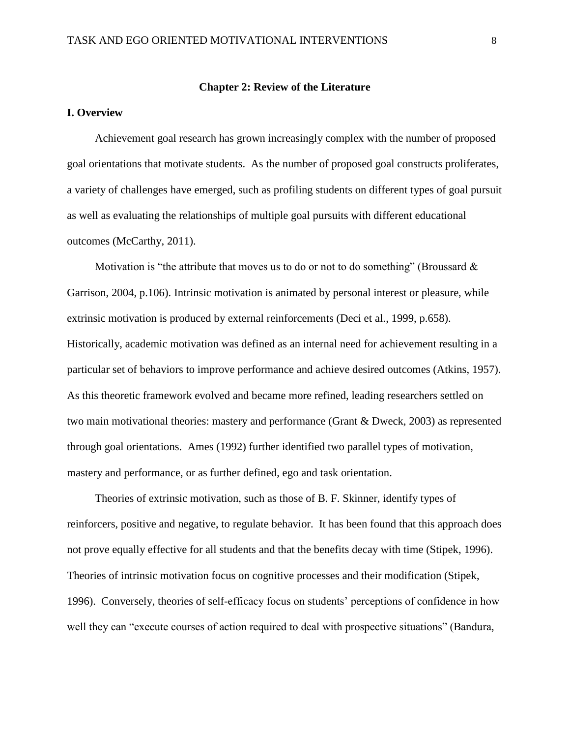## **Chapter 2: Review of the Literature**

#### **I. Overview**

 Achievement goal research has grown increasingly complex with the number of proposed goal orientations that motivate students. As the number of proposed goal constructs proliferates, a variety of challenges have emerged, such as profiling students on different types of goal pursuit as well as evaluating the relationships of multiple goal pursuits with different educational outcomes (McCarthy, 2011).

Motivation is "the attribute that moves us to do or not to do something" (Broussard  $\&$ Garrison, 2004, p.106). Intrinsic motivation is animated by personal interest or pleasure, while extrinsic motivation is produced by external reinforcements (Deci et al., 1999, p.658). Historically, academic motivation was defined as an internal need for achievement resulting in a particular set of behaviors to improve performance and achieve desired outcomes (Atkins, 1957). As this theoretic framework evolved and became more refined, leading researchers settled on two main motivational theories: mastery and performance (Grant & Dweck, 2003) as represented through goal orientations. Ames (1992) further identified two parallel types of motivation, mastery and performance, or as further defined, ego and task orientation.

 Theories of extrinsic motivation, such as those of B. F. Skinner, identify types of reinforcers, positive and negative, to regulate behavior. It has been found that this approach does not prove equally effective for all students and that the benefits decay with time (Stipek, 1996). Theories of intrinsic motivation focus on cognitive processes and their modification (Stipek, 1996). Conversely, theories of self-efficacy focus on students' perceptions of confidence in how well they can "execute courses of action required to deal with prospective situations" (Bandura,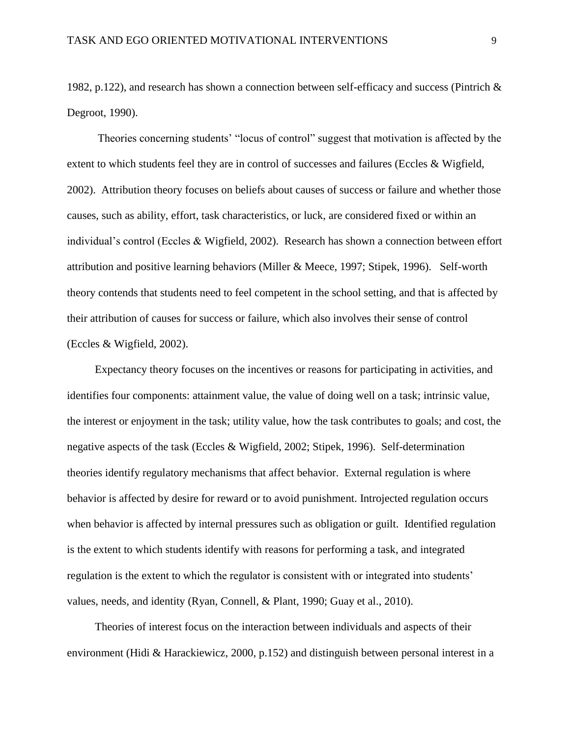1982, p.122), and research has shown a connection between self-efficacy and success (Pintrich & Degroot, 1990).

 Theories concerning students' "locus of control" suggest that motivation is affected by the extent to which students feel they are in control of successes and failures (Eccles & Wigfield, 2002). Attribution theory focuses on beliefs about causes of success or failure and whether those causes, such as ability, effort, task characteristics, or luck, are considered fixed or within an individual's control (Eccles & Wigfield, 2002). Research has shown a connection between effort attribution and positive learning behaviors (Miller & Meece, 1997; Stipek, 1996). Self-worth theory contends that students need to feel competent in the school setting, and that is affected by their attribution of causes for success or failure, which also involves their sense of control (Eccles & Wigfield, 2002).

 Expectancy theory focuses on the incentives or reasons for participating in activities, and identifies four components: attainment value, the value of doing well on a task; intrinsic value, the interest or enjoyment in the task; utility value, how the task contributes to goals; and cost, the negative aspects of the task (Eccles & Wigfield, 2002; Stipek, 1996). Self-determination theories identify regulatory mechanisms that affect behavior. External regulation is where behavior is affected by desire for reward or to avoid punishment. Introjected regulation occurs when behavior is affected by internal pressures such as obligation or guilt. Identified regulation is the extent to which students identify with reasons for performing a task, and integrated regulation is the extent to which the regulator is consistent with or integrated into students' values, needs, and identity (Ryan, Connell, & Plant, 1990; Guay et al., 2010).

 Theories of interest focus on the interaction between individuals and aspects of their environment (Hidi & Harackiewicz, 2000, p.152) and distinguish between personal interest in a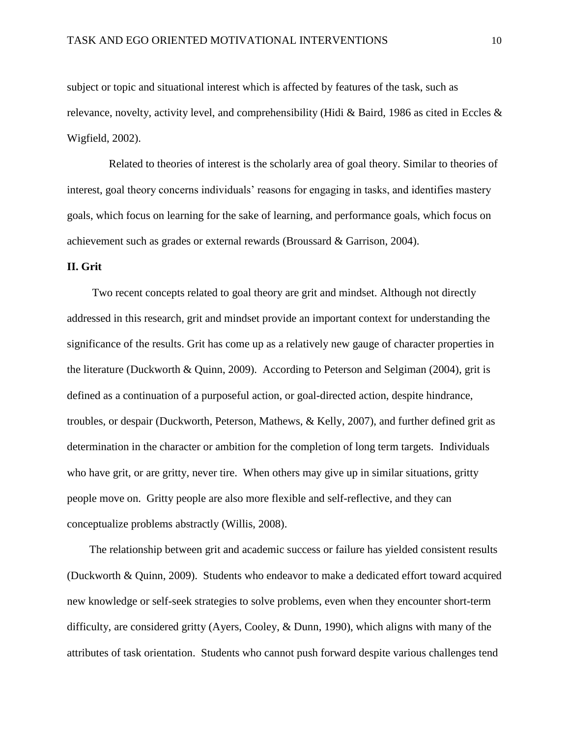subject or topic and situational interest which is affected by features of the task, such as relevance, novelty, activity level, and comprehensibility (Hidi & Baird, 1986 as cited in Eccles & Wigfield, 2002).

Related to theories of interest is the scholarly area of goal theory. Similar to theories of interest, goal theory concerns individuals' reasons for engaging in tasks, and identifies mastery goals, which focus on learning for the sake of learning, and performance goals, which focus on achievement such as grades or external rewards (Broussard & Garrison, 2004).

## **II. Grit**

 Two recent concepts related to goal theory are grit and mindset. Although not directly addressed in this research, grit and mindset provide an important context for understanding the significance of the results. Grit has come up as a relatively new gauge of character properties in the literature (Duckworth & Quinn, 2009). According to Peterson and Selgiman (2004), grit is defined as a continuation of a purposeful action, or goal-directed action, despite hindrance, troubles, or despair (Duckworth, Peterson, Mathews, & Kelly, 2007), and further defined grit as determination in the character or ambition for the completion of long term targets. Individuals who have grit, or are gritty, never tire. When others may give up in similar situations, gritty people move on. Gritty people are also more flexible and self-reflective, and they can conceptualize problems abstractly (Willis, 2008).

 The relationship between grit and academic success or failure has yielded consistent results (Duckworth & Quinn, 2009). Students who endeavor to make a dedicated effort toward acquired new knowledge or self-seek strategies to solve problems, even when they encounter short-term difficulty, are considered gritty (Ayers, Cooley, & Dunn, 1990), which aligns with many of the attributes of task orientation. Students who cannot push forward despite various challenges tend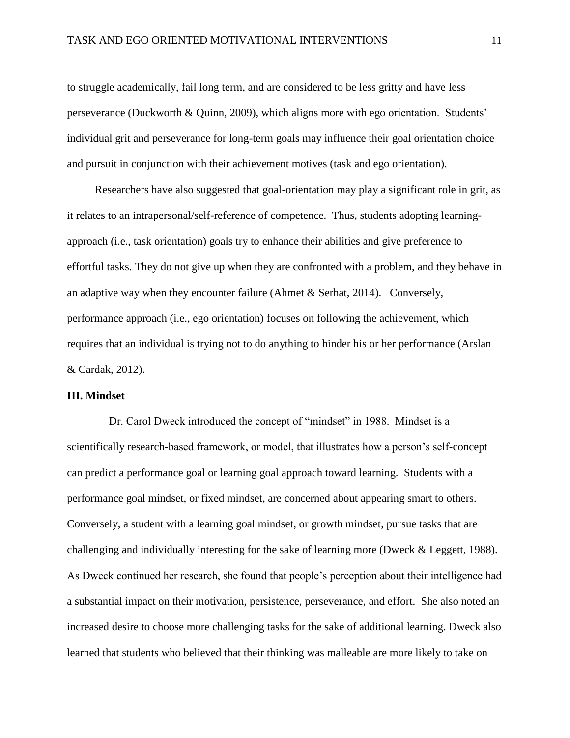to struggle academically, fail long term, and are considered to be less gritty and have less perseverance (Duckworth & Quinn, 2009), which aligns more with ego orientation. Students' individual grit and perseverance for long-term goals may influence their goal orientation choice and pursuit in conjunction with their achievement motives (task and ego orientation).

 Researchers have also suggested that goal-orientation may play a significant role in grit, as it relates to an intrapersonal/self-reference of competence. Thus, students adopting learningapproach (i.e., task orientation) goals try to enhance their abilities and give preference to effortful tasks. They do not give up when they are confronted with a problem, and they behave in an adaptive way when they encounter failure (Ahmet & Serhat, 2014). Conversely, performance approach (i.e., ego orientation) focuses on following the achievement, which requires that an individual is trying not to do anything to hinder his or her performance (Arslan & Cardak, 2012).

## **III. Mindset**

Dr. Carol Dweck introduced the concept of "mindset" in 1988. Mindset is a scientifically research-based framework, or model, that illustrates how a person's self-concept can predict a performance goal or learning goal approach toward learning. Students with a performance goal mindset, or fixed mindset, are concerned about appearing smart to others. Conversely, a student with a learning goal mindset, or growth mindset, pursue tasks that are challenging and individually interesting for the sake of learning more (Dweck & Leggett, 1988). As Dweck continued her research, she found that people's perception about their intelligence had a substantial impact on their motivation, persistence, perseverance, and effort. She also noted an increased desire to choose more challenging tasks for the sake of additional learning. Dweck also learned that students who believed that their thinking was malleable are more likely to take on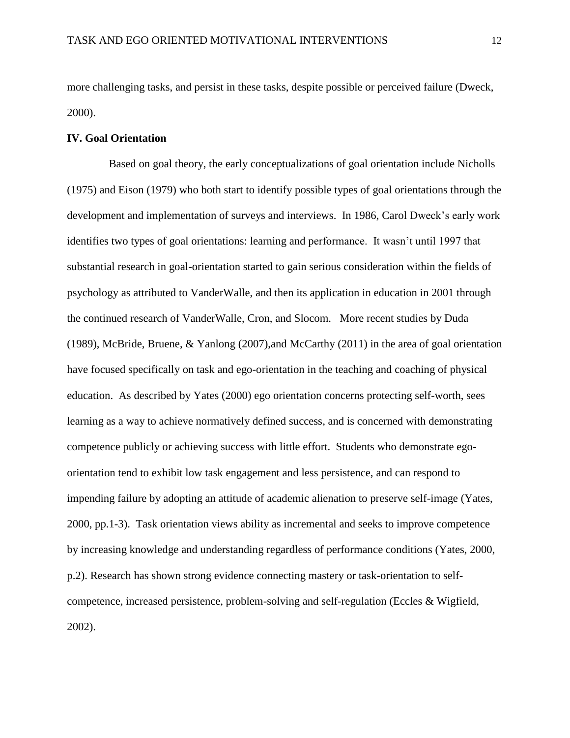more challenging tasks, and persist in these tasks, despite possible or perceived failure (Dweck, 2000).

## **IV. Goal Orientation**

Based on goal theory, the early conceptualizations of goal orientation include Nicholls (1975) and Eison (1979) who both start to identify possible types of goal orientations through the development and implementation of surveys and interviews. In 1986, Carol Dweck's early work identifies two types of goal orientations: learning and performance. It wasn't until 1997 that substantial research in goal-orientation started to gain serious consideration within the fields of psychology as attributed to VanderWalle, and then its application in education in 2001 through the continued research of VanderWalle, Cron, and Slocom. More recent studies by Duda (1989), McBride, Bruene, & Yanlong (2007),and McCarthy (2011) in the area of goal orientation have focused specifically on task and ego-orientation in the teaching and coaching of physical education. As described by Yates (2000) ego orientation concerns protecting self-worth, sees learning as a way to achieve normatively defined success, and is concerned with demonstrating competence publicly or achieving success with little effort. Students who demonstrate egoorientation tend to exhibit low task engagement and less persistence, and can respond to impending failure by adopting an attitude of academic alienation to preserve self-image (Yates, 2000, pp.1-3). Task orientation views ability as incremental and seeks to improve competence by increasing knowledge and understanding regardless of performance conditions (Yates, 2000, p.2). Research has shown strong evidence connecting mastery or task-orientation to selfcompetence, increased persistence, problem-solving and self-regulation (Eccles & Wigfield, 2002).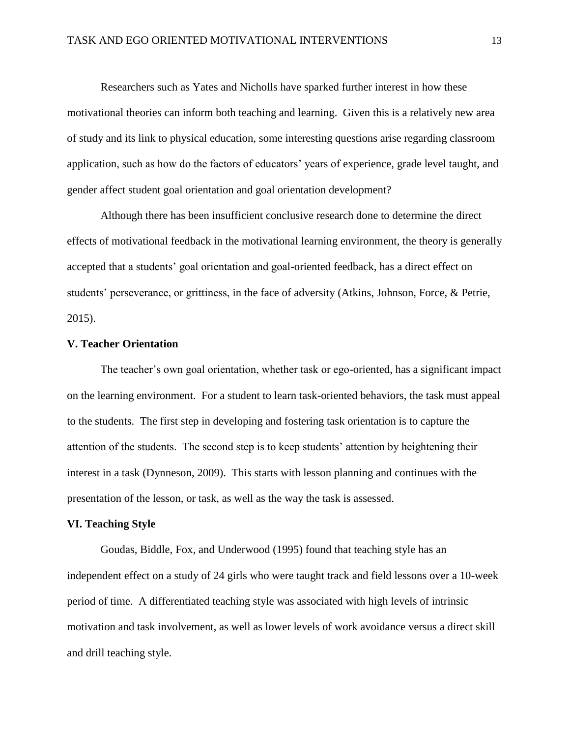Researchers such as Yates and Nicholls have sparked further interest in how these motivational theories can inform both teaching and learning. Given this is a relatively new area of study and its link to physical education, some interesting questions arise regarding classroom application, such as how do the factors of educators' years of experience, grade level taught, and gender affect student goal orientation and goal orientation development?

Although there has been insufficient conclusive research done to determine the direct effects of motivational feedback in the motivational learning environment, the theory is generally accepted that a students' goal orientation and goal-oriented feedback, has a direct effect on students' perseverance, or grittiness, in the face of adversity (Atkins, Johnson, Force, & Petrie, 2015).

## **V. Teacher Orientation**

The teacher's own goal orientation, whether task or ego-oriented, has a significant impact on the learning environment. For a student to learn task-oriented behaviors, the task must appeal to the students. The first step in developing and fostering task orientation is to capture the attention of the students. The second step is to keep students' attention by heightening their interest in a task (Dynneson, 2009). This starts with lesson planning and continues with the presentation of the lesson, or task, as well as the way the task is assessed.

#### **VI. Teaching Style**

Goudas, Biddle, Fox, and Underwood (1995) found that teaching style has an independent effect on a study of 24 girls who were taught track and field lessons over a 10-week period of time. A differentiated teaching style was associated with high levels of intrinsic motivation and task involvement, as well as lower levels of work avoidance versus a direct skill and drill teaching style.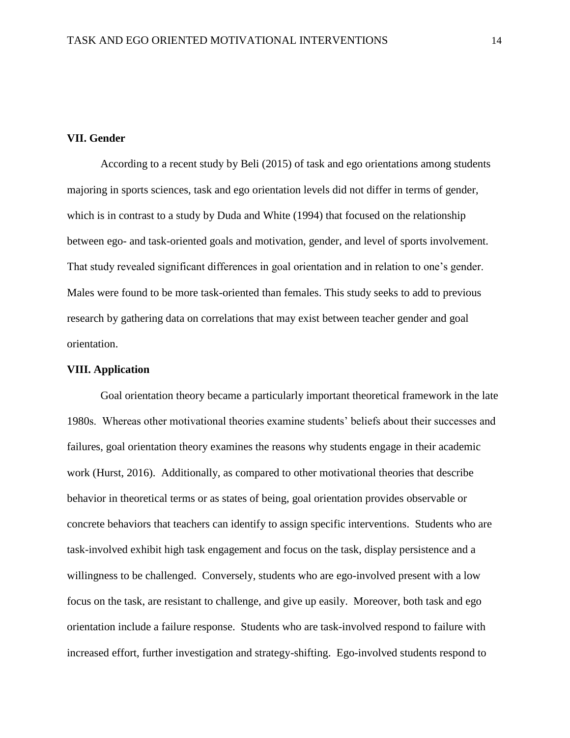## **VII. Gender**

According to a recent study by Beli (2015) of task and ego orientations among students majoring in sports sciences, task and ego orientation levels did not differ in terms of gender, which is in contrast to a study by Duda and White (1994) that focused on the relationship between ego- and task-oriented goals and motivation, gender, and level of sports involvement. That study revealed significant differences in goal orientation and in relation to one's gender. Males were found to be more task-oriented than females. This study seeks to add to previous research by gathering data on correlations that may exist between teacher gender and goal orientation.

#### **VIII. Application**

Goal orientation theory became a particularly important theoretical framework in the late 1980s. Whereas other motivational theories examine students' beliefs about their successes and failures, goal orientation theory examines the reasons why students engage in their academic work (Hurst, 2016). Additionally, as compared to other motivational theories that describe behavior in theoretical terms or as states of being, goal orientation provides observable or concrete behaviors that teachers can identify to assign specific interventions. Students who are task-involved exhibit high task engagement and focus on the task, display persistence and a willingness to be challenged. Conversely, students who are ego-involved present with a low focus on the task, are resistant to challenge, and give up easily. Moreover, both task and ego orientation include a failure response. Students who are task-involved respond to failure with increased effort, further investigation and strategy-shifting. Ego-involved students respond to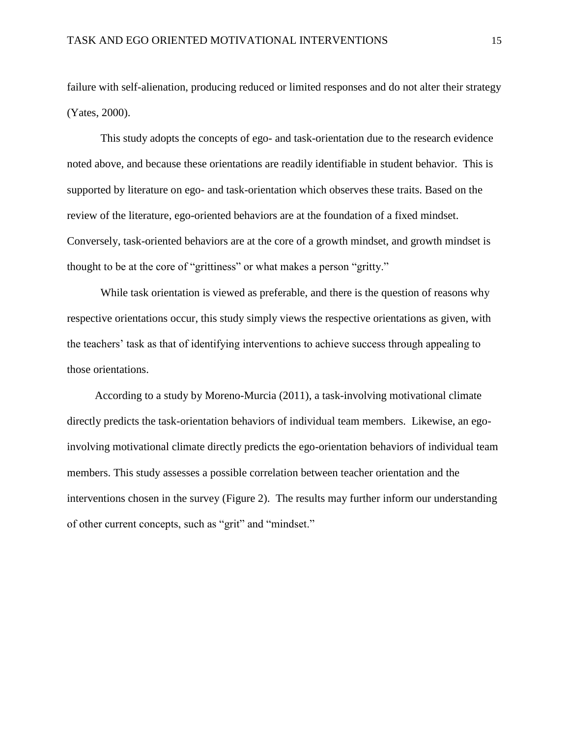failure with self-alienation, producing reduced or limited responses and do not alter their strategy (Yates, 2000).

This study adopts the concepts of ego- and task-orientation due to the research evidence noted above, and because these orientations are readily identifiable in student behavior. This is supported by literature on ego- and task-orientation which observes these traits. Based on the review of the literature, ego-oriented behaviors are at the foundation of a fixed mindset. Conversely, task-oriented behaviors are at the core of a growth mindset, and growth mindset is thought to be at the core of "grittiness" or what makes a person "gritty."

While task orientation is viewed as preferable, and there is the question of reasons why respective orientations occur, this study simply views the respective orientations as given, with the teachers' task as that of identifying interventions to achieve success through appealing to those orientations.

 According to a study by Moreno-Murcia (2011), a task-involving motivational climate directly predicts the task-orientation behaviors of individual team members. Likewise, an egoinvolving motivational climate directly predicts the ego-orientation behaviors of individual team members. This study assesses a possible correlation between teacher orientation and the interventions chosen in the survey (Figure 2). The results may further inform our understanding of other current concepts, such as "grit" and "mindset."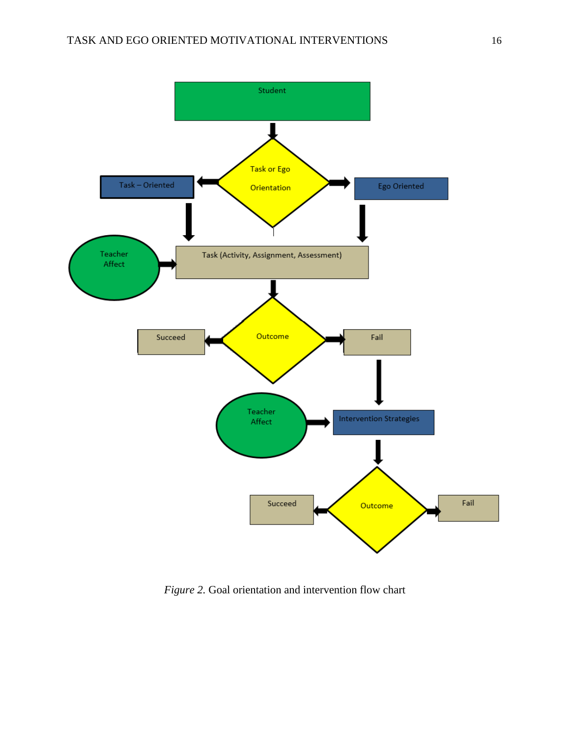

*Figure 2.* Goal orientation and intervention flow chart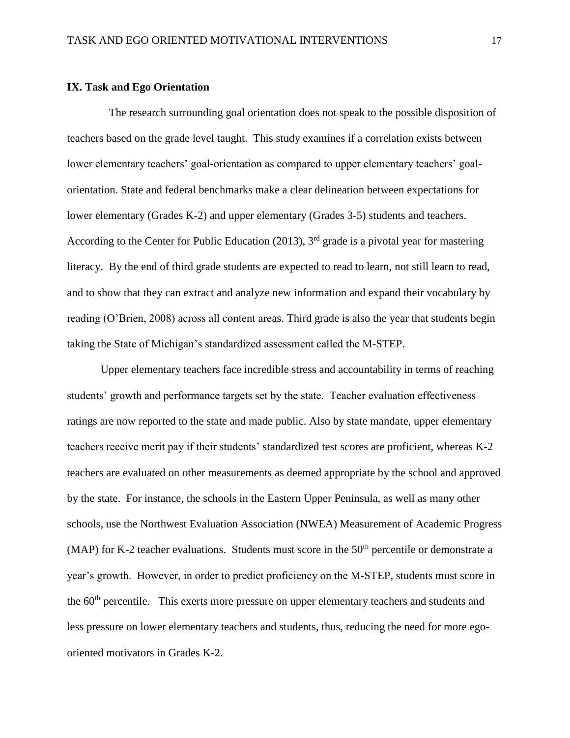## **IX. Task and Ego Orientation**

The research surrounding goal orientation does not speak to the possible disposition of teachers based on the grade level taught. This study examines if a correlation exists between lower elementary teachers' goal-orientation as compared to upper elementary teachers' goalorientation. State and federal benchmarks make a clear delineation between expectations for lower elementary (Grades K-2) and upper elementary (Grades 3-5) students and teachers. According to the Center for Public Education (2013), 3<sup>rd</sup> grade is a pivotal year for mastering literacy. By the end of third grade students are expected to read to learn, not still learn to read, and to show that they can extract and analyze new information and expand their vocabulary by reading (O'Brien, 2008) across all content areas. Third grade is also the year that students begin taking the State of Michigan's standardized assessment called the M-STEP.

Upper elementary teachers face incredible stress and accountability in terms of reaching students' growth and performance targets set by the state. Teacher evaluation effectiveness ratings are now reported to the state and made public. Also by state mandate, upper elementary teachers receive merit pay if their students' standardized test scores are proficient, whereas K-2 teachers are evaluated on other measurements as deemed appropriate by the school and approved by the state. For instance, the schools in the Eastern Upper Peninsula, as well as many other schools, use the Northwest Evaluation Association (NWEA) Measurement of Academic Progress (MAP) for K-2 teacher evaluations. Students must score in the  $50<sup>th</sup>$  percentile or demonstrate a year's growth. However, in order to predict proficiency on the M-STEP, students must score in the 60<sup>th</sup> percentile. This exerts more pressure on upper elementary teachers and students and less pressure on lower elementary teachers and students, thus, reducing the need for more egooriented motivators in Grades K-2.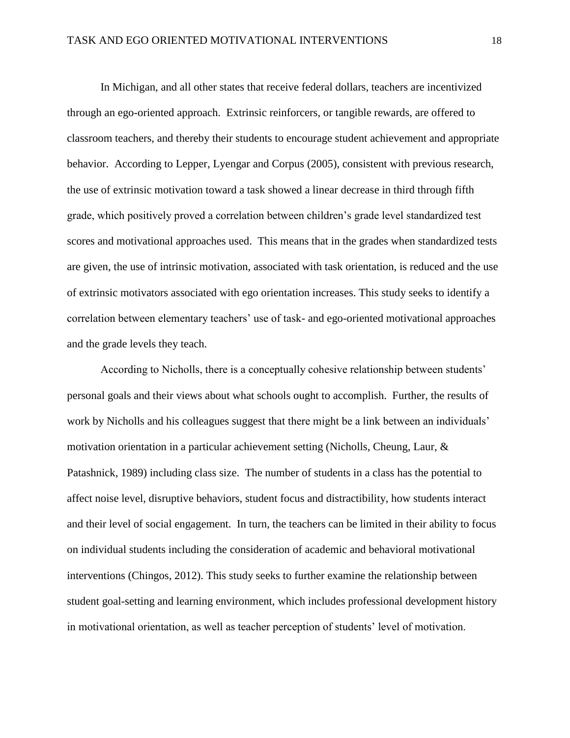In Michigan, and all other states that receive federal dollars, teachers are incentivized through an ego-oriented approach. Extrinsic reinforcers, or tangible rewards, are offered to classroom teachers, and thereby their students to encourage student achievement and appropriate behavior. According to Lepper, Lyengar and Corpus (2005), consistent with previous research, the use of extrinsic motivation toward a task showed a linear decrease in third through fifth grade, which positively proved a correlation between children's grade level standardized test scores and motivational approaches used. This means that in the grades when standardized tests are given, the use of intrinsic motivation, associated with task orientation, is reduced and the use of extrinsic motivators associated with ego orientation increases. This study seeks to identify a correlation between elementary teachers' use of task- and ego-oriented motivational approaches and the grade levels they teach.

According to Nicholls, there is a conceptually cohesive relationship between students' personal goals and their views about what schools ought to accomplish. Further, the results of work by Nicholls and his colleagues suggest that there might be a link between an individuals' motivation orientation in a particular achievement setting (Nicholls, Cheung, Laur, & Patashnick, 1989) including class size. The number of students in a class has the potential to affect noise level, disruptive behaviors, student focus and distractibility, how students interact and their level of social engagement. In turn, the teachers can be limited in their ability to focus on individual students including the consideration of academic and behavioral motivational interventions (Chingos, 2012). This study seeks to further examine the relationship between student goal-setting and learning environment, which includes professional development history in motivational orientation, as well as teacher perception of students' level of motivation.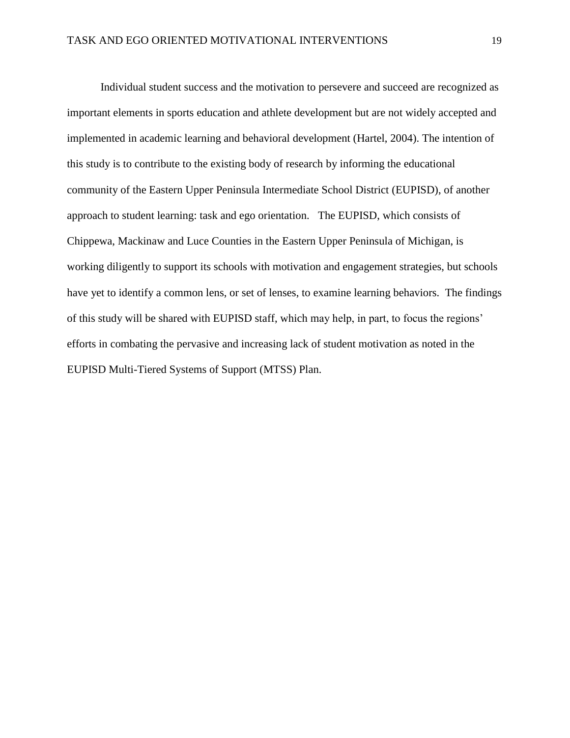Individual student success and the motivation to persevere and succeed are recognized as important elements in sports education and athlete development but are not widely accepted and implemented in academic learning and behavioral development (Hartel, 2004). The intention of this study is to contribute to the existing body of research by informing the educational community of the Eastern Upper Peninsula Intermediate School District (EUPISD), of another approach to student learning: task and ego orientation. The EUPISD, which consists of Chippewa, Mackinaw and Luce Counties in the Eastern Upper Peninsula of Michigan, is working diligently to support its schools with motivation and engagement strategies, but schools have yet to identify a common lens, or set of lenses, to examine learning behaviors. The findings of this study will be shared with EUPISD staff, which may help, in part, to focus the regions' efforts in combating the pervasive and increasing lack of student motivation as noted in the EUPISD Multi-Tiered Systems of Support (MTSS) Plan.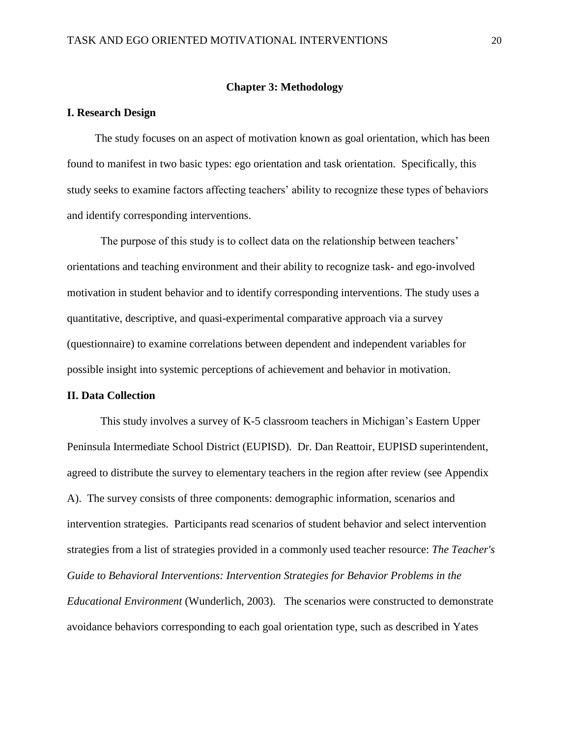#### **Chapter 3: Methodology**

#### **I. Research Design**

 The study focuses on an aspect of motivation known as goal orientation, which has been found to manifest in two basic types: ego orientation and task orientation. Specifically, this study seeks to examine factors affecting teachers' ability to recognize these types of behaviors and identify corresponding interventions.

The purpose of this study is to collect data on the relationship between teachers' orientations and teaching environment and their ability to recognize task- and ego-involved motivation in student behavior and to identify corresponding interventions. The study uses a quantitative, descriptive, and quasi-experimental comparative approach via a survey (questionnaire) to examine correlations between dependent and independent variables for possible insight into systemic perceptions of achievement and behavior in motivation.

### **II. Data Collection**

This study involves a survey of K-5 classroom teachers in Michigan's Eastern Upper Peninsula Intermediate School District (EUPISD). Dr. Dan Reattoir, EUPISD superintendent, agreed to distribute the survey to elementary teachers in the region after review (see Appendix A). The survey consists of three components: demographic information, scenarios and intervention strategies. Participants read scenarios of student behavior and select intervention strategies from a list of strategies provided in a commonly used teacher resource: *The Teacher's Guide to Behavioral Interventions: Intervention Strategies for Behavior Problems in the Educational Environment* (Wunderlich, 2003). The scenarios were constructed to demonstrate avoidance behaviors corresponding to each goal orientation type, such as described in Yates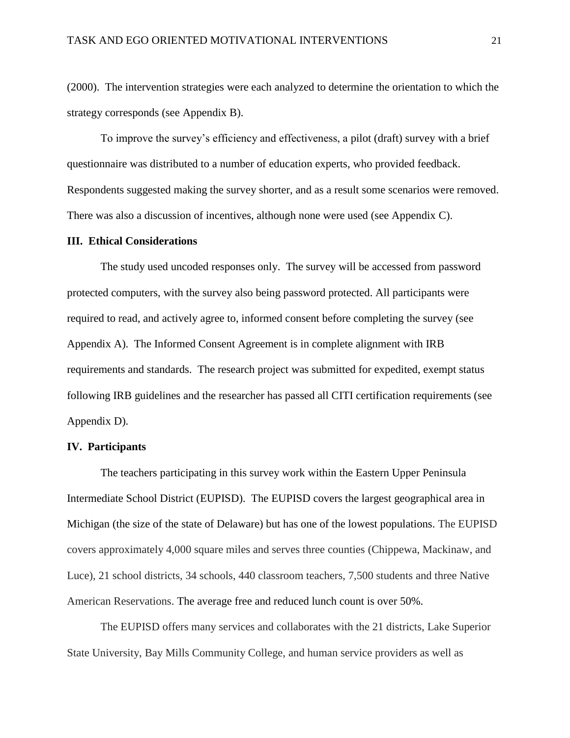(2000). The intervention strategies were each analyzed to determine the orientation to which the strategy corresponds (see Appendix B).

To improve the survey's efficiency and effectiveness, a pilot (draft) survey with a brief questionnaire was distributed to a number of education experts, who provided feedback. Respondents suggested making the survey shorter, and as a result some scenarios were removed. There was also a discussion of incentives, although none were used (see Appendix C).

#### **III. Ethical Considerations**

The study used uncoded responses only. The survey will be accessed from password protected computers, with the survey also being password protected. All participants were required to read, and actively agree to, informed consent before completing the survey (see Appendix A). The Informed Consent Agreement is in complete alignment with IRB requirements and standards. The research project was submitted for expedited, exempt status following IRB guidelines and the researcher has passed all CITI certification requirements (see Appendix D).

#### **IV. Participants**

The teachers participating in this survey work within the Eastern Upper Peninsula Intermediate School District (EUPISD). The EUPISD covers the largest geographical area in Michigan (the size of the state of Delaware) but has one of the lowest populations. The EUPISD covers approximately 4,000 square miles and serves three counties (Chippewa, Mackinaw, and Luce), 21 school districts, 34 schools, 440 classroom teachers, 7,500 students and three Native American Reservations. The average free and reduced lunch count is over 50%.

The EUPISD offers many services and collaborates with the 21 districts, Lake Superior State University, Bay Mills Community College, and human service providers as well as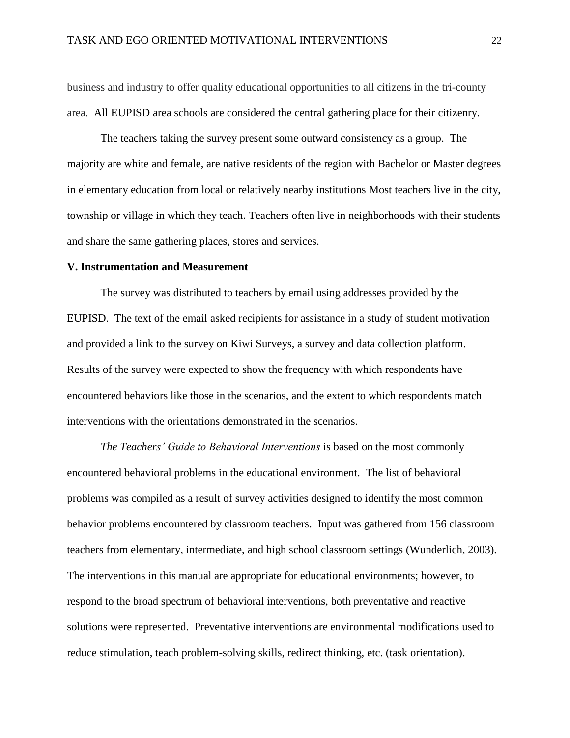business and industry to offer quality educational opportunities to all citizens in the tri-county area. All EUPISD area schools are considered the central gathering place for their citizenry.

The teachers taking the survey present some outward consistency as a group. The majority are white and female, are native residents of the region with Bachelor or Master degrees in elementary education from local or relatively nearby institutions Most teachers live in the city, township or village in which they teach. Teachers often live in neighborhoods with their students and share the same gathering places, stores and services.

## **V. Instrumentation and Measurement**

The survey was distributed to teachers by email using addresses provided by the EUPISD. The text of the email asked recipients for assistance in a study of student motivation and provided a link to the survey on Kiwi Surveys, a survey and data collection platform. Results of the survey were expected to show the frequency with which respondents have encountered behaviors like those in the scenarios, and the extent to which respondents match interventions with the orientations demonstrated in the scenarios.

*The Teachers' Guide to Behavioral Interventions* is based on the most commonly encountered behavioral problems in the educational environment. The list of behavioral problems was compiled as a result of survey activities designed to identify the most common behavior problems encountered by classroom teachers. Input was gathered from 156 classroom teachers from elementary, intermediate, and high school classroom settings (Wunderlich, 2003). The interventions in this manual are appropriate for educational environments; however, to respond to the broad spectrum of behavioral interventions, both preventative and reactive solutions were represented. Preventative interventions are environmental modifications used to reduce stimulation, teach problem-solving skills, redirect thinking, etc. (task orientation).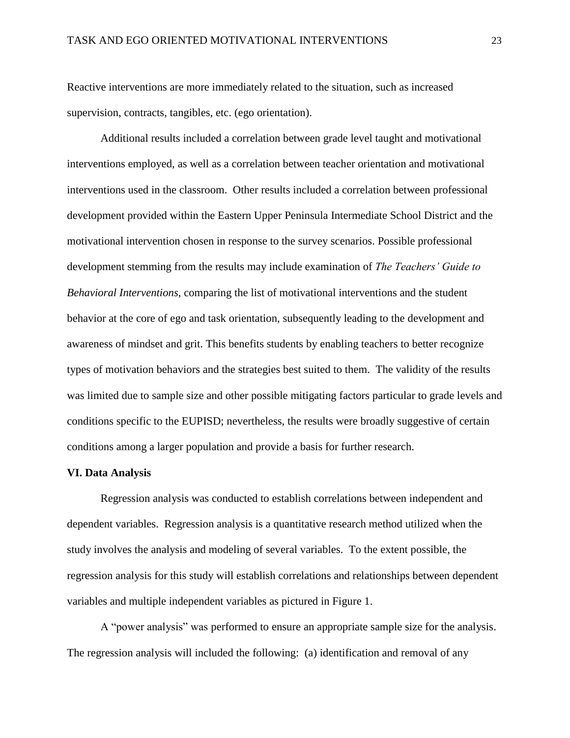Reactive interventions are more immediately related to the situation, such as increased supervision, contracts, tangibles, etc. (ego orientation).

Additional results included a correlation between grade level taught and motivational interventions employed, as well as a correlation between teacher orientation and motivational interventions used in the classroom. Other results included a correlation between professional development provided within the Eastern Upper Peninsula Intermediate School District and the motivational intervention chosen in response to the survey scenarios. Possible professional development stemming from the results may include examination of *The Teachers' Guide to Behavioral Interventions*, comparing the list of motivational interventions and the student behavior at the core of ego and task orientation, subsequently leading to the development and awareness of mindset and grit. This benefits students by enabling teachers to better recognize types of motivation behaviors and the strategies best suited to them. The validity of the results was limited due to sample size and other possible mitigating factors particular to grade levels and conditions specific to the EUPISD; nevertheless, the results were broadly suggestive of certain conditions among a larger population and provide a basis for further research.

#### **VI. Data Analysis**

Regression analysis was conducted to establish correlations between independent and dependent variables. Regression analysis is a quantitative research method utilized when the study involves the analysis and modeling of several variables. To the extent possible, the regression analysis for this study will establish correlations and relationships between dependent variables and multiple independent variables as pictured in Figure 1.

A "power analysis" was performed to ensure an appropriate sample size for the analysis. The regression analysis will included the following: (a) identification and removal of any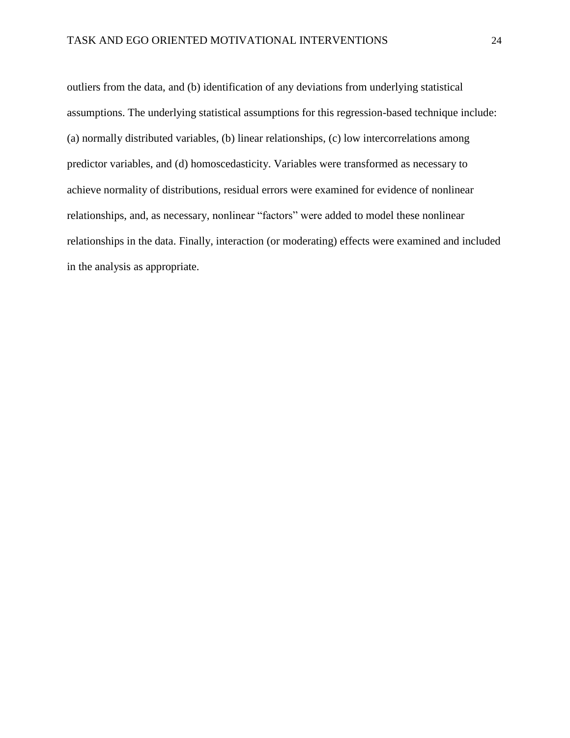outliers from the data, and (b) identification of any deviations from underlying statistical assumptions. The underlying statistical assumptions for this regression-based technique include: (a) normally distributed variables, (b) linear relationships, (c) low intercorrelations among predictor variables, and (d) homoscedasticity. Variables were transformed as necessary to achieve normality of distributions, residual errors were examined for evidence of nonlinear relationships, and, as necessary, nonlinear "factors" were added to model these nonlinear relationships in the data. Finally, interaction (or moderating) effects were examined and included in the analysis as appropriate.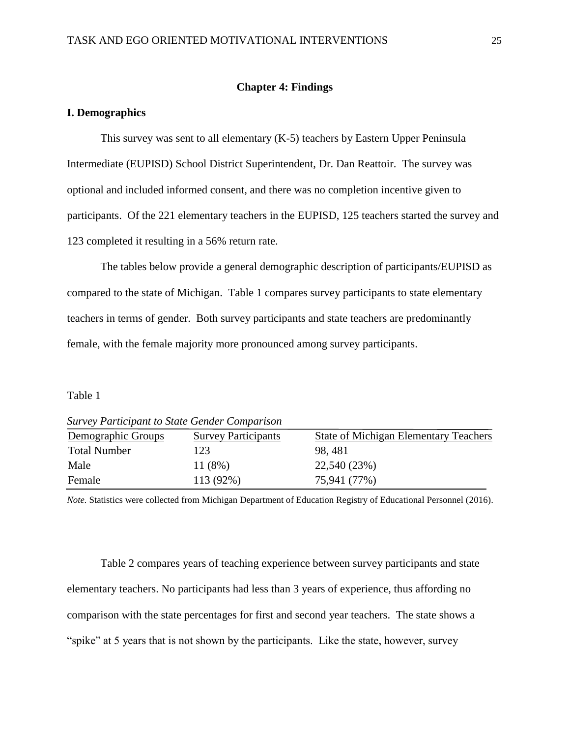#### **Chapter 4: Findings**

#### **I. Demographics**

This survey was sent to all elementary (K-5) teachers by Eastern Upper Peninsula Intermediate (EUPISD) School District Superintendent, Dr. Dan Reattoir. The survey was optional and included informed consent, and there was no completion incentive given to participants. Of the 221 elementary teachers in the EUPISD, 125 teachers started the survey and 123 completed it resulting in a 56% return rate.

The tables below provide a general demographic description of participants/EUPISD as compared to the state of Michigan. Table 1 compares survey participants to state elementary teachers in terms of gender. Both survey participants and state teachers are predominantly female, with the female majority more pronounced among survey participants.

### Table 1

| Survey Participant to State Gender Comparison |                            |                                              |  |
|-----------------------------------------------|----------------------------|----------------------------------------------|--|
| Demographic Groups                            | <b>Survey Participants</b> | <b>State of Michigan Elementary Teachers</b> |  |
| <b>Total Number</b>                           | 123                        | 98.481                                       |  |
| Male                                          | 11(8%)                     | 22,540 (23%)                                 |  |
| Female                                        | 113 (92%)                  | 75,941 (77%)                                 |  |

*Survey Participant to State Gender Comparison*

*Note.* Statistics were collected from Michigan Department of Education Registry of Educational Personnel (2016).

Table 2 compares years of teaching experience between survey participants and state elementary teachers. No participants had less than 3 years of experience, thus affording no comparison with the state percentages for first and second year teachers. The state shows a "spike" at 5 years that is not shown by the participants. Like the state, however, survey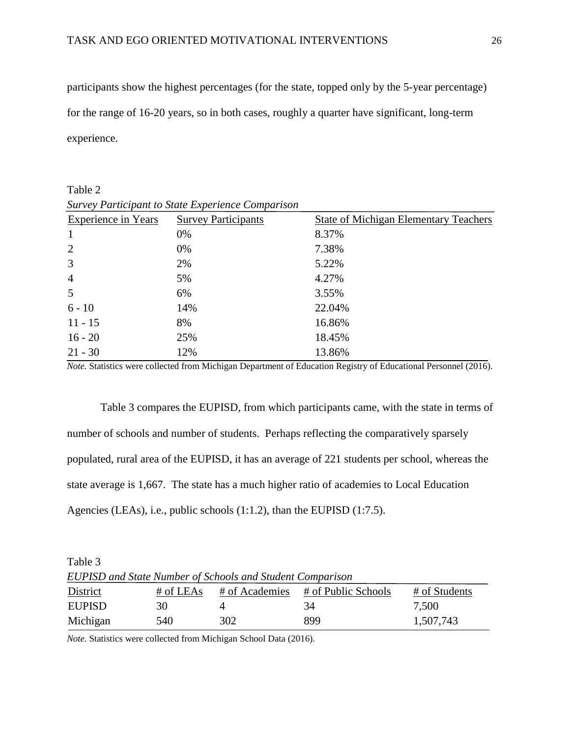participants show the highest percentages (for the state, topped only by the 5-year percentage) for the range of 16-20 years, so in both cases, roughly a quarter have significant, long-term experience.

| Survey Participant to State Experience Comparison |                            |                                              |  |
|---------------------------------------------------|----------------------------|----------------------------------------------|--|
| <b>Experience in Years</b>                        | <b>Survey Participants</b> | <b>State of Michigan Elementary Teachers</b> |  |
| $\mathbf{1}$                                      | 0%                         | 8.37%                                        |  |
| 2                                                 | $0\%$                      | 7.38%                                        |  |
| 3                                                 | 2%                         | 5.22%                                        |  |
| $\overline{4}$                                    | 5%                         | 4.27%                                        |  |
| 5                                                 | 6%                         | 3.55%                                        |  |
| $6 - 10$                                          | 14%                        | 22.04%                                       |  |
| $11 - 15$                                         | 8%                         | 16.86%                                       |  |
| $16 - 20$                                         | 25%                        | 18.45%                                       |  |
| $21 - 30$                                         | 12%                        | 13.86%                                       |  |

*Survey Participant to State Experience Comparison*

Table 2

*Note.* Statistics were collected from Michigan Department of Education Registry of Educational Personnel (2016).

Table 3 compares the EUPISD, from which participants came, with the state in terms of number of schools and number of students. Perhaps reflecting the comparatively sparsely populated, rural area of the EUPISD, it has an average of 221 students per school, whereas the state average is 1,667. The state has a much higher ratio of academies to Local Education Agencies (LEAs), i.e., public schools (1:1.2), than the EUPISD (1:7.5).

Table 3 *EUPISD and State Number of Schools and Student Comparison* District # of LEAs # of Academies # of Public Schools # of Students EUPISD 30 4 34 7,500 Michigan 540 302 899 1,507,743

*Note.* Statistics were collected from Michigan School Data (2016).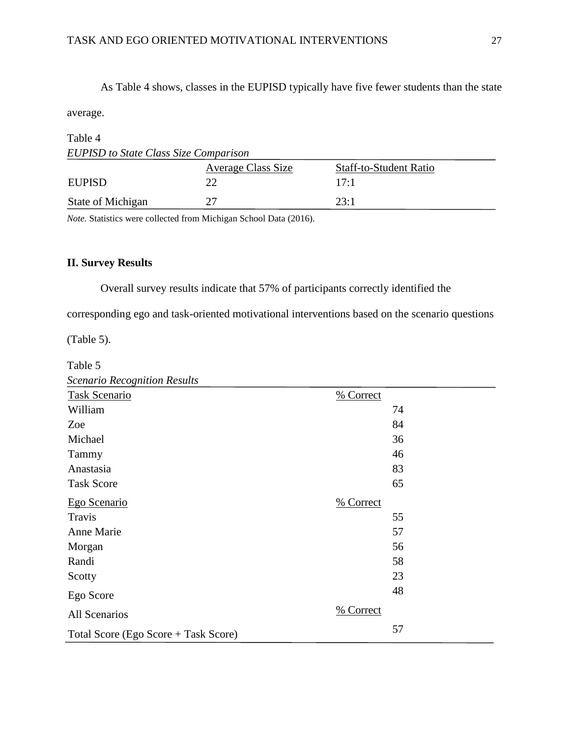As Table 4 shows, classes in the EUPISD typically have five fewer students than the state

average.

| Table 4                                      |                    |                        |  |
|----------------------------------------------|--------------------|------------------------|--|
| <b>EUPISD</b> to State Class Size Comparison |                    |                        |  |
|                                              | Average Class Size | Staff-to-Student Ratio |  |
| <b>EUPISD</b>                                | 22                 | 17:1                   |  |
| State of Michigan                            | 27                 | 23:1                   |  |

*Note.* Statistics were collected from Michigan School Data (2016).

## **II. Survey Results**

Overall survey results indicate that 57% of participants correctly identified the

corresponding ego and task-oriented motivational interventions based on the scenario questions

(Table 5).

| Table 5                              |           |  |
|--------------------------------------|-----------|--|
| <b>Scenario Recognition Results</b>  |           |  |
| <b>Task Scenario</b>                 | % Correct |  |
| William                              | 74        |  |
| Zoe                                  | 84        |  |
| Michael                              | 36        |  |
| Tammy                                | 46        |  |
| Anastasia                            | 83        |  |
| <b>Task Score</b>                    | 65        |  |
| Ego Scenario                         | % Correct |  |
| Travis                               | 55        |  |
| Anne Marie                           | 57        |  |
| Morgan                               | 56        |  |
| Randi                                | 58        |  |
| Scotty                               | 23        |  |
| Ego Score                            | 48        |  |
| All Scenarios                        | % Correct |  |
| Total Score (Ego Score + Task Score) | 57        |  |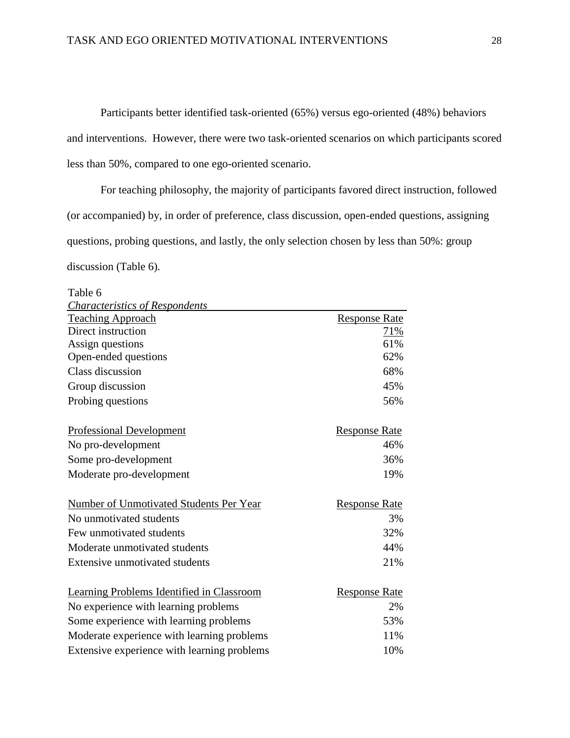Participants better identified task-oriented (65%) versus ego-oriented (48%) behaviors and interventions. However, there were two task-oriented scenarios on which participants scored less than 50%, compared to one ego-oriented scenario.

For teaching philosophy, the majority of participants favored direct instruction, followed (or accompanied) by, in order of preference, class discussion, open-ended questions, assigning questions, probing questions, and lastly, the only selection chosen by less than 50%: group discussion (Table 6).

| Table 6                                          |                      |
|--------------------------------------------------|----------------------|
| <b>Characteristics of Respondents</b>            |                      |
| <b>Teaching Approach</b>                         | <b>Response Rate</b> |
| Direct instruction                               | 71%                  |
| Assign questions                                 | 61%                  |
| Open-ended questions                             | 62%                  |
| <b>Class discussion</b>                          | 68%                  |
| Group discussion                                 | 45%                  |
| Probing questions                                | 56%                  |
|                                                  |                      |
| <b>Professional Development</b>                  | <b>Response Rate</b> |
| No pro-development                               | 46%                  |
| Some pro-development                             | 36%                  |
| Moderate pro-development                         | 19%                  |
|                                                  |                      |
| Number of Unmotivated Students Per Year          | <b>Response Rate</b> |
| No unmotivated students                          | 3%                   |
| Few unmotivated students                         | 32%                  |
| Moderate unmotivated students                    | 44%                  |
| Extensive unmotivated students                   | 21%                  |
|                                                  |                      |
| <b>Learning Problems Identified in Classroom</b> | <b>Response Rate</b> |
| No experience with learning problems             | 2%                   |
| Some experience with learning problems           | 53%                  |
| Moderate experience with learning problems       | 11%                  |
| Extensive experience with learning problems      | 10%                  |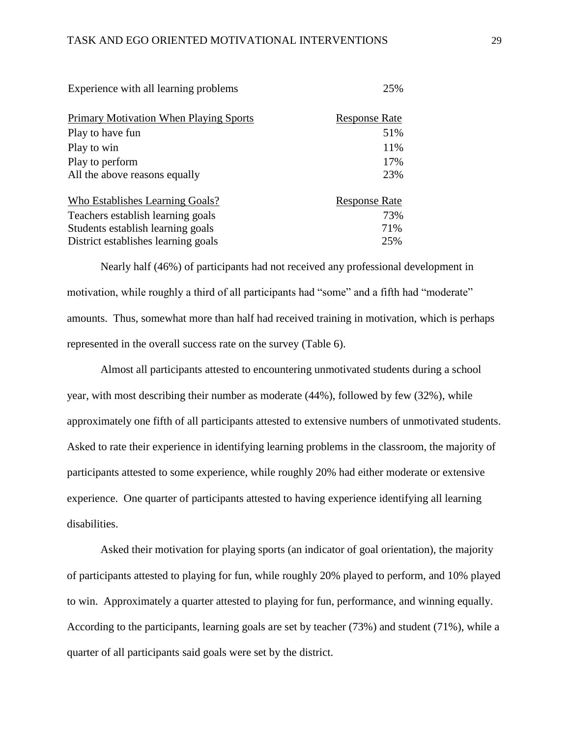Experience with all learning problems 25%

| Primary Motivation When Playing Sports | <b>Response Rate</b> |
|----------------------------------------|----------------------|
| Play to have fun                       | 51%                  |
| Play to win                            | 11%                  |
| Play to perform                        | 17%                  |
| All the above reasons equally          | 23%                  |
| Who Establishes Learning Goals?        | <b>Response Rate</b> |
| Teachers establish learning goals      | 73%                  |
| Students establish learning goals      | 71%                  |
| District establishes learning goals    | 25%                  |
|                                        |                      |

Nearly half (46%) of participants had not received any professional development in motivation, while roughly a third of all participants had "some" and a fifth had "moderate" amounts. Thus, somewhat more than half had received training in motivation, which is perhaps represented in the overall success rate on the survey (Table 6).

Almost all participants attested to encountering unmotivated students during a school year, with most describing their number as moderate (44%), followed by few (32%), while approximately one fifth of all participants attested to extensive numbers of unmotivated students. Asked to rate their experience in identifying learning problems in the classroom, the majority of participants attested to some experience, while roughly 20% had either moderate or extensive experience. One quarter of participants attested to having experience identifying all learning disabilities.

Asked their motivation for playing sports (an indicator of goal orientation), the majority of participants attested to playing for fun, while roughly 20% played to perform, and 10% played to win. Approximately a quarter attested to playing for fun, performance, and winning equally. According to the participants, learning goals are set by teacher (73%) and student (71%), while a quarter of all participants said goals were set by the district.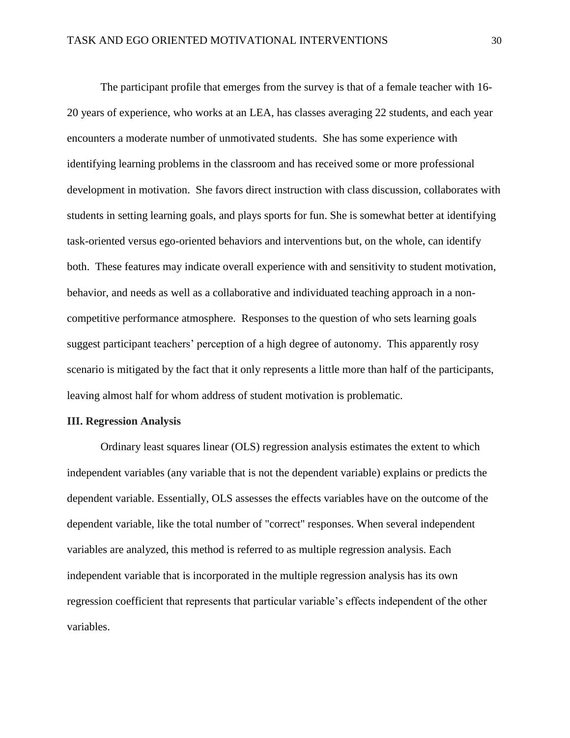The participant profile that emerges from the survey is that of a female teacher with 16- 20 years of experience, who works at an LEA, has classes averaging 22 students, and each year encounters a moderate number of unmotivated students. She has some experience with identifying learning problems in the classroom and has received some or more professional development in motivation. She favors direct instruction with class discussion, collaborates with students in setting learning goals, and plays sports for fun. She is somewhat better at identifying task-oriented versus ego-oriented behaviors and interventions but, on the whole, can identify both. These features may indicate overall experience with and sensitivity to student motivation, behavior, and needs as well as a collaborative and individuated teaching approach in a noncompetitive performance atmosphere. Responses to the question of who sets learning goals suggest participant teachers' perception of a high degree of autonomy. This apparently rosy scenario is mitigated by the fact that it only represents a little more than half of the participants, leaving almost half for whom address of student motivation is problematic.

## **III. Regression Analysis**

Ordinary least squares linear (OLS) regression analysis estimates the extent to which independent variables (any variable that is not the dependent variable) explains or predicts the dependent variable. Essentially, OLS assesses the effects variables have on the outcome of the dependent variable, like the total number of "correct" responses. When several independent variables are analyzed, this method is referred to as multiple regression analysis. Each independent variable that is incorporated in the multiple regression analysis has its own regression coefficient that represents that particular variable's effects independent of the other variables.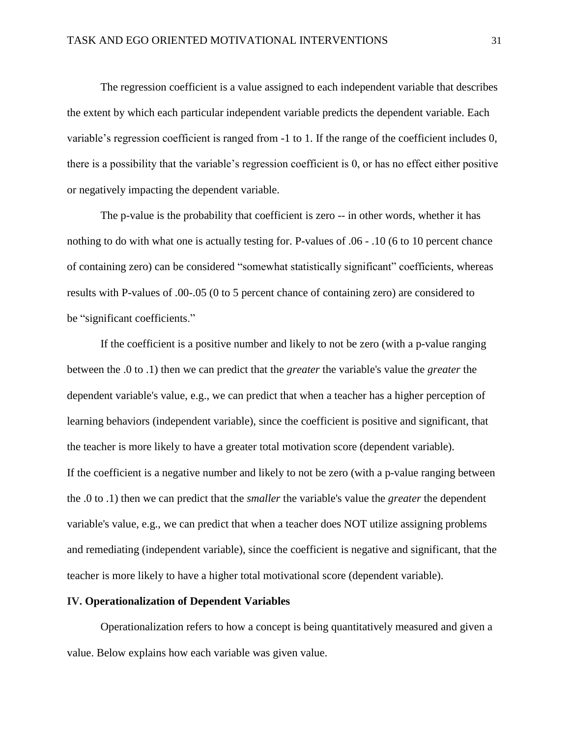The regression coefficient is a value assigned to each independent variable that describes the extent by which each particular independent variable predicts the dependent variable. Each variable's regression coefficient is ranged from -1 to 1. If the range of the coefficient includes 0, there is a possibility that the variable's regression coefficient is 0, or has no effect either positive or negatively impacting the dependent variable.

The p-value is the probability that coefficient is zero -- in other words, whether it has nothing to do with what one is actually testing for. P-values of .06 - .10 (6 to 10 percent chance of containing zero) can be considered "somewhat statistically significant" coefficients, whereas results with P-values of .00-.05 (0 to 5 percent chance of containing zero) are considered to be "significant coefficients."

If the coefficient is a positive number and likely to not be zero (with a p-value ranging between the .0 to .1) then we can predict that the *greater* the variable's value the *greater* the dependent variable's value, e.g., we can predict that when a teacher has a higher perception of learning behaviors (independent variable), since the coefficient is positive and significant, that the teacher is more likely to have a greater total motivation score (dependent variable). If the coefficient is a negative number and likely to not be zero (with a p-value ranging between the .0 to .1) then we can predict that the *smaller* the variable's value the *greater* the dependent variable's value, e.g., we can predict that when a teacher does NOT utilize assigning problems and remediating (independent variable), since the coefficient is negative and significant, that the teacher is more likely to have a higher total motivational score (dependent variable).

# **IV. Operationalization of Dependent Variables**

Operationalization refers to how a concept is being quantitatively measured and given a value. Below explains how each variable was given value.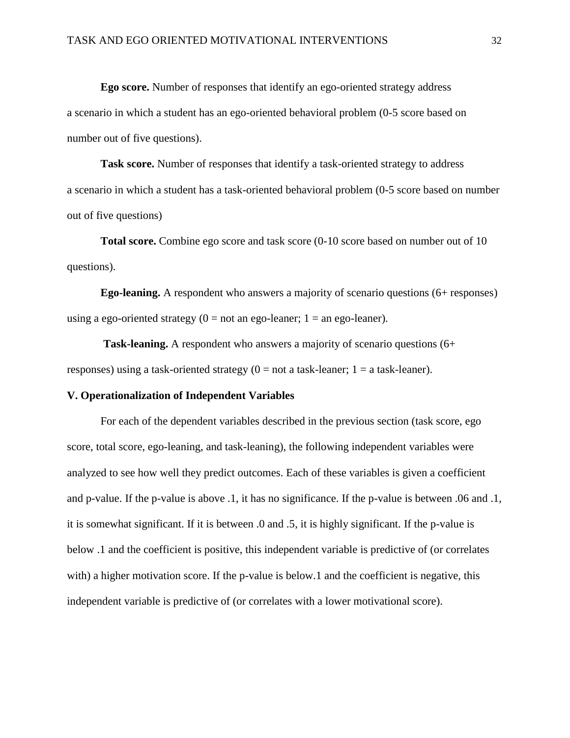**Ego score.** Number of responses that identify an ego-oriented strategy address a scenario in which a student has an ego-oriented behavioral problem (0-5 score based on number out of five questions).

Task score. Number of responses that identify a task-oriented strategy to address a scenario in which a student has a task-oriented behavioral problem (0-5 score based on number out of five questions)

**Total score.** Combine ego score and task score (0-10 score based on number out of 10 questions).

**Ego-leaning.** A respondent who answers a majority of scenario questions (6+ responses) using a ego-oriented strategy ( $0 = not$  an ego-leaner;  $1 = an$  ego-leaner).

**Task-leaning.** A respondent who answers a majority of scenario questions (6+ responses) using a task-oriented strategy  $(0 = not a task-learner; 1 = a task-learner)$ .

#### **V. Operationalization of Independent Variables**

For each of the dependent variables described in the previous section (task score, ego score, total score, ego-leaning, and task-leaning), the following independent variables were analyzed to see how well they predict outcomes. Each of these variables is given a coefficient and p-value. If the p-value is above .1, it has no significance. If the p-value is between .06 and .1, it is somewhat significant. If it is between .0 and .5, it is highly significant. If the p-value is below .1 and the coefficient is positive, this independent variable is predictive of (or correlates with) a higher motivation score. If the p-value is below. 1 and the coefficient is negative, this independent variable is predictive of (or correlates with a lower motivational score).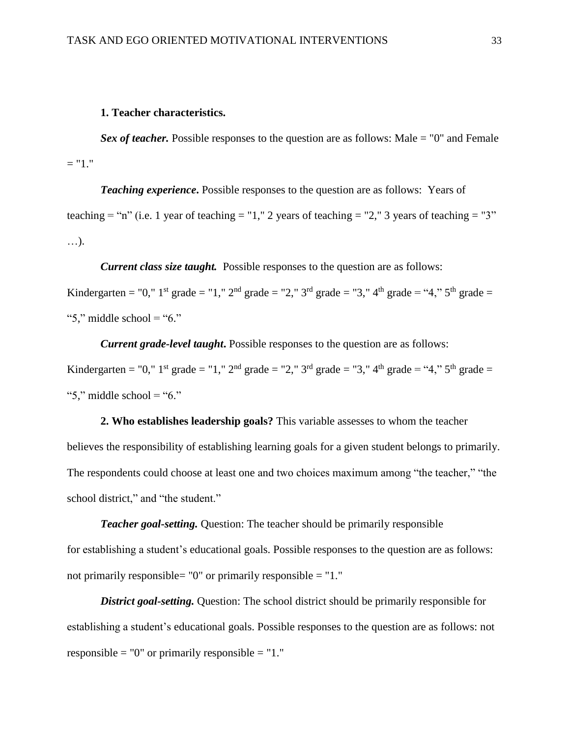## **1. Teacher characteristics.**

*Sex of teacher.* Possible responses to the question are as follows: Male = "0" and Female  $= "1."$ 

*Teaching experience*. Possible responses to the question are as follows: Years of teaching = "n" (i.e. 1 year of teaching = "1," 2 years of teaching = "2," 3 years of teaching = "3" …).

*Current class size taught.* Possible responses to the question are as follows:

Kindergarten = "0," 1<sup>st</sup> grade = "1," 2<sup>nd</sup> grade = "2," 3<sup>rd</sup> grade = "3," 4<sup>th</sup> grade = "4," 5<sup>th</sup> grade = "5," middle school = "6."

*Current grade-level taught.* Possible responses to the question are as follows: Kindergarten = "0," 1<sup>st</sup> grade = "1," 2<sup>nd</sup> grade = "2," 3<sup>rd</sup> grade = "3," 4<sup>th</sup> grade = "4," 5<sup>th</sup> grade = "5," middle school = "6."

**2. Who establishes leadership goals?** This variable assesses to whom the teacher believes the responsibility of establishing learning goals for a given student belongs to primarily. The respondents could choose at least one and two choices maximum among "the teacher," "the school district," and "the student."

*Teacher goal-setting.* Question: The teacher should be primarily responsible for establishing a student's educational goals. Possible responses to the question are as follows: not primarily responsible= "0" or primarily responsible = "1."

*District goal-setting.* Question: The school district should be primarily responsible for establishing a student's educational goals. Possible responses to the question are as follows: not responsible  $=$  "0" or primarily responsible  $=$  "1."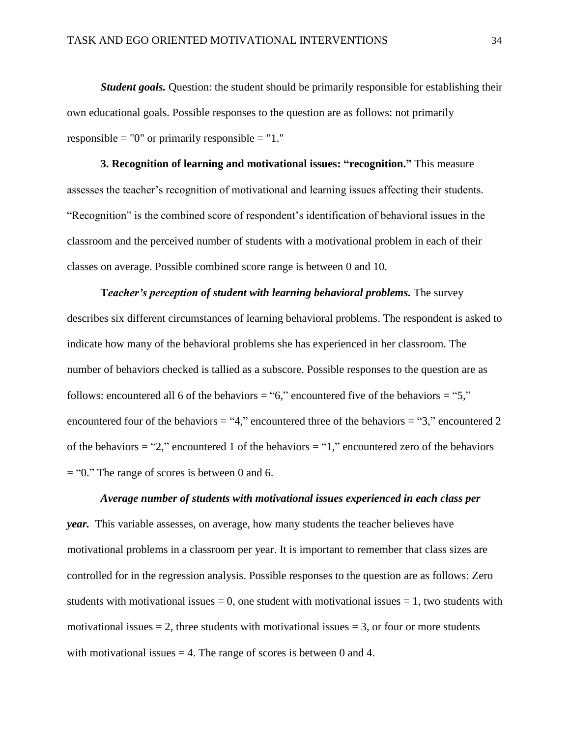*Student goals.* Question: the student should be primarily responsible for establishing their own educational goals. Possible responses to the question are as follows: not primarily responsible  $=$  "0" or primarily responsible  $=$  "1."

**3. Recognition of learning and motivational issues: "recognition."** This measure assesses the teacher's recognition of motivational and learning issues affecting their students. "Recognition" is the combined score of respondent's identification of behavioral issues in the classroom and the perceived number of students with a motivational problem in each of their classes on average. Possible combined score range is between 0 and 10.

# **T***eacher's perception of student with learning behavioral problems.* The survey describes six different circumstances of learning behavioral problems. The respondent is asked to indicate how many of the behavioral problems she has experienced in her classroom. The number of behaviors checked is tallied as a subscore. Possible responses to the question are as follows: encountered all 6 of the behaviors = "6," encountered five of the behaviors = "5," encountered four of the behaviors = "4," encountered three of the behaviors = "3," encountered 2 of the behaviors = "2," encountered 1 of the behaviors = "1," encountered zero of the behaviors  $=$  "0." The range of scores is between 0 and 6.

#### *Average number of students with motivational issues experienced in each class per*

*year.* This variable assesses, on average, how many students the teacher believes have motivational problems in a classroom per year. It is important to remember that class sizes are controlled for in the regression analysis. Possible responses to the question are as follows: Zero students with motivational issues  $= 0$ , one student with motivational issues  $= 1$ , two students with motivational issues  $= 2$ , three students with motivational issues  $= 3$ , or four or more students with motivational issues  $= 4$ . The range of scores is between 0 and 4.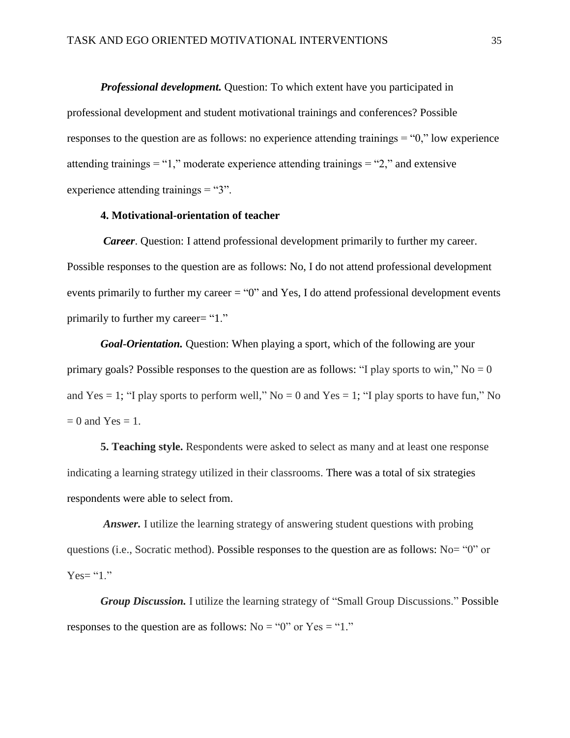*Professional development.* Question: To which extent have you participated in professional development and student motivational trainings and conferences? Possible responses to the question are as follows: no experience attending trainings = "0," low experience attending trainings  $=$  "1," moderate experience attending trainings  $=$  "2," and extensive experience attending trainings = "3".

# **4. Motivational-orientation of teacher**

*Career*. Question: I attend professional development primarily to further my career. Possible responses to the question are as follows: No, I do not attend professional development events primarily to further my career  $=$  "0" and Yes, I do attend professional development events primarily to further my career= "1."

*Goal-Orientation.* Question: When playing a sport, which of the following are your primary goals? Possible responses to the question are as follows: "I play sports to win,"  $No = 0$ and Yes = 1; "I play sports to perform well,"  $No = 0$  and Yes = 1; "I play sports to have fun," No  $= 0$  and Yes  $= 1$ .

**5. Teaching style.** Respondents were asked to select as many and at least one response indicating a learning strategy utilized in their classrooms. There was a total of six strategies respondents were able to select from.

*Answer.* I utilize the learning strategy of answering student questions with probing questions (i.e., Socratic method). Possible responses to the question are as follows: No= "0" or  $Yes = "1."$ 

*Group Discussion.* I utilize the learning strategy of "Small Group Discussions." Possible responses to the question are as follows:  $No = "0"$  or  $Yes = "1."$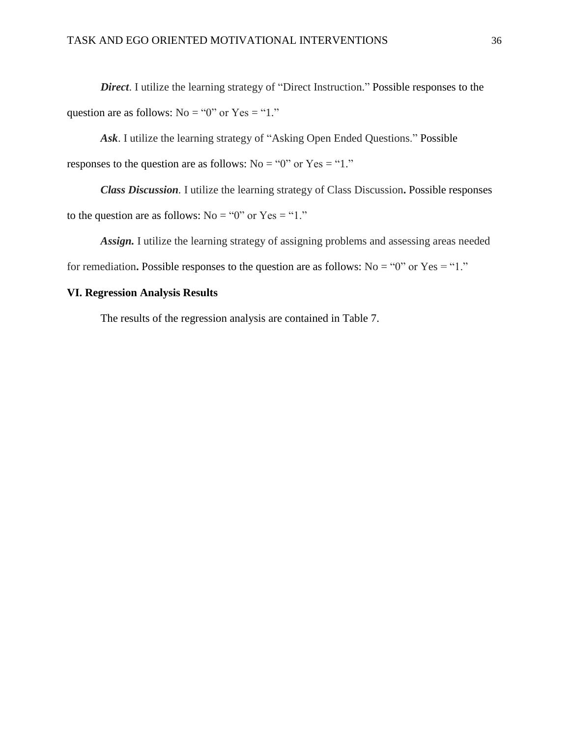**Direct**. I utilize the learning strategy of "Direct Instruction." Possible responses to the question are as follows:  $No = "0"$  or  $Yes = "1."$ 

*Ask*. I utilize the learning strategy of "Asking Open Ended Questions." Possible responses to the question are as follows:  $No = "0"$  or  $Yes = "1."$ 

*Class Discussion.* I utilize the learning strategy of Class Discussion**.** Possible responses to the question are as follows:  $No = "0"$  or  $Yes = "1."$ 

*Assign.* I utilize the learning strategy of assigning problems and assessing areas needed for remediation. Possible responses to the question are as follows:  $No = "0"$  or  $Yes = "1."$ 

## **VI. Regression Analysis Results**

The results of the regression analysis are contained in Table 7.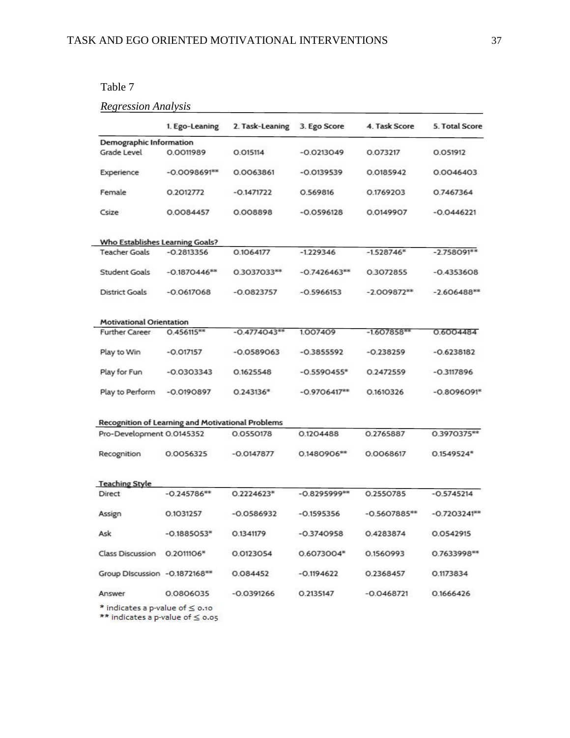# Table 7

# *Regression Analysis*

|                                                   | 1. Ego-Leaning  | 2. Task-Leaning                                             | 3. Ego Score    | 4. Task Score   | 5. Total Score |
|---------------------------------------------------|-----------------|-------------------------------------------------------------|-----------------|-----------------|----------------|
| <b>Demographic Information</b>                    |                 |                                                             |                 |                 |                |
| Grade Level                                       | 0.0011989       | 0.015114                                                    | $-0.0213049$    | 0.073217        | 0.051912       |
| Experience                                        | $-0.0098691**$  | 0.0063861                                                   | $-0.0139539$    | 0.0185942       | 0.0046403      |
| Female                                            | 0.2012772       | $-0.1471722$                                                | 0.569816        | 0.1769203       | 0.7467364      |
| Csize                                             | 0.0084457       | 0.008898                                                    | $-0.0596128$    | 0.0149907       | $-0.0446221$   |
| Who Establishes Learning Goals?                   |                 |                                                             |                 |                 |                |
| <b>Teacher Goals</b>                              | $-0.2813356$    | 0.1064177                                                   | $-1.229346$     | $-1.528746*$    | $-2.758091**$  |
| Student Goals                                     | $-0.1870446$ ** | 0.3037033**                                                 | $-0.7426463**$  | 0.3072855       | $-0.4353608$   |
| <b>District Goals</b>                             | $-0.0617068$    | $-0.0823757$                                                | $-0.5966153$    | $-2.009872***$  | $-2.606488**$  |
| <b>Motivational Orientation</b>                   |                 |                                                             |                 |                 |                |
| <b>Further Career</b>                             | 0.456115**      | $-0.4774043**$                                              | 1.007409        | $-1.607858**$   | 0.6004484      |
| Play to Win                                       | $-0.017157$     | $-0.0589063$                                                | $-0.3855592$    | $-0.238259$     | $-0.6238182$   |
| Play for Fun                                      | $-0.0303343$    | 0.1625548                                                   | $-0.5590455*$   | 0.2472559       | $-0.3117896$   |
| Play to Perform                                   | $-0.0190897$    | 0.243136*                                                   | $-0.9706417***$ | 0.1610326       | $-0.8096091*$  |
| Recognition of Learning and Motivational Problems |                 |                                                             |                 |                 |                |
| Pro-Development 0.0145352                         |                 | 0.0550178                                                   | 0.1204488       | 0.2765887       | 0.3970375**    |
| Recognition                                       | 0.0056325       | $-0.0147877$                                                | 0.1480906**     | 0.0068617       | 0.1549524*     |
| <b>Teaching Style</b>                             |                 |                                                             |                 |                 |                |
| <b>Direct</b>                                     | $-0.245786**$   | 0.2224623*                                                  | $-0.8295999**$  | 0.2550785       | $-0.5745214$   |
| Assign                                            | 0.1031257       | $-0.0586932$                                                | $-0.1595356$    | $-0.5607885***$ | $-0.7203241**$ |
| Ask                                               | $-0.1885053*$   | 0.1341179                                                   | $-0.3740958$    | 0.4283874       | 0.0542915      |
|                                                   |                 | Class Discussion 0.2011106* 0.0123054 0.6073004* 0.1560993  |                 |                 | 0.7633998**    |
|                                                   |                 | Group Discussion -0.1872168** 0.084452 -0.1194622 0.2368457 |                 |                 | 0.1173834      |
| Answer                                            |                 | 0.0806035 -0.0391266                                        | 0.2135147       | $-0.0468721$    | 0.1666426      |
| $*$ indicates a n-value of $\leq$ 0.10            |                 |                                                             |                 |                 |                |

\* indicates a p-value of  $\leq$  0.10<br>\*\* indicates a p-value of  $\leq$  0.05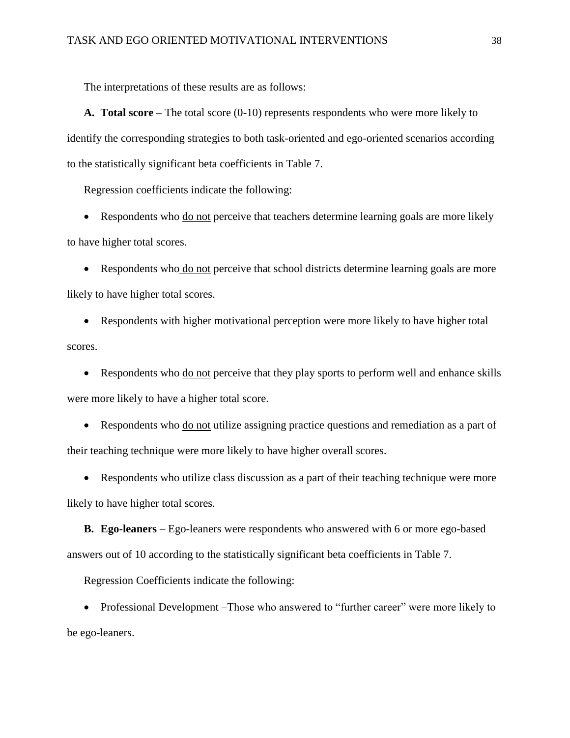The interpretations of these results are as follows:

**A. Total score** – The total score (0-10) represents respondents who were more likely to identify the corresponding strategies to both task-oriented and ego-oriented scenarios according to the statistically significant beta coefficients in Table 7.

Regression coefficients indicate the following:

• Respondents who do not perceive that teachers determine learning goals are more likely to have higher total scores.

• Respondents who do not perceive that school districts determine learning goals are more likely to have higher total scores.

• Respondents with higher motivational perception were more likely to have higher total scores.

• Respondents who do not perceive that they play sports to perform well and enhance skills were more likely to have a higher total score.

• Respondents who do not utilize assigning practice questions and remediation as a part of their teaching technique were more likely to have higher overall scores.

• Respondents who utilize class discussion as a part of their teaching technique were more likely to have higher total scores.

**B. Ego-leaners** – Ego-leaners were respondents who answered with 6 or more ego-based answers out of 10 according to the statistically significant beta coefficients in Table 7.

Regression Coefficients indicate the following:

• Professional Development –Those who answered to "further career" were more likely to be ego-leaners.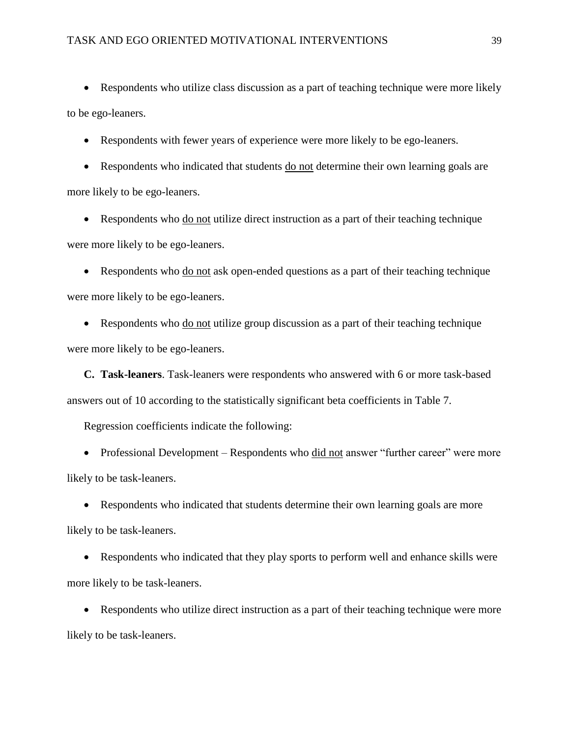• Respondents who utilize class discussion as a part of teaching technique were more likely to be ego-leaners.

• Respondents with fewer years of experience were more likely to be ego-leaners.

• Respondents who indicated that students do not determine their own learning goals are more likely to be ego-leaners.

• Respondents who do not utilize direct instruction as a part of their teaching technique were more likely to be ego-leaners.

• Respondents who <u>do not</u> ask open-ended questions as a part of their teaching technique were more likely to be ego-leaners.

• Respondents who do not utilize group discussion as a part of their teaching technique were more likely to be ego-leaners.

**C. Task-leaners**. Task-leaners were respondents who answered with 6 or more task-based answers out of 10 according to the statistically significant beta coefficients in Table 7.

Regression coefficients indicate the following:

• Professional Development – Respondents who did not answer "further career" were more likely to be task-leaners.

• Respondents who indicated that students determine their own learning goals are more likely to be task-leaners.

• Respondents who indicated that they play sports to perform well and enhance skills were more likely to be task-leaners.

• Respondents who utilize direct instruction as a part of their teaching technique were more likely to be task-leaners.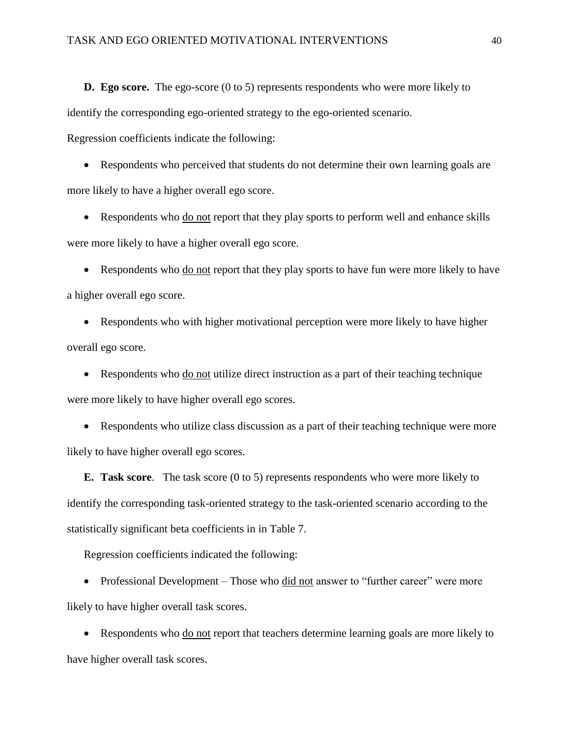**D. Ego score.** The ego-score (0 to 5) represents respondents who were more likely to identify the corresponding ego-oriented strategy to the ego-oriented scenario.

Regression coefficients indicate the following:

• Respondents who perceived that students do not determine their own learning goals are more likely to have a higher overall ego score.

• Respondents who <u>do not</u> report that they play sports to perform well and enhance skills were more likely to have a higher overall ego score.

• Respondents who do not report that they play sports to have fun were more likely to have a higher overall ego score.

• Respondents who with higher motivational perception were more likely to have higher overall ego score.

• Respondents who do not utilize direct instruction as a part of their teaching technique were more likely to have higher overall ego scores.

• Respondents who utilize class discussion as a part of their teaching technique were more likely to have higher overall ego scores.

**E. Task score**. The task score (0 to 5) represents respondents who were more likely to identify the corresponding task-oriented strategy to the task-oriented scenario according to the statistically significant beta coefficients in in Table 7.

Regression coefficients indicated the following:

• Professional Development – Those who did not answer to "further career" were more likely to have higher overall task scores.

• Respondents who do not report that teachers determine learning goals are more likely to have higher overall task scores.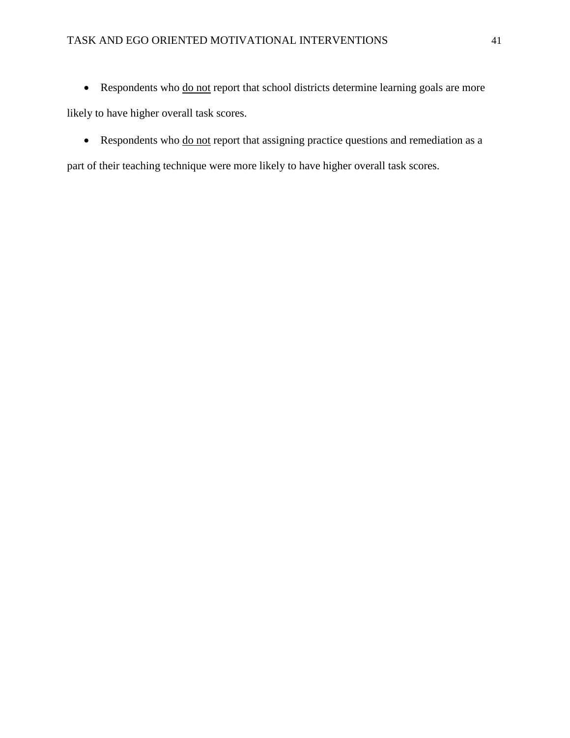• Respondents who do not report that school districts determine learning goals are more

likely to have higher overall task scores.

• Respondents who do not report that assigning practice questions and remediation as a

part of their teaching technique were more likely to have higher overall task scores.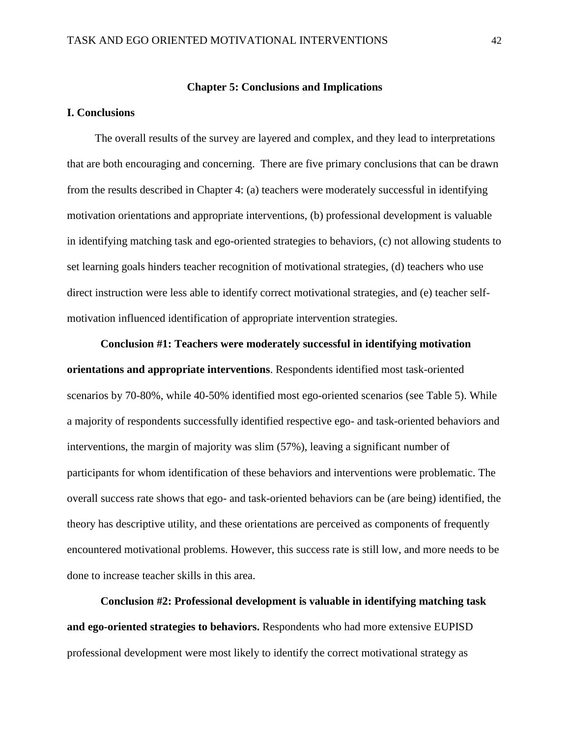#### **Chapter 5: Conclusions and Implications**

#### **I. Conclusions**

 The overall results of the survey are layered and complex, and they lead to interpretations that are both encouraging and concerning. There are five primary conclusions that can be drawn from the results described in Chapter 4: (a) teachers were moderately successful in identifying motivation orientations and appropriate interventions, (b) professional development is valuable in identifying matching task and ego-oriented strategies to behaviors, (c) not allowing students to set learning goals hinders teacher recognition of motivational strategies, (d) teachers who use direct instruction were less able to identify correct motivational strategies, and (e) teacher selfmotivation influenced identification of appropriate intervention strategies.

**Conclusion #1: Teachers were moderately successful in identifying motivation orientations and appropriate interventions**. Respondents identified most task-oriented scenarios by 70-80%, while 40-50% identified most ego-oriented scenarios (see Table 5). While a majority of respondents successfully identified respective ego- and task-oriented behaviors and interventions, the margin of majority was slim (57%), leaving a significant number of participants for whom identification of these behaviors and interventions were problematic. The overall success rate shows that ego- and task-oriented behaviors can be (are being) identified, the theory has descriptive utility, and these orientations are perceived as components of frequently encountered motivational problems. However, this success rate is still low, and more needs to be done to increase teacher skills in this area.

**Conclusion #2: Professional development is valuable in identifying matching task and ego-oriented strategies to behaviors.** Respondents who had more extensive EUPISD professional development were most likely to identify the correct motivational strategy as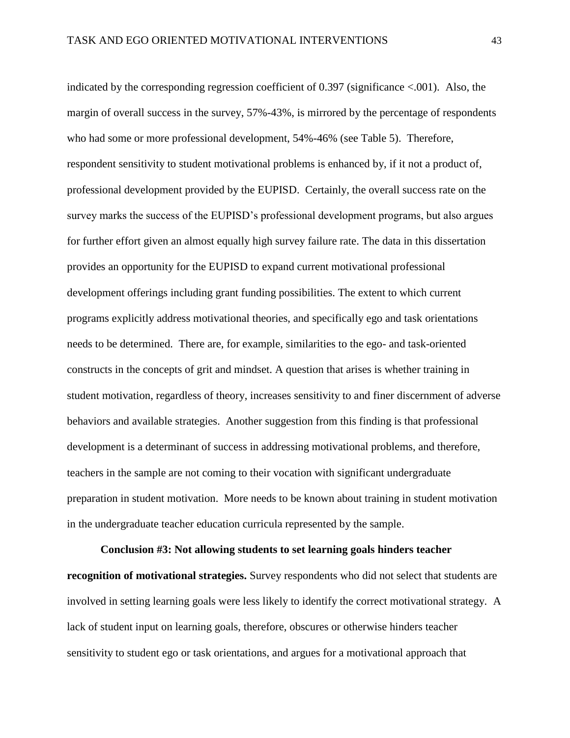indicated by the corresponding regression coefficient of 0.397 (significance <.001). Also, the margin of overall success in the survey, 57%-43%, is mirrored by the percentage of respondents who had some or more professional development, 54%-46% (see Table 5). Therefore, respondent sensitivity to student motivational problems is enhanced by, if it not a product of, professional development provided by the EUPISD. Certainly, the overall success rate on the survey marks the success of the EUPISD's professional development programs, but also argues for further effort given an almost equally high survey failure rate. The data in this dissertation provides an opportunity for the EUPISD to expand current motivational professional development offerings including grant funding possibilities. The extent to which current programs explicitly address motivational theories, and specifically ego and task orientations needs to be determined. There are, for example, similarities to the ego- and task-oriented constructs in the concepts of grit and mindset. A question that arises is whether training in student motivation, regardless of theory, increases sensitivity to and finer discernment of adverse behaviors and available strategies. Another suggestion from this finding is that professional development is a determinant of success in addressing motivational problems, and therefore, teachers in the sample are not coming to their vocation with significant undergraduate preparation in student motivation. More needs to be known about training in student motivation in the undergraduate teacher education curricula represented by the sample.

**Conclusion #3: Not allowing students to set learning goals hinders teacher recognition of motivational strategies.** Survey respondents who did not select that students are involved in setting learning goals were less likely to identify the correct motivational strategy. A lack of student input on learning goals, therefore, obscures or otherwise hinders teacher

sensitivity to student ego or task orientations, and argues for a motivational approach that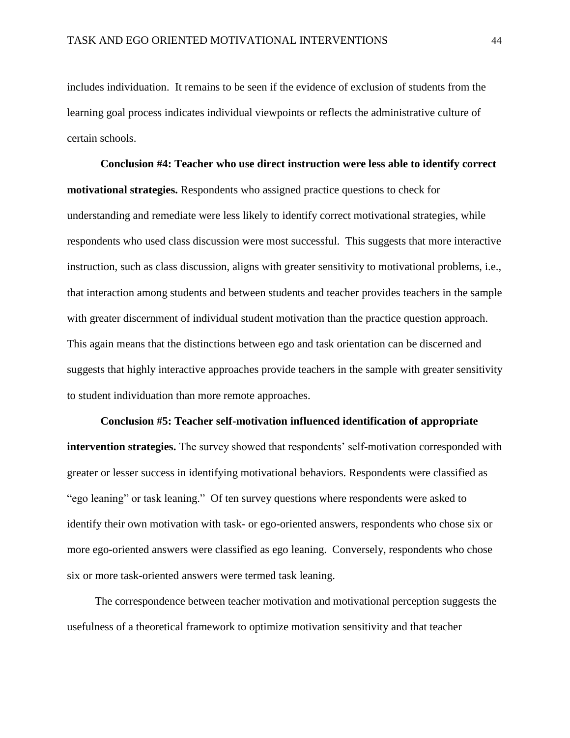includes individuation. It remains to be seen if the evidence of exclusion of students from the learning goal process indicates individual viewpoints or reflects the administrative culture of certain schools.

**Conclusion #4: Teacher who use direct instruction were less able to identify correct motivational strategies.** Respondents who assigned practice questions to check for understanding and remediate were less likely to identify correct motivational strategies, while respondents who used class discussion were most successful. This suggests that more interactive instruction, such as class discussion, aligns with greater sensitivity to motivational problems, i.e., that interaction among students and between students and teacher provides teachers in the sample with greater discernment of individual student motivation than the practice question approach. This again means that the distinctions between ego and task orientation can be discerned and suggests that highly interactive approaches provide teachers in the sample with greater sensitivity to student individuation than more remote approaches.

#### **Conclusion #5: Teacher self-motivation influenced identification of appropriate**

**intervention strategies.** The survey showed that respondents' self-motivation corresponded with greater or lesser success in identifying motivational behaviors. Respondents were classified as "ego leaning" or task leaning." Of ten survey questions where respondents were asked to identify their own motivation with task- or ego-oriented answers, respondents who chose six or more ego-oriented answers were classified as ego leaning. Conversely, respondents who chose six or more task-oriented answers were termed task leaning.

 The correspondence between teacher motivation and motivational perception suggests the usefulness of a theoretical framework to optimize motivation sensitivity and that teacher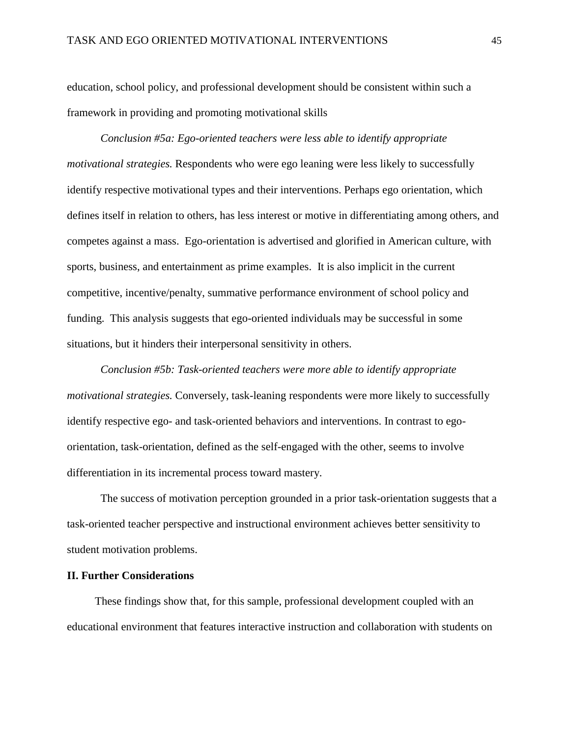education, school policy, and professional development should be consistent within such a framework in providing and promoting motivational skills

*Conclusion #5a: Ego-oriented teachers were less able to identify appropriate motivational strategies.* Respondents who were ego leaning were less likely to successfully identify respective motivational types and their interventions. Perhaps ego orientation, which defines itself in relation to others, has less interest or motive in differentiating among others, and competes against a mass. Ego-orientation is advertised and glorified in American culture, with sports, business, and entertainment as prime examples. It is also implicit in the current competitive, incentive/penalty, summative performance environment of school policy and funding. This analysis suggests that ego-oriented individuals may be successful in some situations, but it hinders their interpersonal sensitivity in others.

*Conclusion #5b: Task-oriented teachers were more able to identify appropriate motivational strategies.* Conversely, task-leaning respondents were more likely to successfully identify respective ego- and task-oriented behaviors and interventions. In contrast to egoorientation, task-orientation, defined as the self-engaged with the other, seems to involve differentiation in its incremental process toward mastery.

The success of motivation perception grounded in a prior task-orientation suggests that a task-oriented teacher perspective and instructional environment achieves better sensitivity to student motivation problems.

# **II. Further Considerations**

 These findings show that, for this sample, professional development coupled with an educational environment that features interactive instruction and collaboration with students on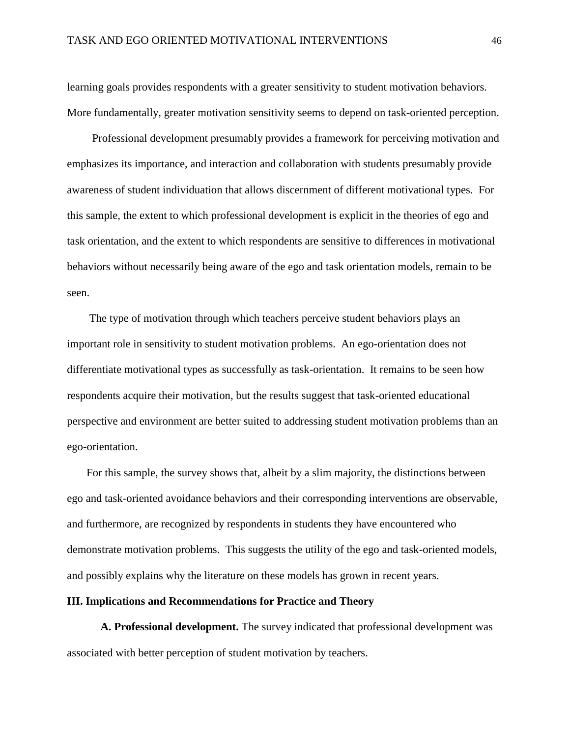learning goals provides respondents with a greater sensitivity to student motivation behaviors. More fundamentally, greater motivation sensitivity seems to depend on task-oriented perception.

 Professional development presumably provides a framework for perceiving motivation and emphasizes its importance, and interaction and collaboration with students presumably provide awareness of student individuation that allows discernment of different motivational types. For this sample, the extent to which professional development is explicit in the theories of ego and task orientation, and the extent to which respondents are sensitive to differences in motivational behaviors without necessarily being aware of the ego and task orientation models, remain to be seen.

 The type of motivation through which teachers perceive student behaviors plays an important role in sensitivity to student motivation problems. An ego-orientation does not differentiate motivational types as successfully as task-orientation. It remains to be seen how respondents acquire their motivation, but the results suggest that task-oriented educational perspective and environment are better suited to addressing student motivation problems than an ego-orientation.

 For this sample, the survey shows that, albeit by a slim majority, the distinctions between ego and task-oriented avoidance behaviors and their corresponding interventions are observable, and furthermore, are recognized by respondents in students they have encountered who demonstrate motivation problems. This suggests the utility of the ego and task-oriented models, and possibly explains why the literature on these models has grown in recent years.

# **III. Implications and Recommendations for Practice and Theory**

**A. Professional development.** The survey indicated that professional development was associated with better perception of student motivation by teachers.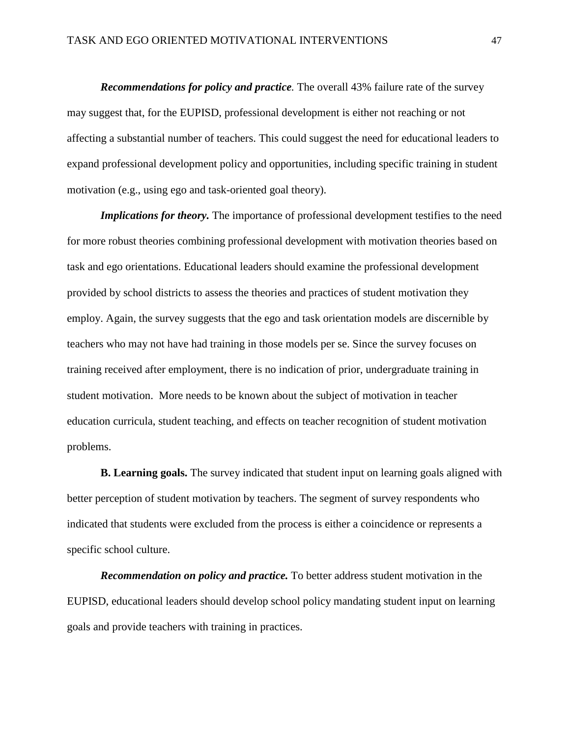*Recommendations for policy and practice.* The overall 43% failure rate of the survey may suggest that, for the EUPISD, professional development is either not reaching or not affecting a substantial number of teachers. This could suggest the need for educational leaders to expand professional development policy and opportunities, including specific training in student motivation (e.g., using ego and task-oriented goal theory).

*Implications for theory.* The importance of professional development testifies to the need for more robust theories combining professional development with motivation theories based on task and ego orientations. Educational leaders should examine the professional development provided by school districts to assess the theories and practices of student motivation they employ. Again, the survey suggests that the ego and task orientation models are discernible by teachers who may not have had training in those models per se. Since the survey focuses on training received after employment, there is no indication of prior, undergraduate training in student motivation. More needs to be known about the subject of motivation in teacher education curricula, student teaching, and effects on teacher recognition of student motivation problems.

**B. Learning goals.** The survey indicated that student input on learning goals aligned with better perception of student motivation by teachers. The segment of survey respondents who indicated that students were excluded from the process is either a coincidence or represents a specific school culture.

*Recommendation on policy and practice.* To better address student motivation in the EUPISD, educational leaders should develop school policy mandating student input on learning goals and provide teachers with training in practices.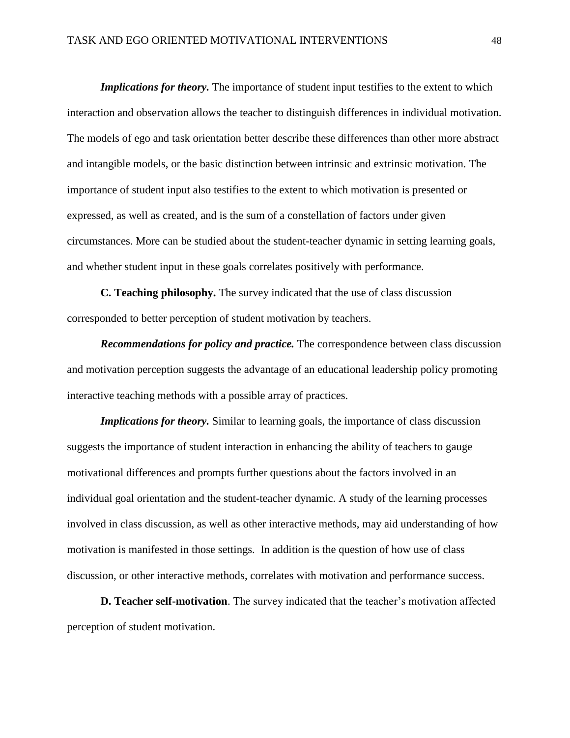*Implications for theory.* The importance of student input testifies to the extent to which interaction and observation allows the teacher to distinguish differences in individual motivation. The models of ego and task orientation better describe these differences than other more abstract and intangible models, or the basic distinction between intrinsic and extrinsic motivation. The importance of student input also testifies to the extent to which motivation is presented or expressed, as well as created, and is the sum of a constellation of factors under given circumstances. More can be studied about the student-teacher dynamic in setting learning goals, and whether student input in these goals correlates positively with performance.

**C. Teaching philosophy.** The survey indicated that the use of class discussion corresponded to better perception of student motivation by teachers.

*Recommendations for policy and practice.* The correspondence between class discussion and motivation perception suggests the advantage of an educational leadership policy promoting interactive teaching methods with a possible array of practices.

*Implications for theory.* Similar to learning goals, the importance of class discussion suggests the importance of student interaction in enhancing the ability of teachers to gauge motivational differences and prompts further questions about the factors involved in an individual goal orientation and the student-teacher dynamic. A study of the learning processes involved in class discussion, as well as other interactive methods, may aid understanding of how motivation is manifested in those settings. In addition is the question of how use of class discussion, or other interactive methods, correlates with motivation and performance success.

**D. Teacher self-motivation**. The survey indicated that the teacher's motivation affected perception of student motivation.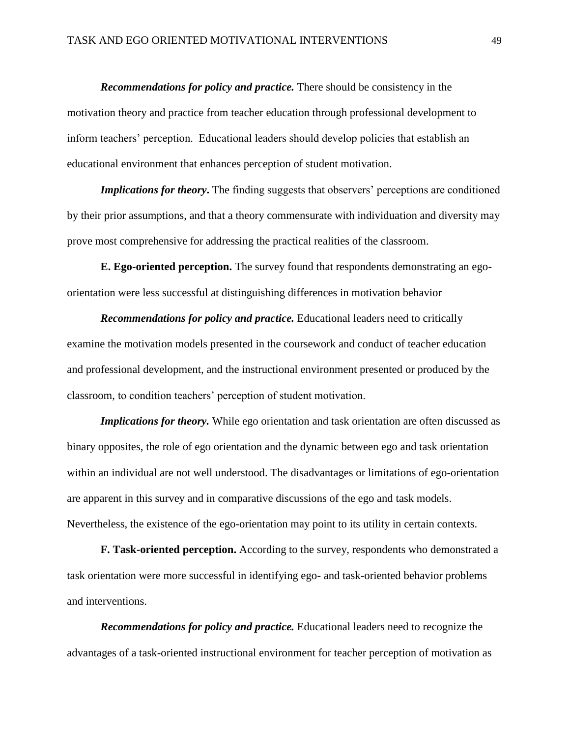*Recommendations for policy and practice.* There should be consistency in the motivation theory and practice from teacher education through professional development to inform teachers' perception. Educational leaders should develop policies that establish an educational environment that enhances perception of student motivation.

*Implications for theory*. The finding suggests that observers' perceptions are conditioned by their prior assumptions, and that a theory commensurate with individuation and diversity may prove most comprehensive for addressing the practical realities of the classroom.

**E. Ego-oriented perception.** The survey found that respondents demonstrating an egoorientation were less successful at distinguishing differences in motivation behavior

*Recommendations for policy and practice.* Educational leaders need to critically examine the motivation models presented in the coursework and conduct of teacher education and professional development, and the instructional environment presented or produced by the classroom, to condition teachers' perception of student motivation.

*Implications for theory.* While ego orientation and task orientation are often discussed as binary opposites, the role of ego orientation and the dynamic between ego and task orientation within an individual are not well understood. The disadvantages or limitations of ego-orientation are apparent in this survey and in comparative discussions of the ego and task models. Nevertheless, the existence of the ego-orientation may point to its utility in certain contexts.

**F. Task-oriented perception.** According to the survey, respondents who demonstrated a task orientation were more successful in identifying ego- and task-oriented behavior problems and interventions.

*Recommendations for policy and practice.* Educational leaders need to recognize the advantages of a task-oriented instructional environment for teacher perception of motivation as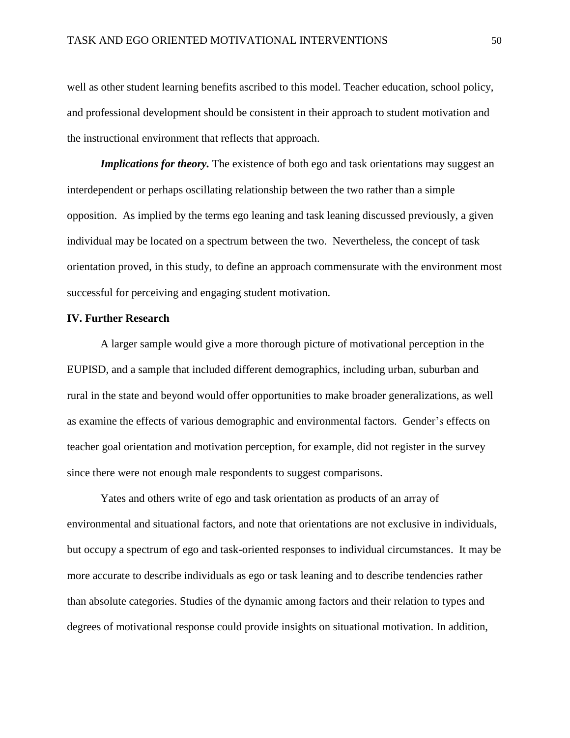well as other student learning benefits ascribed to this model. Teacher education, school policy, and professional development should be consistent in their approach to student motivation and the instructional environment that reflects that approach.

*Implications for theory.* The existence of both ego and task orientations may suggest an interdependent or perhaps oscillating relationship between the two rather than a simple opposition. As implied by the terms ego leaning and task leaning discussed previously, a given individual may be located on a spectrum between the two. Nevertheless, the concept of task orientation proved, in this study, to define an approach commensurate with the environment most successful for perceiving and engaging student motivation.

## **IV. Further Research**

A larger sample would give a more thorough picture of motivational perception in the EUPISD, and a sample that included different demographics, including urban, suburban and rural in the state and beyond would offer opportunities to make broader generalizations, as well as examine the effects of various demographic and environmental factors. Gender's effects on teacher goal orientation and motivation perception, for example, did not register in the survey since there were not enough male respondents to suggest comparisons.

Yates and others write of ego and task orientation as products of an array of environmental and situational factors, and note that orientations are not exclusive in individuals, but occupy a spectrum of ego and task-oriented responses to individual circumstances. It may be more accurate to describe individuals as ego or task leaning and to describe tendencies rather than absolute categories. Studies of the dynamic among factors and their relation to types and degrees of motivational response could provide insights on situational motivation. In addition,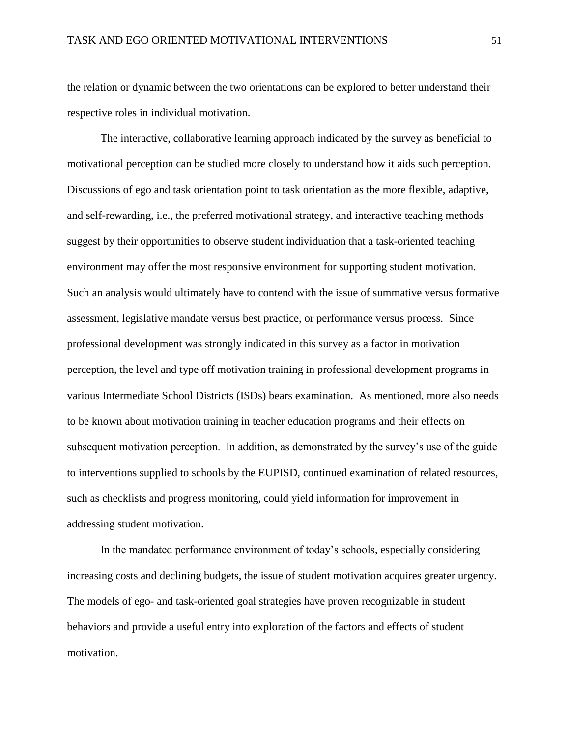the relation or dynamic between the two orientations can be explored to better understand their respective roles in individual motivation.

The interactive, collaborative learning approach indicated by the survey as beneficial to motivational perception can be studied more closely to understand how it aids such perception. Discussions of ego and task orientation point to task orientation as the more flexible, adaptive, and self-rewarding, i.e., the preferred motivational strategy, and interactive teaching methods suggest by their opportunities to observe student individuation that a task-oriented teaching environment may offer the most responsive environment for supporting student motivation. Such an analysis would ultimately have to contend with the issue of summative versus formative assessment, legislative mandate versus best practice, or performance versus process. Since professional development was strongly indicated in this survey as a factor in motivation perception, the level and type off motivation training in professional development programs in various Intermediate School Districts (ISDs) bears examination. As mentioned, more also needs to be known about motivation training in teacher education programs and their effects on subsequent motivation perception. In addition, as demonstrated by the survey's use of the guide to interventions supplied to schools by the EUPISD, continued examination of related resources, such as checklists and progress monitoring, could yield information for improvement in addressing student motivation.

In the mandated performance environment of today's schools, especially considering increasing costs and declining budgets, the issue of student motivation acquires greater urgency. The models of ego- and task-oriented goal strategies have proven recognizable in student behaviors and provide a useful entry into exploration of the factors and effects of student motivation.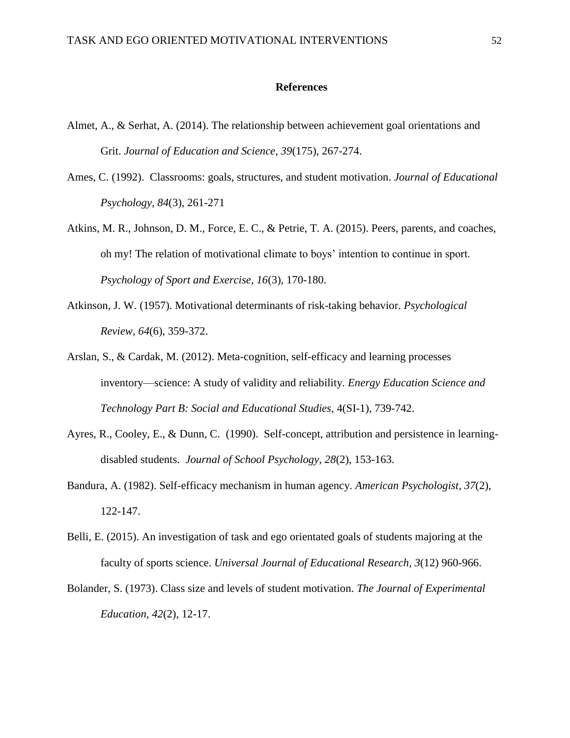#### **References**

- Almet, A., & Serhat, A. (2014). The relationship between achievement goal orientations and Grit. *Journal of Education and Science*, *39*(175), 267-274.
- Ames, C. (1992). Classrooms: goals, structures, and student motivation. *Journal of Educational Psychology, 84*(3), 261-271
- Atkins, M. R., Johnson, D. M., Force, E. C., & Petrie, T. A. (2015). Peers, parents, and coaches, oh my! The relation of motivational climate to boys' intention to continue in sport. *Psychology of Sport and Exercise, 16*(3), 170-180.
- Atkinson, J. W. (1957). Motivational determinants of risk-taking behavior. *Psychological Review, 64*(6), 359-372.
- Arslan, S., & Cardak, M. (2012). Meta-cognition, self-efficacy and learning processes inventory—science: A study of validity and reliability. *Energy Education Science and Technology Part B: Social and Educational Studies,* 4(SI-1), 739-742.
- Ayres, R., Cooley, E., & Dunn, C. (1990). Self-concept, attribution and persistence in learningdisabled students. *Journal of School Psychology, 28*(2), 153-163.
- Bandura, A. (1982). Self-efficacy mechanism in human agency. *American Psychologist, 37*(2), 122-147.
- Belli, E. (2015). An investigation of task and ego orientated goals of students majoring at the faculty of sports science. *Universal Journal of Educational Research, 3*(12) 960-966.
- Bolander, S. (1973). Class size and levels of student motivation. *The Journal of Experimental Education, 42*(2), 12-17.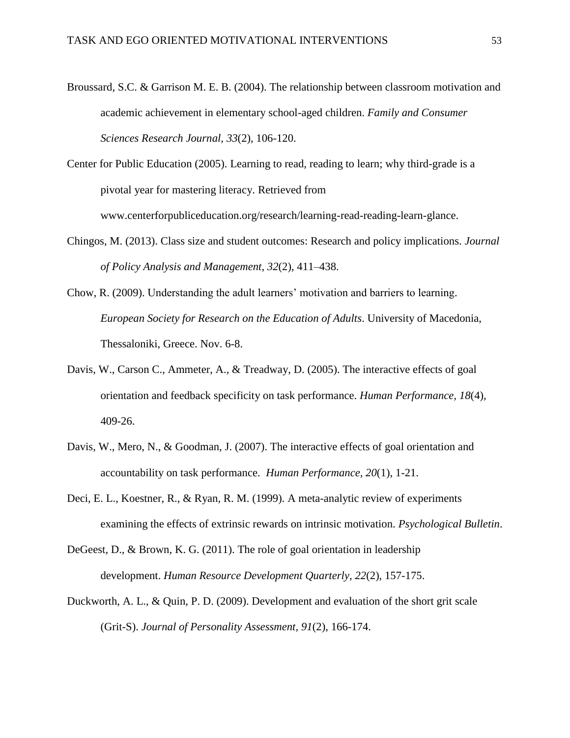Broussard, S.C. & Garrison M. E. B. (2004). The relationship between classroom motivation and academic achievement in elementary school-aged children. *Family and Consumer Sciences Research Journal, 33*(2), 106-120.

Center for Public Education (2005). Learning to read, reading to learn; why third-grade is a pivotal year for mastering literacy. Retrieved from www.centerforpubliceducation.org/research/learning-read-reading-learn-glance.

- Chingos, M. (2013). Class size and student outcomes: Research and policy implications. *Journal of Policy Analysis and Management*, *32*(2), 411–438.
- Chow, R. (2009). Understanding the adult learners' motivation and barriers to learning. *European Society for Research on the Education of Adults*. University of Macedonia, Thessaloniki, Greece. Nov. 6-8.
- Davis, W., Carson C., Ammeter, A., & Treadway, D. (2005). The interactive effects of goal orientation and feedback specificity on task performance. *Human Performance, 18*(4), 409-26.
- Davis, W., Mero, N., & Goodman, J. (2007). The interactive effects of goal orientation and accountability on task performance. *Human Performance, 20*(1), 1-21.
- Deci, E. L., Koestner, R., & Ryan, R. M. (1999). A meta-analytic review of experiments examining the effects of extrinsic rewards on intrinsic motivation. *Psychological Bulletin*.
- DeGeest, D., & Brown, K. G. (2011). The role of goal orientation in leadership development. *Human Resource Development Quarterly, 22*(2), 157-175.
- Duckworth, A. L., & Quin, P. D. (2009). Development and evaluation of the short grit scale (Grit-S). *Journal of Personality Assessment, 91*(2), 166-174.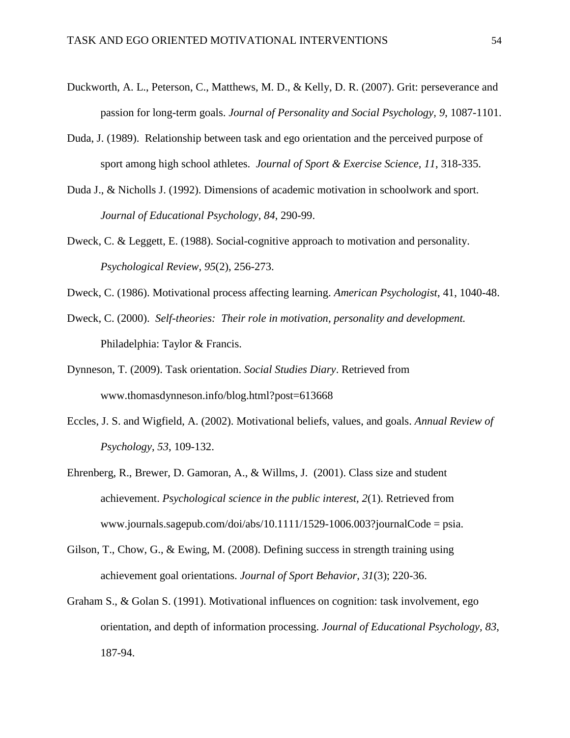- Duckworth, A. L., Peterson, C., Matthews, M. D., & Kelly, D. R. (2007). Grit: perseverance and passion for long-term goals. *Journal of Personality and Social Psychology, 9*, 1087-1101.
- Duda, J. (1989). Relationship between task and ego orientation and the perceived purpose of sport among high school athletes. *Journal of Sport & Exercise Science, 11*, 318-335.
- Duda J., & Nicholls J. (1992). Dimensions of academic motivation in schoolwork and sport. *Journal of Educational Psychology*, *84*, 290-99.
- Dweck, C. & Leggett, E. (1988). Social-cognitive approach to motivation and personality. *Psychological Review*, *95*(2), 256-273.
- Dweck, C. (1986). Motivational process affecting learning. *American Psychologist*, 41, 1040-48.
- Dweck, C. (2000). *Self-theories: Their role in motivation, personality and development.* Philadelphia: Taylor & Francis.
- Dynneson, T. (2009). Task orientation. *Social Studies Diary*. Retrieved from www.thomasdynneson.info/blog.html?post=613668
- Eccles, J. S. and Wigfield, A. (2002). Motivational beliefs, values, and goals. *Annual Review of Psychology*, *53*, 109-132.
- Ehrenberg, R., Brewer, D. Gamoran, A., & Willms, J. (2001). Class size and student achievement. *Psychological science in the public interest, 2*(1). Retrieved from www.journals.sagepub.com/doi/abs/10.1111/1529-1006.003?journalCode = psia.
- Gilson, T., Chow, G., & Ewing, M. (2008). Defining success in strength training using achievement goal orientations. *Journal of Sport Behavior, 31*(3); 220-36.
- Graham S., & Golan S. (1991). Motivational influences on cognition: task involvement, ego orientation, and depth of information processing. *Journal of Educational Psychology, 83*, 187-94.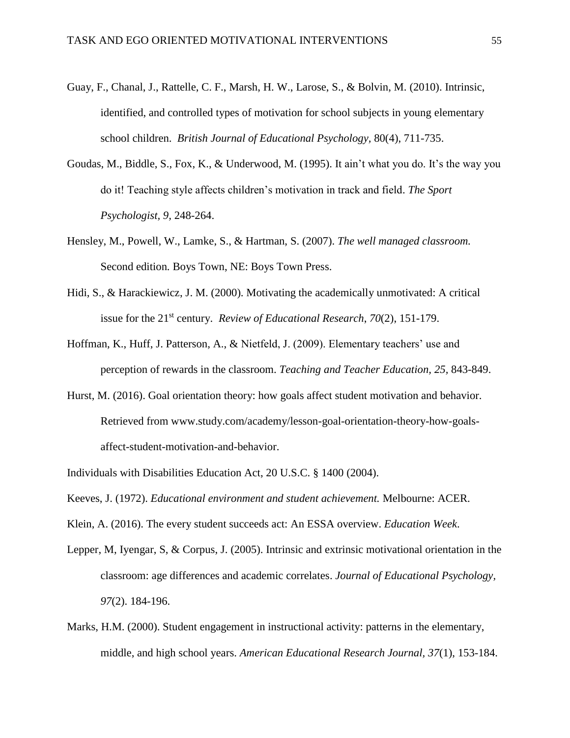- Guay, F., Chanal, J., Rattelle, C. F., Marsh, H. W., Larose, S., & Bolvin, M. (2010). Intrinsic, identified, and controlled types of motivation for school subjects in young elementary school children. *British Journal of Educational Psychology,* 80(4), 711-735.
- Goudas, M., Biddle, S., Fox, K., & Underwood, M. (1995). It ain't what you do. It's the way you do it! Teaching style affects children's motivation in track and field. *The Sport Psychologist, 9,* 248-264.
- Hensley, M., Powell, W., Lamke, S., & Hartman, S. (2007). *The well managed classroom.*  Second edition*.* Boys Town, NE: Boys Town Press.
- Hidi, S., & Harackiewicz, J. M. (2000). Motivating the academically unmotivated: A critical issue for the 21st century. *Review of Educational Research*, *70*(2), 151-179.
- Hoffman, K., Huff, J. Patterson, A., & Nietfeld, J. (2009). Elementary teachers' use and perception of rewards in the classroom. *Teaching and Teacher Education, 25,* 843-849.
- Hurst, M. (2016). Goal orientation theory: how goals affect student motivation and behavior. Retrieved from www.study.com/academy/lesson-goal-orientation-theory-how-goalsaffect-student-motivation-and-behavior.
- Individuals with Disabilities Education Act, 20 U.S.C. § 1400 (2004).
- Keeves, J. (1972). *Educational environment and student achievement.* Melbourne: ACER.
- Klein, A. (2016). The every student succeeds act: An ESSA overview. *Education Week*.
- Lepper, M, Iyengar, S, & Corpus, J. (2005). Intrinsic and extrinsic motivational orientation in the classroom: age differences and academic correlates. *Journal of Educational Psychology, 97*(2). 184-196.
- Marks, H.M. (2000). Student engagement in instructional activity: patterns in the elementary, middle, and high school years. *American Educational Research Journal, 37*(1), 153-184.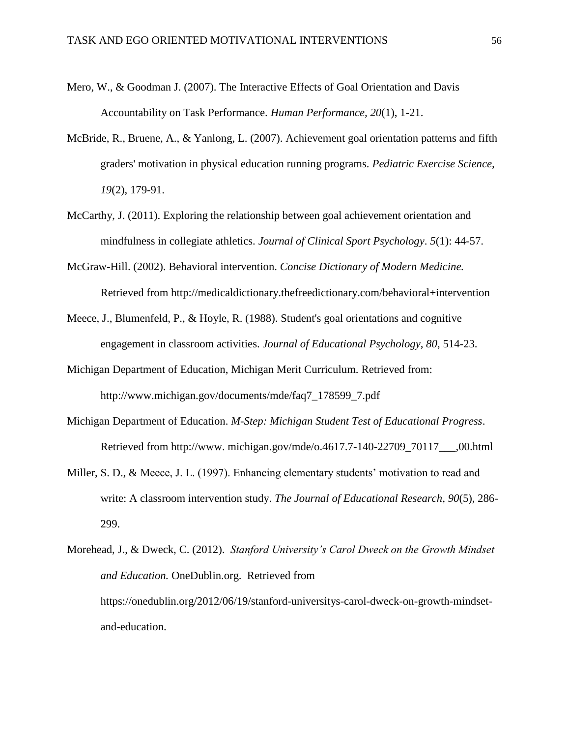- Mero, W., & Goodman J. (2007). The Interactive Effects of Goal Orientation and Davis Accountability on Task Performance. *Human Performance, 20*(1), 1-21.
- McBride, R., Bruene, A., & Yanlong, L. (2007). Achievement goal orientation patterns and fifth graders' motivation in physical education running programs. *Pediatric Exercise Science, 19*(2), 179-91.
- McCarthy, J. (2011). Exploring the relationship between goal achievement orientation and mindfulness in collegiate athletics. *Journal of Clinical Sport Psychology*. *5*(1): 44-57.
- McGraw-Hill. (2002). Behavioral intervention. *Concise Dictionary of Modern Medicine.* Retrieved from http://medicaldictionary.thefreedictionary.com/behavioral+intervention
- Meece, J., Blumenfeld, P., & Hoyle, R. (1988). Student's goal orientations and cognitive engagement in classroom activities. *Journal of Educational Psychology*, *80*, 514-23.
- Michigan Department of Education, Michigan Merit Curriculum. Retrieved from: http://www.michigan.gov/documents/mde/faq7\_178599\_7.pdf
- Michigan Department of Education. *M-Step: Michigan Student Test of Educational Progress*. Retrieved from http://www. michigan.gov/mde/o.4617.7-140-22709\_70117\_\_\_,00.html
- Miller, S. D., & Meece, J. L. (1997). Enhancing elementary students' motivation to read and write: A classroom intervention study. *The Journal of Educational Research*, *90*(5), 286- 299.
- Morehead, J., & Dweck, C. (2012). *Stanford University's Carol Dweck on the Growth Mindset and Education.* OneDublin.org. Retrieved from https://onedublin.org/2012/06/19/stanford-universitys-carol-dweck-on-growth-mindsetand-education.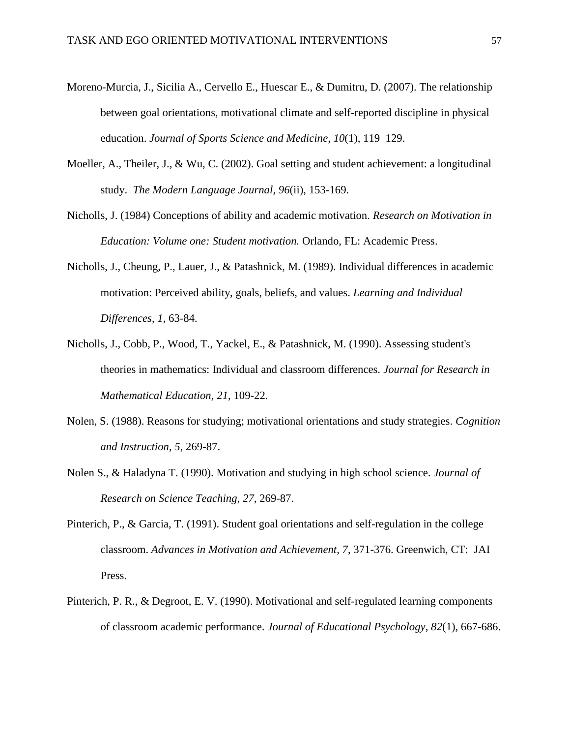- Moreno-Murcia, J., Sicilia A., Cervello E., Huescar E., & Dumitru, D. (2007). [The relationship](http://www.ncbi.nlm.nih.gov/pmc/articles/PMC3737903/)  [between goal orientations, motivational climate and self-reported discipline in physical](http://www.ncbi.nlm.nih.gov/pmc/articles/PMC3737903/)  [education.](http://www.ncbi.nlm.nih.gov/pmc/articles/PMC3737903/) *Journal of Sports Science and Medicine, 10*(1), 119–129.
- Moeller, A., Theiler, J., & Wu, C. (2002). Goal setting and student achievement: a longitudinal study. *The Modern Language Journal, 96*(ii), 153-169.
- Nicholls, J. (1984) Conceptions of ability and academic motivation. *Research on Motivation in Education: Volume one: Student motivation.* Orlando, FL: Academic Press.
- Nicholls, J., Cheung, P., Lauer, J., & Patashnick, M. (1989). Individual differences in academic motivation: Perceived ability, goals, beliefs, and values. *Learning and Individual Differences*, *1*, 63-84.
- Nicholls, J., Cobb, P., Wood, T., Yackel, E., & Patashnick, M. (1990). Assessing student's theories in mathematics: Individual and classroom differences. *Journal for Research in Mathematical Education, 21*, 109-22.
- Nolen, S. (1988). Reasons for studying; motivational orientations and study strategies. *Cognition and Instruction*, *5*, 269-87.
- Nolen S., & Haladyna T. (1990). Motivation and studying in high school science. *Journal of Research on Science Teaching*, *27*, 269-87.
- Pinterich, P., & Garcia, T. (1991). Student goal orientations and self-regulation in the college classroom. *Advances in Motivation and Achievement, 7*, 371-376. Greenwich, CT: JAI Press.
- Pinterich, P. R., & Degroot, E. V. (1990). Motivational and self-regulated learning components of classroom academic performance. *Journal of Educational Psychology*, *82*(1), 667-686.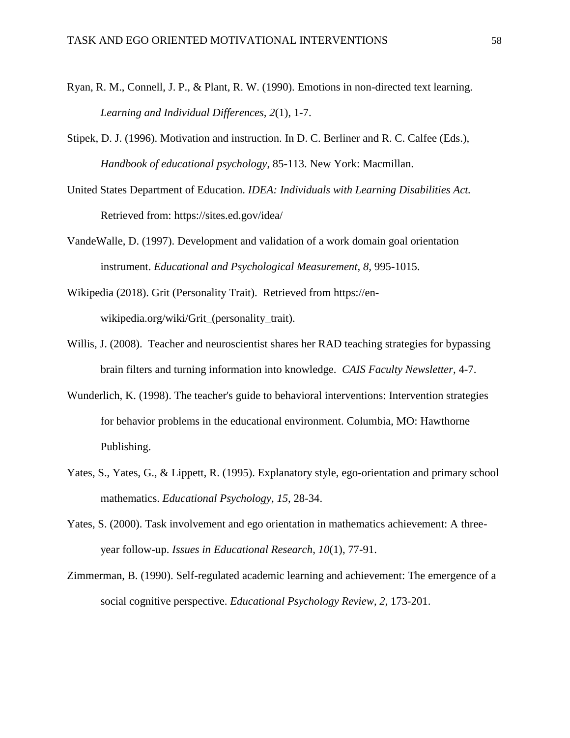- Ryan, R. M., Connell, J. P., & Plant, R. W. (1990). Emotions in non-directed text learning. *Learning and Individual Differences, 2*(1), 1-7.
- Stipek, D. J. (1996). Motivation and instruction. In D. C. Berliner and R. C. Calfee (Eds.), *Handbook of educational psychology*, 85-113. New York: Macmillan.
- United States Department of Education. *IDEA: Individuals with Learning Disabilities Act.* Retrieved from: https://sites.ed.gov/idea/
- VandeWalle, D. (1997). Development and validation of a work domain goal orientation instrument. *Educational and Psychological Measurement, 8,* 995-1015.
- Wikipedia (2018). Grit (Personality Trait). Retrieved from https://enwikipedia.org/wiki/Grit\_(personality\_trait).
- Willis, J. (2008). Teacher and neuroscientist shares her RAD teaching strategies for bypassing brain filters and turning information into knowledge. *CAIS Faculty Newsletter,* 4-7.
- Wunderlich, K. (1998). The teacher's guide to behavioral interventions: Intervention strategies for behavior problems in the educational environment. Columbia, MO: Hawthorne Publishing.
- Yates, S., Yates, G., & Lippett, R. (1995). Explanatory style, ego-orientation and primary school mathematics. *Educational Psychology*, *15*, 28-34.
- Yates, S. (2000). Task involvement and ego orientation in mathematics achievement: A threeyear follow-up. *Issues in Educational Research*, *10*(1), 77-91.
- Zimmerman, B. (1990). Self-regulated academic learning and achievement: The emergence of a social cognitive perspective. *Educational Psychology Review*, *2*, 173-201.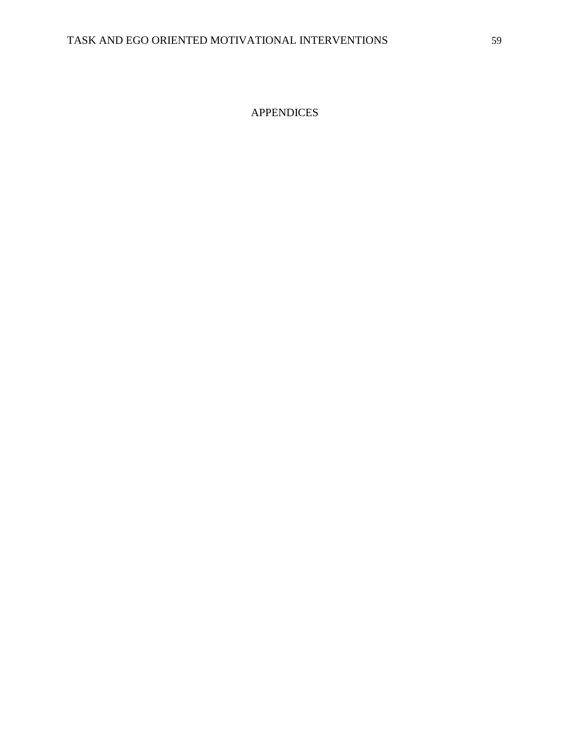APPENDICES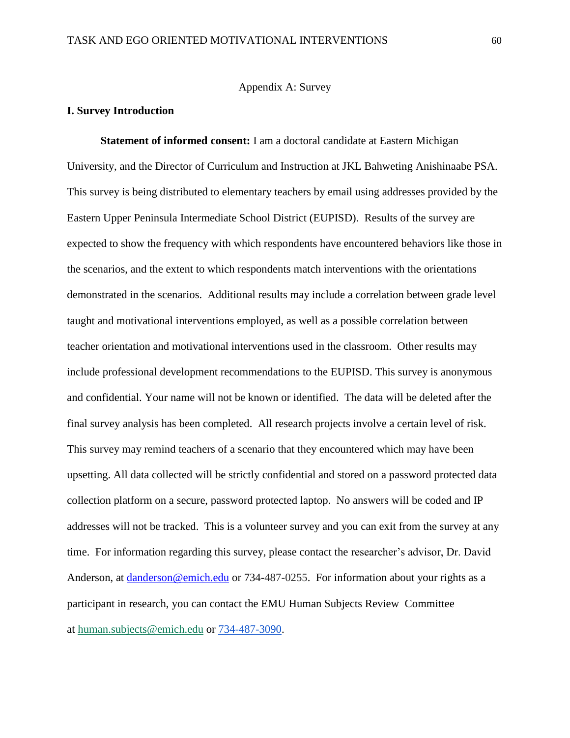## Appendix A: Survey

#### **I. Survey Introduction**

**Statement of informed consent:** I am a doctoral candidate at Eastern Michigan University, and the Director of Curriculum and Instruction at JKL Bahweting Anishinaabe PSA. This survey is being distributed to elementary teachers by email using addresses provided by the Eastern Upper Peninsula Intermediate School District (EUPISD). Results of the survey are expected to show the frequency with which respondents have encountered behaviors like those in the scenarios, and the extent to which respondents match interventions with the orientations demonstrated in the scenarios. Additional results may include a correlation between grade level taught and motivational interventions employed, as well as a possible correlation between teacher orientation and motivational interventions used in the classroom. Other results may include professional development recommendations to the EUPISD. This survey is anonymous and confidential. Your name will not be known or identified. The data will be deleted after the final survey analysis has been completed. All research projects involve a certain level of risk. This survey may remind teachers of a scenario that they encountered which may have been upsetting. All data collected will be strictly confidential and stored on a password protected data collection platform on a secure, password protected laptop. No answers will be coded and IP addresses will not be tracked. This is a volunteer survey and you can exit from the survey at any time. For information regarding this survey, please contact the researcher's advisor, Dr. David Anderson, at *danderson@emich.edu* or 734-487-0255. For information about your rights as a participant in research, you can contact the EMU Human Subjects Review Committee at [human.subjects@emich.edu](mailto:human.subjects@emich.edu) or [734-487-3090.](tel:(734)%20487-3090)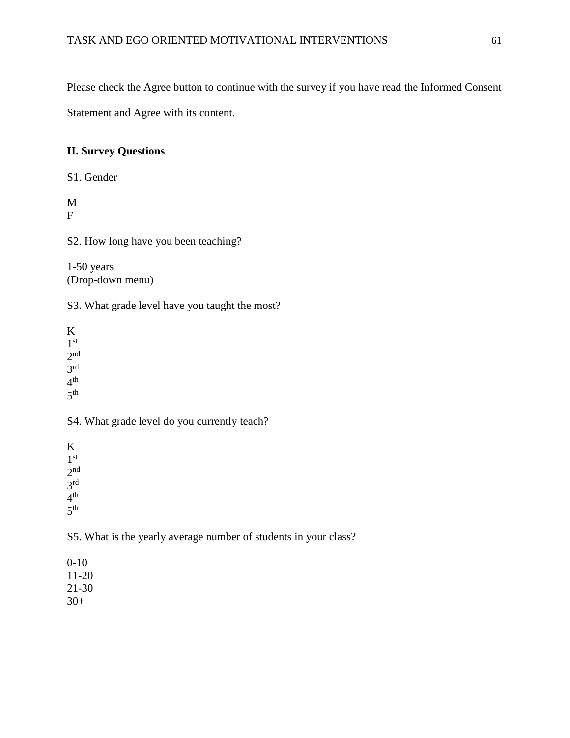Please check the Agree button to continue with the survey if you have read the Informed Consent Statement and Agree with its content.

# **II. Survey Questions**

S1. Gender

M  $\mathbf F$ 

S2. How long have you been teaching?

1-50 years (Drop-down menu)

S3. What grade level have you taught the most?

K 1 st 2 nd 3 rd  $4<sup>th</sup>$  $5<sup>th</sup>$ 

S4. What grade level do you currently teach?

K 1 st 2 nd 3 rd 4 th  $5<sup>th</sup>$ 

S5. What is the yearly average number of students in your class?

0-10 11-20 21-30 30+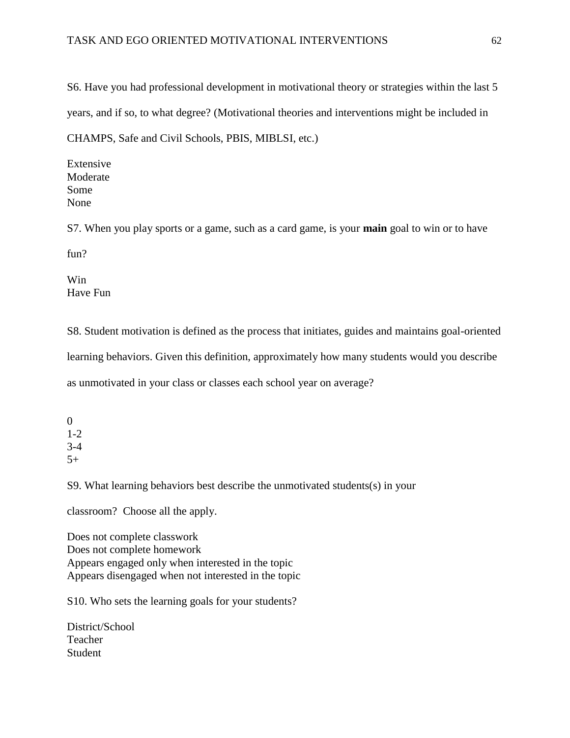S6. Have you had professional development in motivational theory or strategies within the last 5 years, and if so, to what degree? (Motivational theories and interventions might be included in CHAMPS, Safe and Civil Schools, PBIS, MIBLSI, etc.)

Extensive Moderate Some None

S7. When you play sports or a game, such as a card game, is your **main** goal to win or to have

fun?

Win Have Fun

S8. Student motivation is defined as the process that initiates, guides and maintains goal-oriented learning behaviors. Given this definition, approximately how many students would you describe as unmotivated in your class or classes each school year on average?

0  $1 - 2$ 3-4  $5+$ 

S9. What learning behaviors best describe the unmotivated students(s) in your

classroom? Choose all the apply.

Does not complete classwork Does not complete homework Appears engaged only when interested in the topic Appears disengaged when not interested in the topic

S10. Who sets the learning goals for your students?

District/School Teacher Student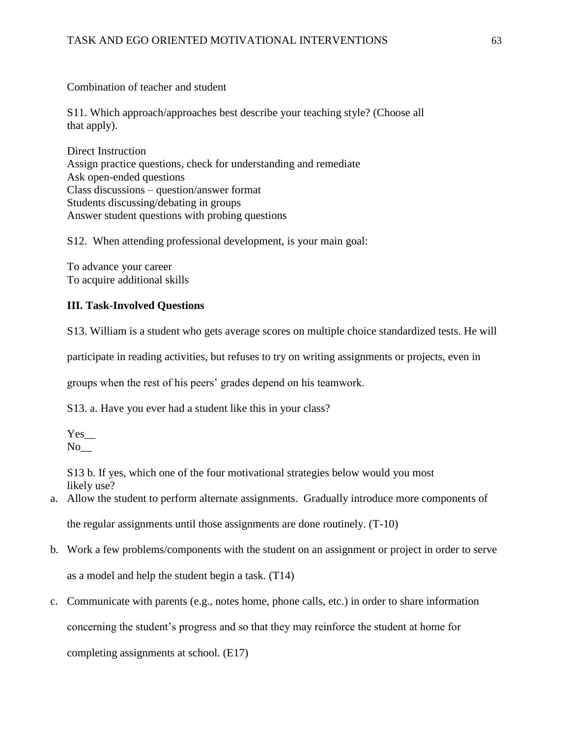Combination of teacher and student

S11. Which approach/approaches best describe your teaching style? (Choose all that apply).

Direct Instruction Assign practice questions, check for understanding and remediate Ask open-ended questions Class discussions – question/answer format Students discussing/debating in groups Answer student questions with probing questions

S12. When attending professional development, is your main goal:

To advance your career To acquire additional skills

# **III. Task-Involved Questions**

S13. William is a student who gets average scores on multiple choice standardized tests. He will

participate in reading activities, but refuses to try on writing assignments or projects, even in

groups when the rest of his peers' grades depend on his teamwork.

S13. a. Have you ever had a student like this in your class?

Yes No

S13 b. If yes, which one of the four motivational strategies below would you most likely use?

a. Allow the student to perform alternate assignments. Gradually introduce more components of

the regular assignments until those assignments are done routinely. (T-10)

- b. Work a few problems/components with the student on an assignment or project in order to serve as a model and help the student begin a task. (T14)
- c. Communicate with parents (e.g., notes home, phone calls, etc.) in order to share information concerning the student's progress and so that they may reinforce the student at home for completing assignments at school. (E17)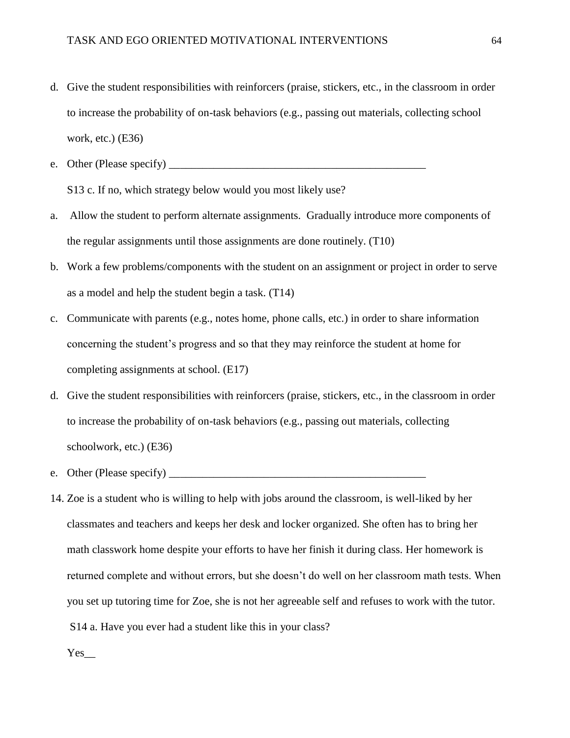- d. Give the student responsibilities with reinforcers (praise, stickers, etc., in the classroom in order to increase the probability of on-task behaviors (e.g., passing out materials, collecting school work, etc.) (E36)
- e. Other (Please specify) \_\_\_\_\_\_\_\_\_\_\_\_\_\_\_\_\_\_\_\_\_\_\_\_\_\_\_\_\_\_\_\_\_\_\_\_\_\_\_\_\_\_\_\_\_\_

S13 c. If no, which strategy below would you most likely use?

- a. Allow the student to perform alternate assignments. Gradually introduce more components of the regular assignments until those assignments are done routinely. (T10)
- b. Work a few problems/components with the student on an assignment or project in order to serve as a model and help the student begin a task. (T14)
- c. Communicate with parents (e.g., notes home, phone calls, etc.) in order to share information concerning the student's progress and so that they may reinforce the student at home for completing assignments at school. (E17)
- d. Give the student responsibilities with reinforcers (praise, stickers, etc., in the classroom in order to increase the probability of on-task behaviors (e.g., passing out materials, collecting schoolwork, etc.) (E36)
- e. Other (Please specify)
- 14. Zoe is a student who is willing to help with jobs around the classroom, is well-liked by her classmates and teachers and keeps her desk and locker organized. She often has to bring her math classwork home despite your efforts to have her finish it during class. Her homework is returned complete and without errors, but she doesn't do well on her classroom math tests. When you set up tutoring time for Zoe, she is not her agreeable self and refuses to work with the tutor. S14 a. Have you ever had a student like this in your class?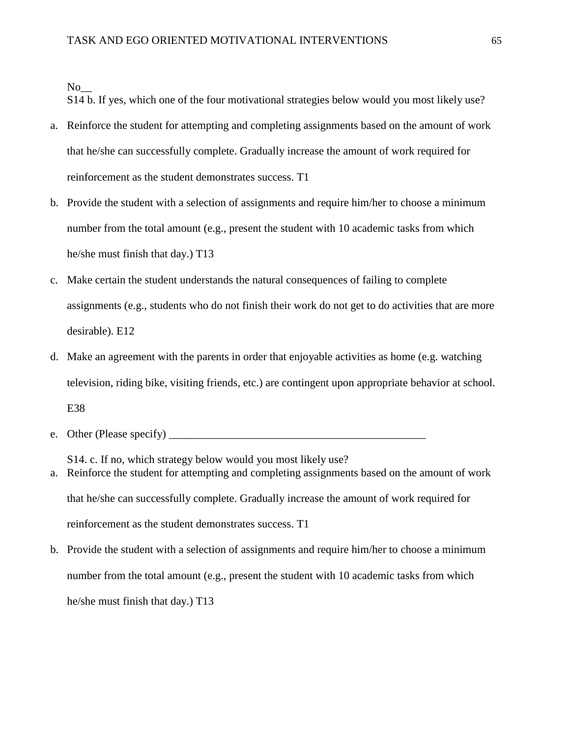$No$ 

S14 b. If yes, which one of the four motivational strategies below would you most likely use?

- a. Reinforce the student for attempting and completing assignments based on the amount of work that he/she can successfully complete. Gradually increase the amount of work required for reinforcement as the student demonstrates success. T1
- b. Provide the student with a selection of assignments and require him/her to choose a minimum number from the total amount (e.g., present the student with 10 academic tasks from which he/she must finish that day.) T13
- c. Make certain the student understands the natural consequences of failing to complete assignments (e.g., students who do not finish their work do not get to do activities that are more desirable). E12
- d. Make an agreement with the parents in order that enjoyable activities as home (e.g. watching television, riding bike, visiting friends, etc.) are contingent upon appropriate behavior at school. E38
- e. Other (Please specify) \_\_\_\_\_\_\_\_\_\_\_\_\_\_\_\_\_\_\_\_\_\_\_\_\_\_\_\_\_\_\_\_\_\_\_\_\_\_\_\_\_\_\_\_\_\_

S14. c. If no, which strategy below would you most likely use? a. Reinforce the student for attempting and completing assignments based on the amount of work that he/she can successfully complete. Gradually increase the amount of work required for reinforcement as the student demonstrates success. T1

b. Provide the student with a selection of assignments and require him/her to choose a minimum number from the total amount (e.g., present the student with 10 academic tasks from which he/she must finish that day.) T13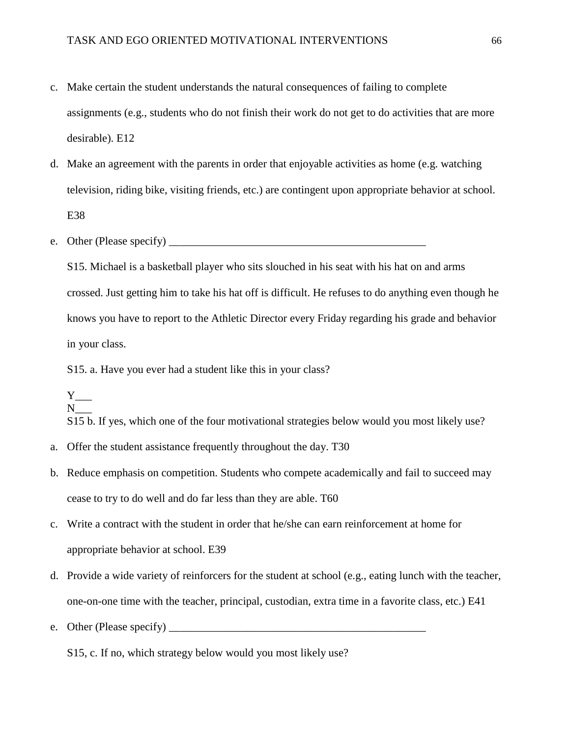- c. Make certain the student understands the natural consequences of failing to complete assignments (e.g., students who do not finish their work do not get to do activities that are more desirable). E12
- d. Make an agreement with the parents in order that enjoyable activities as home (e.g. watching television, riding bike, visiting friends, etc.) are contingent upon appropriate behavior at school. E38
- e. Other (Please specify) \_\_\_\_\_\_\_\_\_\_\_\_\_\_\_\_\_\_\_\_\_\_\_\_\_\_\_\_\_\_\_\_\_\_\_\_\_\_\_\_\_\_\_\_\_\_

S15. Michael is a basketball player who sits slouched in his seat with his hat on and arms crossed. Just getting him to take his hat off is difficult. He refuses to do anything even though he knows you have to report to the Athletic Director every Friday regarding his grade and behavior in your class.

S15. a. Have you ever had a student like this in your class?

# $Y$  $\mathbf N$

S15 b. If yes, which one of the four motivational strategies below would you most likely use?

- a. Offer the student assistance frequently throughout the day. T30
- b. Reduce emphasis on competition. Students who compete academically and fail to succeed may cease to try to do well and do far less than they are able. T60
- c. Write a contract with the student in order that he/she can earn reinforcement at home for appropriate behavior at school. E39
- d. Provide a wide variety of reinforcers for the student at school (e.g., eating lunch with the teacher, one-on-one time with the teacher, principal, custodian, extra time in a favorite class, etc.) E41
- e. Other (Please specify)  $\overline{\phantom{a}}$

S15, c. If no, which strategy below would you most likely use?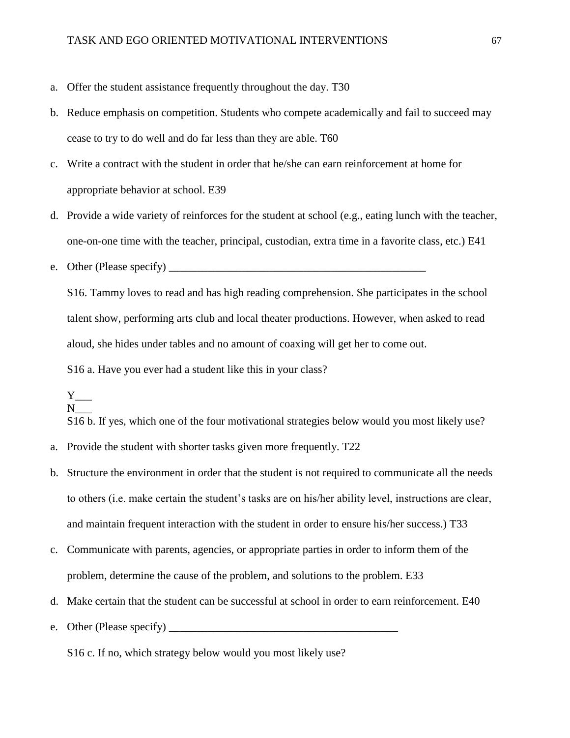- a. Offer the student assistance frequently throughout the day. T30
- b. Reduce emphasis on competition. Students who compete academically and fail to succeed may cease to try to do well and do far less than they are able. T60
- c. Write a contract with the student in order that he/she can earn reinforcement at home for appropriate behavior at school. E39
- d. Provide a wide variety of reinforces for the student at school (e.g., eating lunch with the teacher, one-on-one time with the teacher, principal, custodian, extra time in a favorite class, etc.) E41
- e. Other (Please specify)  $\qquad \qquad$

S16. Tammy loves to read and has high reading comprehension. She participates in the school talent show, performing arts club and local theater productions. However, when asked to read aloud, she hides under tables and no amount of coaxing will get her to come out.

S16 a. Have you ever had a student like this in your class?

 $Y$  $\mathbf N$ 

S16 b. If yes, which one of the four motivational strategies below would you most likely use?

- a. Provide the student with shorter tasks given more frequently. T22
- b. Structure the environment in order that the student is not required to communicate all the needs to others (i.e. make certain the student's tasks are on his/her ability level, instructions are clear, and maintain frequent interaction with the student in order to ensure his/her success.) T33
- c. Communicate with parents, agencies, or appropriate parties in order to inform them of the problem, determine the cause of the problem, and solutions to the problem. E33
- d. Make certain that the student can be successful at school in order to earn reinforcement. E40

e. Other (Please specify)

S16 c. If no, which strategy below would you most likely use?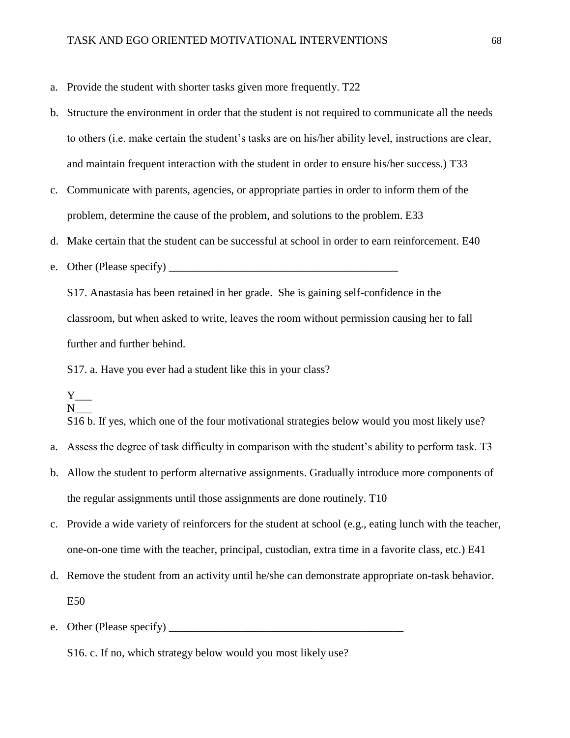- a. Provide the student with shorter tasks given more frequently. T22
- b. Structure the environment in order that the student is not required to communicate all the needs to others (i.e. make certain the student's tasks are on his/her ability level, instructions are clear, and maintain frequent interaction with the student in order to ensure his/her success.) T33
- c. Communicate with parents, agencies, or appropriate parties in order to inform them of the problem, determine the cause of the problem, and solutions to the problem. E33
- d. Make certain that the student can be successful at school in order to earn reinforcement. E40
- e. Other (Please specify)

S17. Anastasia has been retained in her grade. She is gaining self-confidence in the classroom, but when asked to write, leaves the room without permission causing her to fall further and further behind.

S17. a. Have you ever had a student like this in your class?

 $Y$  $\mathbf N$ 

S16 b. If yes, which one of the four motivational strategies below would you most likely use?

- a. Assess the degree of task difficulty in comparison with the student's ability to perform task. T3
- b. Allow the student to perform alternative assignments. Gradually introduce more components of the regular assignments until those assignments are done routinely. T10
- c. Provide a wide variety of reinforcers for the student at school (e.g., eating lunch with the teacher, one-on-one time with the teacher, principal, custodian, extra time in a favorite class, etc.) E41
- d. Remove the student from an activity until he/she can demonstrate appropriate on-task behavior. E50

e. Other (Please specify)

S16. c. If no, which strategy below would you most likely use?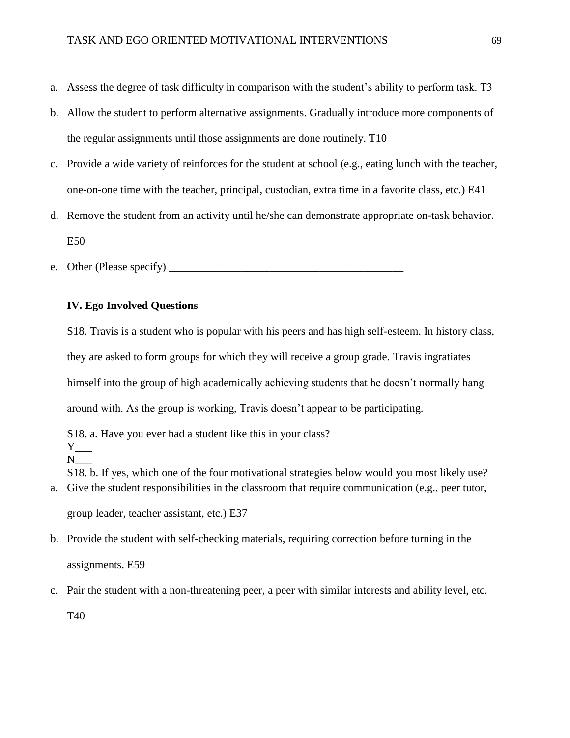- a. Assess the degree of task difficulty in comparison with the student's ability to perform task. T3
- b. Allow the student to perform alternative assignments. Gradually introduce more components of the regular assignments until those assignments are done routinely. T10
- c. Provide a wide variety of reinforces for the student at school (e.g., eating lunch with the teacher, one-on-one time with the teacher, principal, custodian, extra time in a favorite class, etc.) E41
- d. Remove the student from an activity until he/she can demonstrate appropriate on-task behavior. E50
- e. Other (Please specify) \_\_\_\_\_\_\_\_\_\_\_\_\_\_\_\_\_\_\_\_\_\_\_\_\_\_\_\_\_\_\_\_\_\_\_\_\_\_\_\_\_\_

## **IV. Ego Involved Questions**

S18. Travis is a student who is popular with his peers and has high self-esteem. In history class, they are asked to form groups for which they will receive a group grade. Travis ingratiates himself into the group of high academically achieving students that he doesn't normally hang around with. As the group is working, Travis doesn't appear to be participating.

S18. a. Have you ever had a student like this in your class?  $\rm Y$ 

 $\mathbf N$ 

S18. b. If yes, which one of the four motivational strategies below would you most likely use? a. Give the student responsibilities in the classroom that require communication (e.g., peer tutor,

group leader, teacher assistant, etc.) E37

- b. Provide the student with self-checking materials, requiring correction before turning in the assignments. E59
- c. Pair the student with a non-threatening peer, a peer with similar interests and ability level, etc. T40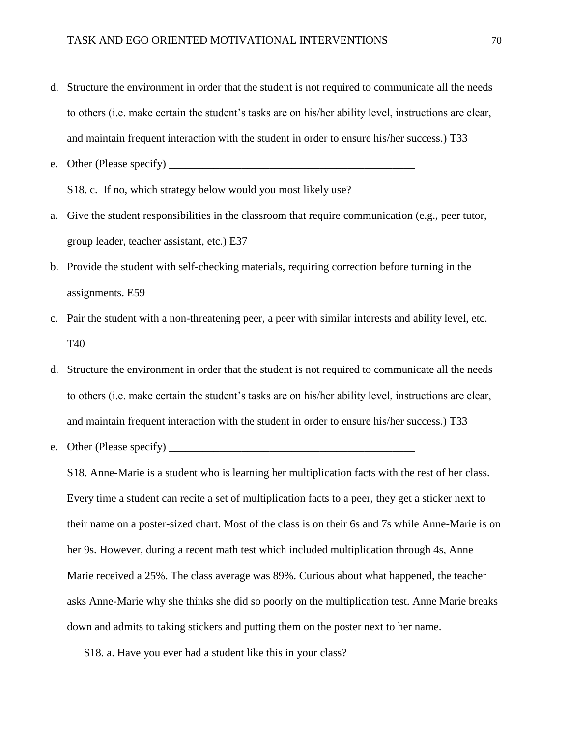- d. Structure the environment in order that the student is not required to communicate all the needs to others (i.e. make certain the student's tasks are on his/her ability level, instructions are clear, and maintain frequent interaction with the student in order to ensure his/her success.) T33
- e. Other (Please specify)

S18. c. If no, which strategy below would you most likely use?

- a. Give the student responsibilities in the classroom that require communication (e.g., peer tutor, group leader, teacher assistant, etc.) E37
- b. Provide the student with self-checking materials, requiring correction before turning in the assignments. E59
- c. Pair the student with a non-threatening peer, a peer with similar interests and ability level, etc. T40
- d. Structure the environment in order that the student is not required to communicate all the needs to others (i.e. make certain the student's tasks are on his/her ability level, instructions are clear, and maintain frequent interaction with the student in order to ensure his/her success.) T33
- e. Other (Please specify)  $\qquad \qquad$

S18. Anne-Marie is a student who is learning her multiplication facts with the rest of her class. Every time a student can recite a set of multiplication facts to a peer, they get a sticker next to their name on a poster-sized chart. Most of the class is on their 6s and 7s while Anne-Marie is on her 9s. However, during a recent math test which included multiplication through 4s, Anne Marie received a 25%. The class average was 89%. Curious about what happened, the teacher asks Anne-Marie why she thinks she did so poorly on the multiplication test. Anne Marie breaks down and admits to taking stickers and putting them on the poster next to her name.

S18. a. Have you ever had a student like this in your class?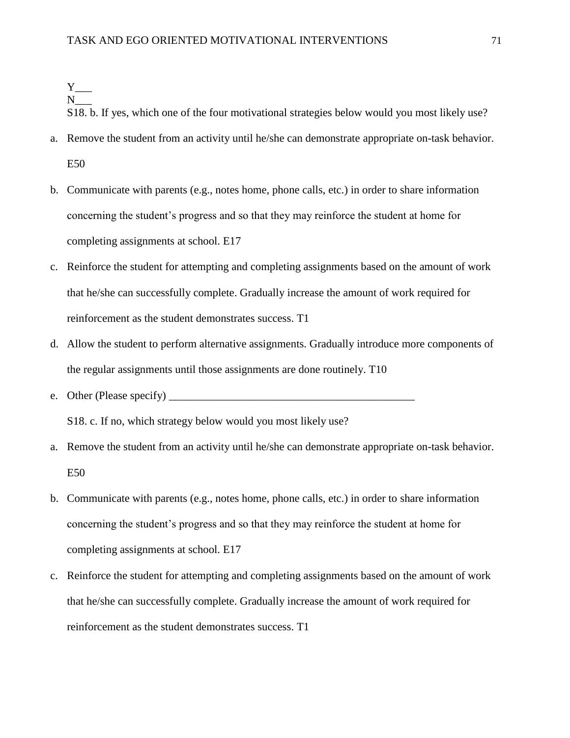- $Y_{\_\_\_\}$  $\mathbf N$
- S18. b. If yes, which one of the four motivational strategies below would you most likely use?
- a. Remove the student from an activity until he/she can demonstrate appropriate on-task behavior. E50
- b. Communicate with parents (e.g., notes home, phone calls, etc.) in order to share information concerning the student's progress and so that they may reinforce the student at home for completing assignments at school. E17
- c. Reinforce the student for attempting and completing assignments based on the amount of work that he/she can successfully complete. Gradually increase the amount of work required for reinforcement as the student demonstrates success. T1
- d. Allow the student to perform alternative assignments. Gradually introduce more components of the regular assignments until those assignments are done routinely. T10
- e. Other (Please specify)

S18. c. If no, which strategy below would you most likely use?

- a. Remove the student from an activity until he/she can demonstrate appropriate on-task behavior. E50
- b. Communicate with parents (e.g., notes home, phone calls, etc.) in order to share information concerning the student's progress and so that they may reinforce the student at home for completing assignments at school. E17
- c. Reinforce the student for attempting and completing assignments based on the amount of work that he/she can successfully complete. Gradually increase the amount of work required for reinforcement as the student demonstrates success. T1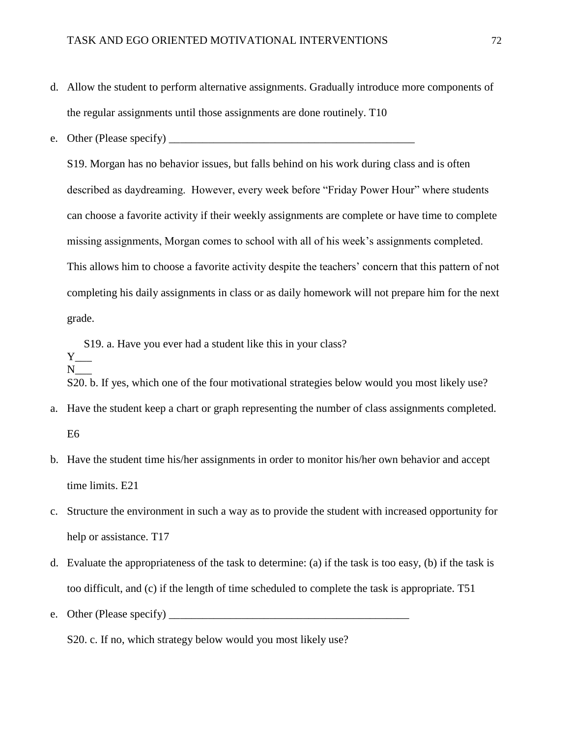- d. Allow the student to perform alternative assignments. Gradually introduce more components of the regular assignments until those assignments are done routinely. T10
- e. Other (Please specify)  $\qquad \qquad$

S19. Morgan has no behavior issues, but falls behind on his work during class and is often described as daydreaming. However, every week before "Friday Power Hour" where students can choose a favorite activity if their weekly assignments are complete or have time to complete missing assignments, Morgan comes to school with all of his week's assignments completed. This allows him to choose a favorite activity despite the teachers' concern that this pattern of not completing his daily assignments in class or as daily homework will not prepare him for the next grade.

S19. a. Have you ever had a student like this in your class?  $Y$  $\mathbf N$ S20. b. If yes, which one of the four motivational strategies below would you most likely use?

- a. Have the student keep a chart or graph representing the number of class assignments completed. E6
- b. Have the student time his/her assignments in order to monitor his/her own behavior and accept time limits. E21
- c. Structure the environment in such a way as to provide the student with increased opportunity for help or assistance. T17
- d. Evaluate the appropriateness of the task to determine: (a) if the task is too easy, (b) if the task is too difficult, and (c) if the length of time scheduled to complete the task is appropriate. T51
- e. Other (Please specify)  $\frac{1}{\sqrt{1-\frac{1}{2}}}\left\{ \frac{1}{2}, \frac{1}{2}, \frac{1}{2}, \frac{1}{2}, \frac{1}{2}, \frac{1}{2}, \frac{1}{2}, \frac{1}{2}, \frac{1}{2}, \frac{1}{2}, \frac{1}{2}, \frac{1}{2}, \frac{1}{2}, \frac{1}{2}, \frac{1}{2}, \frac{1}{2}, \frac{1}{2}, \frac{1}{2}, \frac{1}{2}, \frac{1}{2}, \frac{1}{2}, \frac{1}{2}, \frac{1}{2}, \frac{1}{2}, \frac{1}{2$

S20. c. If no, which strategy below would you most likely use?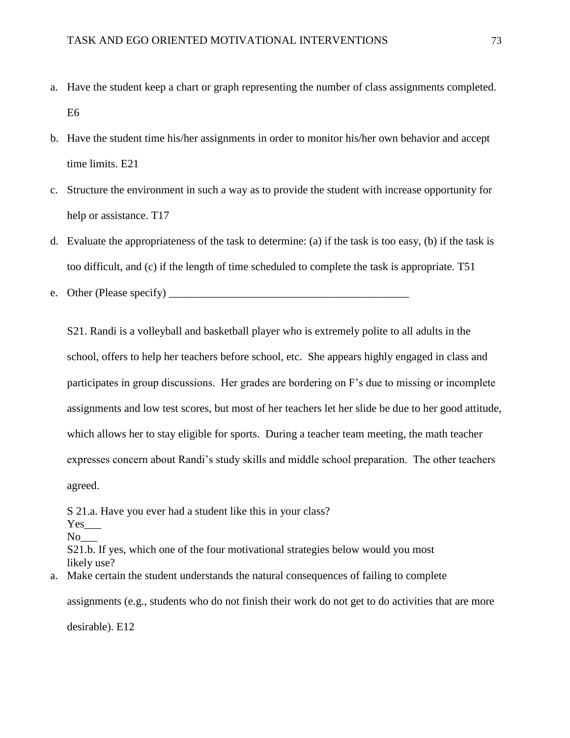- a. Have the student keep a chart or graph representing the number of class assignments completed. E6
- b. Have the student time his/her assignments in order to monitor his/her own behavior and accept time limits. E21
- c. Structure the environment in such a way as to provide the student with increase opportunity for help or assistance. T17
- d. Evaluate the appropriateness of the task to determine: (a) if the task is too easy, (b) if the task is too difficult, and (c) if the length of time scheduled to complete the task is appropriate. T51
- e. Other (Please specify) \_\_\_\_\_\_\_\_\_\_\_\_\_\_\_\_\_\_\_\_\_\_\_\_\_\_\_\_\_\_\_\_\_\_\_\_\_\_\_\_\_\_\_

S21. Randi is a volleyball and basketball player who is extremely polite to all adults in the school, offers to help her teachers before school, etc. She appears highly engaged in class and participates in group discussions. Her grades are bordering on F's due to missing or incomplete assignments and low test scores, but most of her teachers let her slide be due to her good attitude, which allows her to stay eligible for sports. During a teacher team meeting, the math teacher expresses concern about Randi's study skills and middle school preparation. The other teachers agreed.

S 21.a. Have you ever had a student like this in your class? Yes  $No$ S21.b. If yes, which one of the four motivational strategies below would you most likely use?

a. Make certain the student understands the natural consequences of failing to complete

assignments (e.g., students who do not finish their work do not get to do activities that are more desirable). E12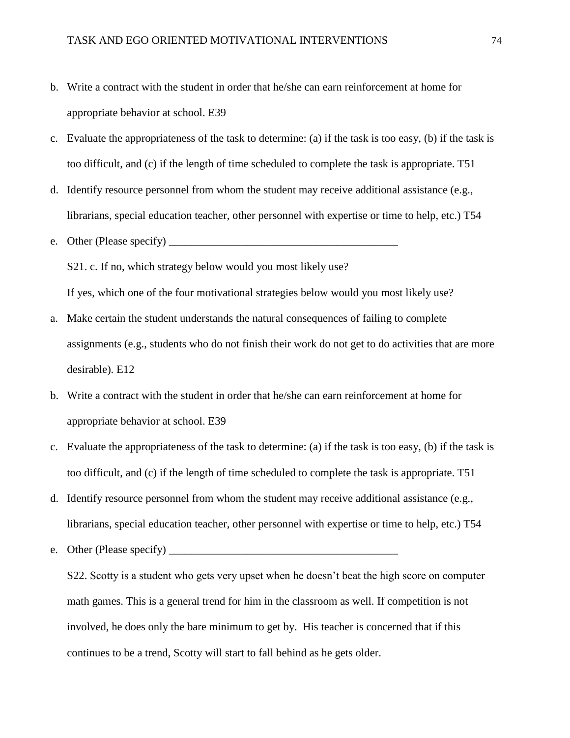- b. Write a contract with the student in order that he/she can earn reinforcement at home for appropriate behavior at school. E39
- c. Evaluate the appropriateness of the task to determine: (a) if the task is too easy, (b) if the task is too difficult, and (c) if the length of time scheduled to complete the task is appropriate. T51
- d. Identify resource personnel from whom the student may receive additional assistance (e.g., librarians, special education teacher, other personnel with expertise or time to help, etc.) T54
- e. Other (Please specify) \_\_\_\_\_\_\_\_\_\_\_\_\_\_\_\_\_\_\_\_\_\_\_\_\_\_\_\_\_\_\_\_\_\_\_\_\_\_\_\_\_

S21. c. If no, which strategy below would you most likely use?

If yes, which one of the four motivational strategies below would you most likely use?

- a. Make certain the student understands the natural consequences of failing to complete assignments (e.g., students who do not finish their work do not get to do activities that are more desirable). E12
- b. Write a contract with the student in order that he/she can earn reinforcement at home for appropriate behavior at school. E39
- c. Evaluate the appropriateness of the task to determine: (a) if the task is too easy, (b) if the task is too difficult, and (c) if the length of time scheduled to complete the task is appropriate. T51
- d. Identify resource personnel from whom the student may receive additional assistance (e.g., librarians, special education teacher, other personnel with expertise or time to help, etc.) T54
- e. Other (Please specify)

S22. Scotty is a student who gets very upset when he doesn't beat the high score on computer math games. This is a general trend for him in the classroom as well. If competition is not involved, he does only the bare minimum to get by. His teacher is concerned that if this continues to be a trend, Scotty will start to fall behind as he gets older.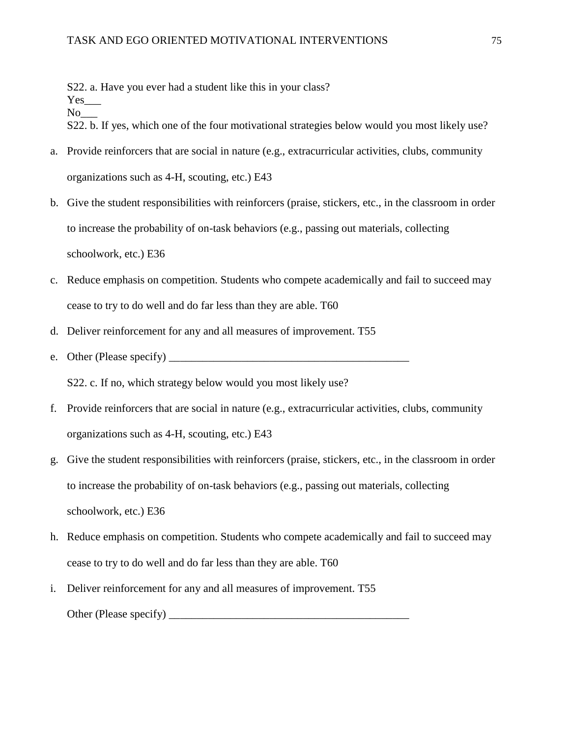S22. a. Have you ever had a student like this in your class?

Yes No

S22. b. If yes, which one of the four motivational strategies below would you most likely use?

- a. Provide reinforcers that are social in nature (e.g., extracurricular activities, clubs, community organizations such as 4-H, scouting, etc.) E43
- b. Give the student responsibilities with reinforcers (praise, stickers, etc., in the classroom in order to increase the probability of on-task behaviors (e.g., passing out materials, collecting schoolwork, etc.) E36
- c. Reduce emphasis on competition. Students who compete academically and fail to succeed may cease to try to do well and do far less than they are able. T60
- d. Deliver reinforcement for any and all measures of improvement. T55
- e. Other (Please specify)  $\qquad \qquad$

S22. c. If no, which strategy below would you most likely use?

- f. Provide reinforcers that are social in nature (e.g., extracurricular activities, clubs, community organizations such as 4-H, scouting, etc.) E43
- g. Give the student responsibilities with reinforcers (praise, stickers, etc., in the classroom in order to increase the probability of on-task behaviors (e.g., passing out materials, collecting schoolwork, etc.) E36
- h. Reduce emphasis on competition. Students who compete academically and fail to succeed may cease to try to do well and do far less than they are able. T60
- i. Deliver reinforcement for any and all measures of improvement. T55 Other (Please specify) \_\_\_\_\_\_\_\_\_\_\_\_\_\_\_\_\_\_\_\_\_\_\_\_\_\_\_\_\_\_\_\_\_\_\_\_\_\_\_\_\_\_\_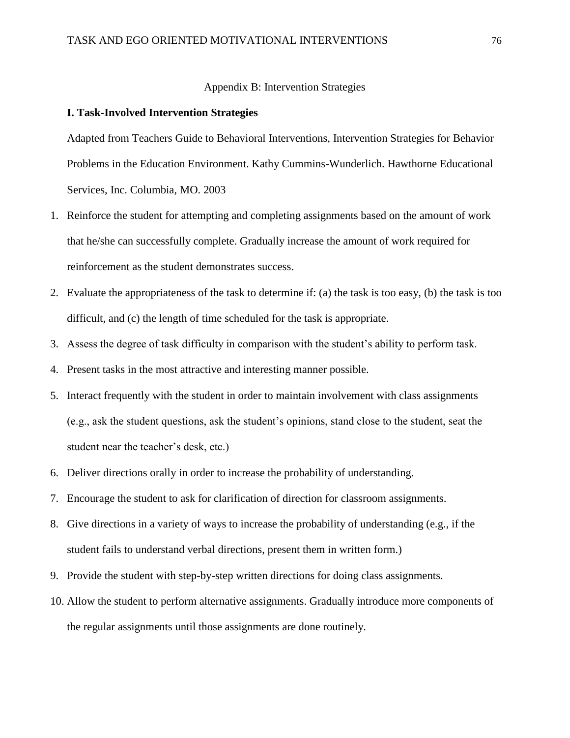#### Appendix B: Intervention Strategies

#### **I. Task-Involved Intervention Strategies**

Adapted from Teachers Guide to Behavioral Interventions, Intervention Strategies for Behavior Problems in the Education Environment. Kathy Cummins-Wunderlich. Hawthorne Educational Services, Inc. Columbia, MO. 2003

- 1. Reinforce the student for attempting and completing assignments based on the amount of work that he/she can successfully complete. Gradually increase the amount of work required for reinforcement as the student demonstrates success.
- 2. Evaluate the appropriateness of the task to determine if: (a) the task is too easy, (b) the task is too difficult, and (c) the length of time scheduled for the task is appropriate.
- 3. Assess the degree of task difficulty in comparison with the student's ability to perform task.
- 4. Present tasks in the most attractive and interesting manner possible.
- 5. Interact frequently with the student in order to maintain involvement with class assignments (e.g., ask the student questions, ask the student's opinions, stand close to the student, seat the student near the teacher's desk, etc.)
- 6. Deliver directions orally in order to increase the probability of understanding.
- 7. Encourage the student to ask for clarification of direction for classroom assignments.
- 8. Give directions in a variety of ways to increase the probability of understanding (e.g., if the student fails to understand verbal directions, present them in written form.)
- 9. Provide the student with step-by-step written directions for doing class assignments.
- 10. Allow the student to perform alternative assignments. Gradually introduce more components of the regular assignments until those assignments are done routinely.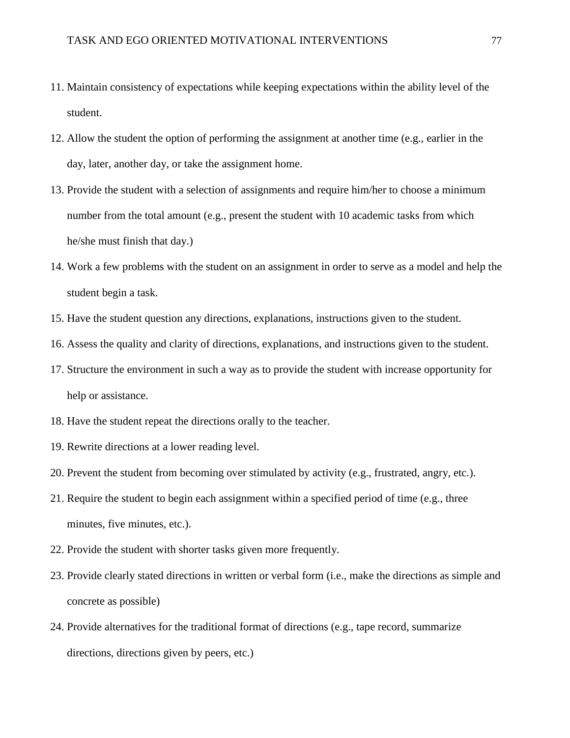- 11. Maintain consistency of expectations while keeping expectations within the ability level of the student.
- 12. Allow the student the option of performing the assignment at another time (e.g., earlier in the day, later, another day, or take the assignment home.
- 13. Provide the student with a selection of assignments and require him/her to choose a minimum number from the total amount (e.g., present the student with 10 academic tasks from which he/she must finish that day.)
- 14. Work a few problems with the student on an assignment in order to serve as a model and help the student begin a task.
- 15. Have the student question any directions, explanations, instructions given to the student.
- 16. Assess the quality and clarity of directions, explanations, and instructions given to the student.
- 17. Structure the environment in such a way as to provide the student with increase opportunity for help or assistance.
- 18. Have the student repeat the directions orally to the teacher.
- 19. Rewrite directions at a lower reading level.
- 20. Prevent the student from becoming over stimulated by activity (e.g., frustrated, angry, etc.).
- 21. Require the student to begin each assignment within a specified period of time (e.g., three minutes, five minutes, etc.).
- 22. Provide the student with shorter tasks given more frequently.
- 23. Provide clearly stated directions in written or verbal form (i.e., make the directions as simple and concrete as possible)
- 24. Provide alternatives for the traditional format of directions (e.g., tape record, summarize directions, directions given by peers, etc.)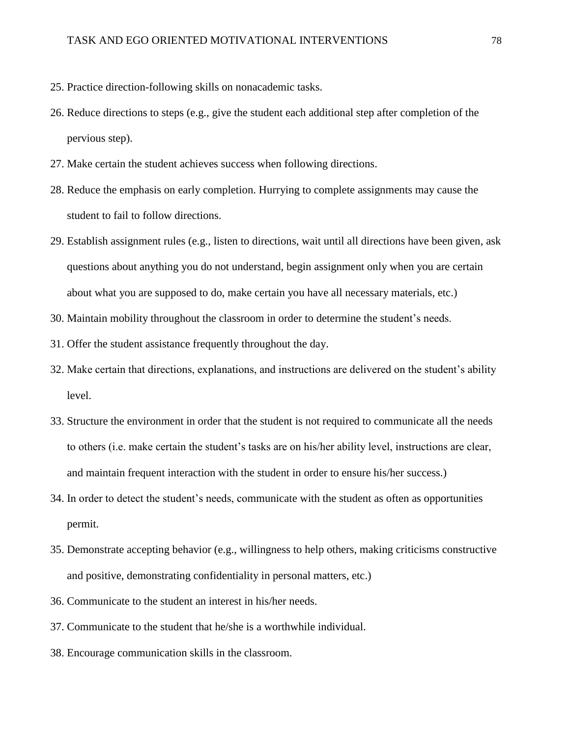- 25. Practice direction-following skills on nonacademic tasks.
- 26. Reduce directions to steps (e.g., give the student each additional step after completion of the pervious step).
- 27. Make certain the student achieves success when following directions.
- 28. Reduce the emphasis on early completion. Hurrying to complete assignments may cause the student to fail to follow directions.
- 29. Establish assignment rules (e.g., listen to directions, wait until all directions have been given, ask questions about anything you do not understand, begin assignment only when you are certain about what you are supposed to do, make certain you have all necessary materials, etc.)
- 30. Maintain mobility throughout the classroom in order to determine the student's needs.
- 31. Offer the student assistance frequently throughout the day.
- 32. Make certain that directions, explanations, and instructions are delivered on the student's ability level.
- 33. Structure the environment in order that the student is not required to communicate all the needs to others (i.e. make certain the student's tasks are on his/her ability level, instructions are clear, and maintain frequent interaction with the student in order to ensure his/her success.)
- 34. In order to detect the student's needs, communicate with the student as often as opportunities permit.
- 35. Demonstrate accepting behavior (e.g., willingness to help others, making criticisms constructive and positive, demonstrating confidentiality in personal matters, etc.)
- 36. Communicate to the student an interest in his/her needs.
- 37. Communicate to the student that he/she is a worthwhile individual.
- 38. Encourage communication skills in the classroom.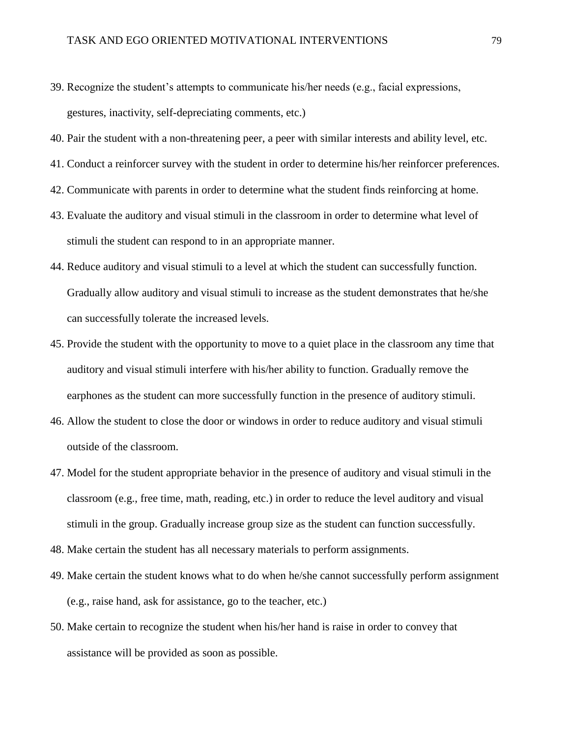- 39. Recognize the student's attempts to communicate his/her needs (e.g., facial expressions, gestures, inactivity, self-depreciating comments, etc.)
- 40. Pair the student with a non-threatening peer, a peer with similar interests and ability level, etc.
- 41. Conduct a reinforcer survey with the student in order to determine his/her reinforcer preferences.
- 42. Communicate with parents in order to determine what the student finds reinforcing at home.
- 43. Evaluate the auditory and visual stimuli in the classroom in order to determine what level of stimuli the student can respond to in an appropriate manner.
- 44. Reduce auditory and visual stimuli to a level at which the student can successfully function. Gradually allow auditory and visual stimuli to increase as the student demonstrates that he/she can successfully tolerate the increased levels.
- 45. Provide the student with the opportunity to move to a quiet place in the classroom any time that auditory and visual stimuli interfere with his/her ability to function. Gradually remove the earphones as the student can more successfully function in the presence of auditory stimuli.
- 46. Allow the student to close the door or windows in order to reduce auditory and visual stimuli outside of the classroom.
- 47. Model for the student appropriate behavior in the presence of auditory and visual stimuli in the classroom (e.g., free time, math, reading, etc.) in order to reduce the level auditory and visual stimuli in the group. Gradually increase group size as the student can function successfully.
- 48. Make certain the student has all necessary materials to perform assignments.
- 49. Make certain the student knows what to do when he/she cannot successfully perform assignment (e.g., raise hand, ask for assistance, go to the teacher, etc.)
- 50. Make certain to recognize the student when his/her hand is raise in order to convey that assistance will be provided as soon as possible.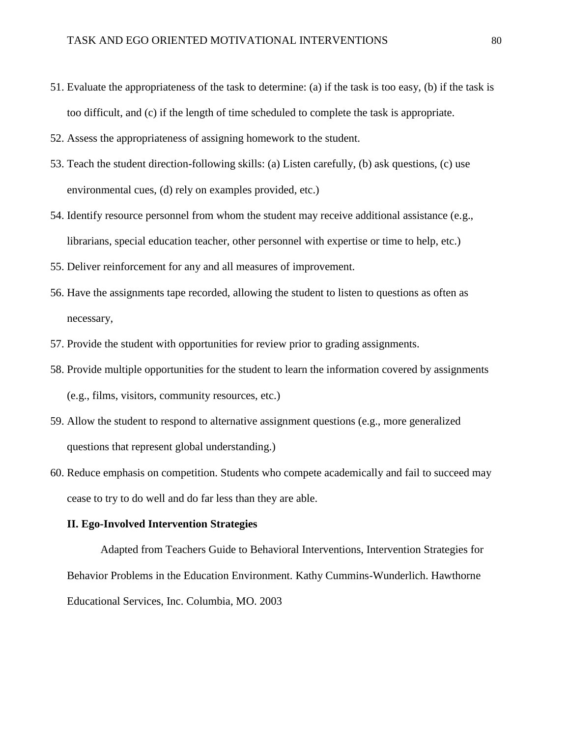- 51. Evaluate the appropriateness of the task to determine: (a) if the task is too easy, (b) if the task is too difficult, and (c) if the length of time scheduled to complete the task is appropriate.
- 52. Assess the appropriateness of assigning homework to the student.
- 53. Teach the student direction-following skills: (a) Listen carefully, (b) ask questions, (c) use environmental cues, (d) rely on examples provided, etc.)
- 54. Identify resource personnel from whom the student may receive additional assistance (e.g., librarians, special education teacher, other personnel with expertise or time to help, etc.)
- 55. Deliver reinforcement for any and all measures of improvement.
- 56. Have the assignments tape recorded, allowing the student to listen to questions as often as necessary,
- 57. Provide the student with opportunities for review prior to grading assignments.
- 58. Provide multiple opportunities for the student to learn the information covered by assignments (e.g., films, visitors, community resources, etc.)
- 59. Allow the student to respond to alternative assignment questions (e.g., more generalized questions that represent global understanding.)
- 60. Reduce emphasis on competition. Students who compete academically and fail to succeed may cease to try to do well and do far less than they are able.

### **II. Ego-Involved Intervention Strategies**

Adapted from Teachers Guide to Behavioral Interventions, Intervention Strategies for Behavior Problems in the Education Environment. Kathy Cummins-Wunderlich. Hawthorne Educational Services, Inc. Columbia, MO. 2003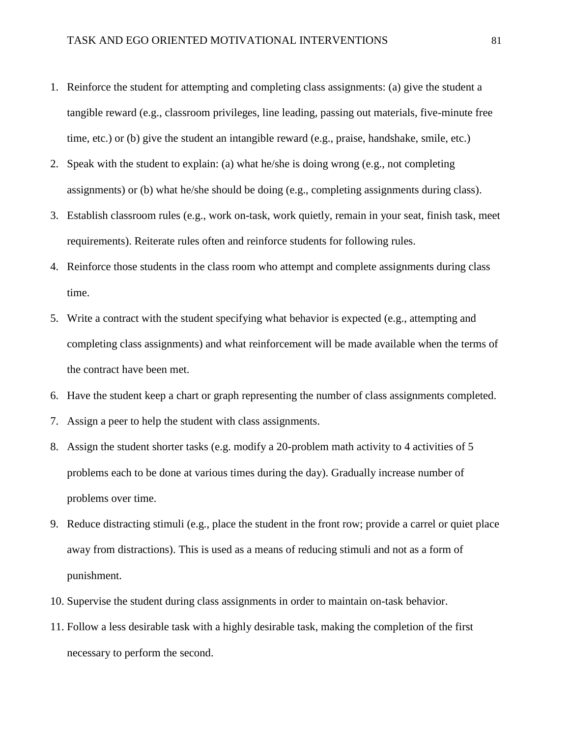- 1. Reinforce the student for attempting and completing class assignments: (a) give the student a tangible reward (e.g., classroom privileges, line leading, passing out materials, five-minute free time, etc.) or (b) give the student an intangible reward (e.g., praise, handshake, smile, etc.)
- 2. Speak with the student to explain: (a) what he/she is doing wrong (e.g., not completing assignments) or (b) what he/she should be doing (e.g., completing assignments during class).
- 3. Establish classroom rules (e.g., work on-task, work quietly, remain in your seat, finish task, meet requirements). Reiterate rules often and reinforce students for following rules.
- 4. Reinforce those students in the class room who attempt and complete assignments during class time.
- 5. Write a contract with the student specifying what behavior is expected (e.g., attempting and completing class assignments) and what reinforcement will be made available when the terms of the contract have been met.
- 6. Have the student keep a chart or graph representing the number of class assignments completed.
- 7. Assign a peer to help the student with class assignments.
- 8. Assign the student shorter tasks (e.g. modify a 20-problem math activity to 4 activities of 5 problems each to be done at various times during the day). Gradually increase number of problems over time.
- 9. Reduce distracting stimuli (e.g., place the student in the front row; provide a carrel or quiet place away from distractions). This is used as a means of reducing stimuli and not as a form of punishment.
- 10. Supervise the student during class assignments in order to maintain on-task behavior.
- 11. Follow a less desirable task with a highly desirable task, making the completion of the first necessary to perform the second.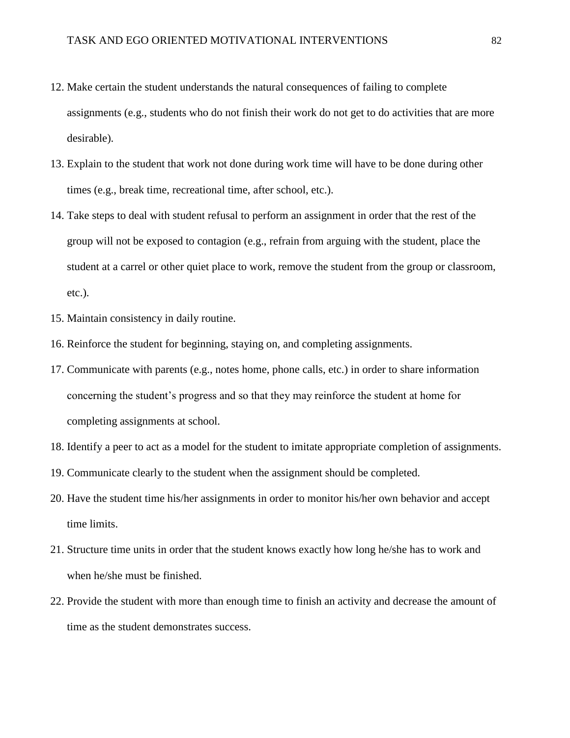- 12. Make certain the student understands the natural consequences of failing to complete assignments (e.g., students who do not finish their work do not get to do activities that are more desirable).
- 13. Explain to the student that work not done during work time will have to be done during other times (e.g., break time, recreational time, after school, etc.).
- 14. Take steps to deal with student refusal to perform an assignment in order that the rest of the group will not be exposed to contagion (e.g., refrain from arguing with the student, place the student at a carrel or other quiet place to work, remove the student from the group or classroom, etc.).
- 15. Maintain consistency in daily routine.
- 16. Reinforce the student for beginning, staying on, and completing assignments.
- 17. Communicate with parents (e.g., notes home, phone calls, etc.) in order to share information concerning the student's progress and so that they may reinforce the student at home for completing assignments at school.
- 18. Identify a peer to act as a model for the student to imitate appropriate completion of assignments.
- 19. Communicate clearly to the student when the assignment should be completed.
- 20. Have the student time his/her assignments in order to monitor his/her own behavior and accept time limits.
- 21. Structure time units in order that the student knows exactly how long he/she has to work and when he/she must be finished.
- 22. Provide the student with more than enough time to finish an activity and decrease the amount of time as the student demonstrates success.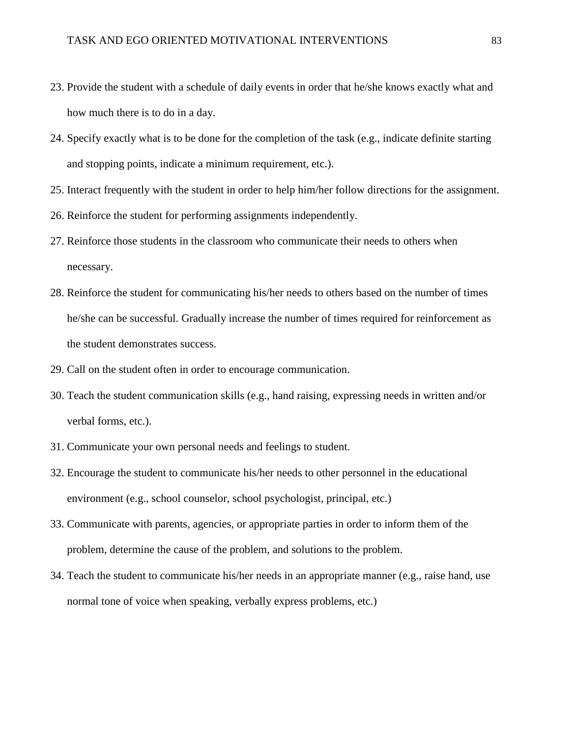- 23. Provide the student with a schedule of daily events in order that he/she knows exactly what and how much there is to do in a day.
- 24. Specify exactly what is to be done for the completion of the task (e.g., indicate definite starting and stopping points, indicate a minimum requirement, etc.).
- 25. Interact frequently with the student in order to help him/her follow directions for the assignment.
- 26. Reinforce the student for performing assignments independently.
- 27. Reinforce those students in the classroom who communicate their needs to others when necessary.
- 28. Reinforce the student for communicating his/her needs to others based on the number of times he/she can be successful. Gradually increase the number of times required for reinforcement as the student demonstrates success.
- 29. Call on the student often in order to encourage communication.
- 30. Teach the student communication skills (e.g., hand raising, expressing needs in written and/or verbal forms, etc.).
- 31. Communicate your own personal needs and feelings to student.
- 32. Encourage the student to communicate his/her needs to other personnel in the educational environment (e.g., school counselor, school psychologist, principal, etc.)
- 33. Communicate with parents, agencies, or appropriate parties in order to inform them of the problem, determine the cause of the problem, and solutions to the problem.
- 34. Teach the student to communicate his/her needs in an appropriate manner (e.g., raise hand, use normal tone of voice when speaking, verbally express problems, etc.)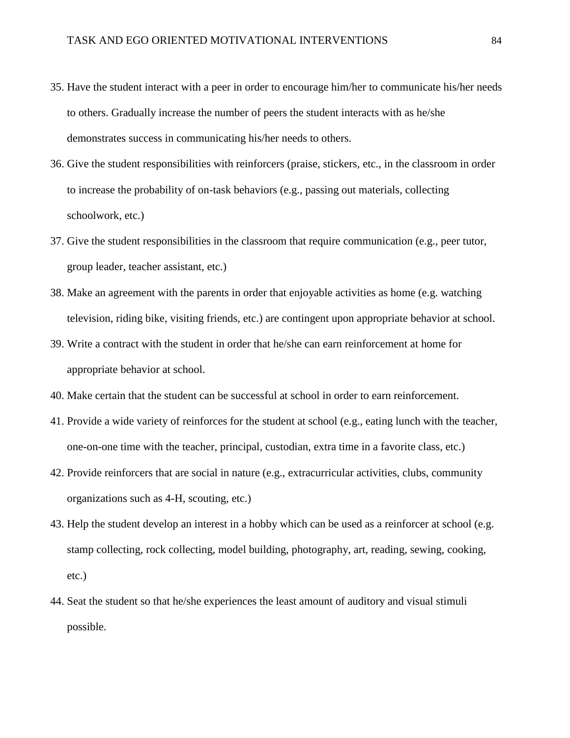- 35. Have the student interact with a peer in order to encourage him/her to communicate his/her needs to others. Gradually increase the number of peers the student interacts with as he/she demonstrates success in communicating his/her needs to others.
- 36. Give the student responsibilities with reinforcers (praise, stickers, etc., in the classroom in order to increase the probability of on-task behaviors (e.g., passing out materials, collecting schoolwork, etc.)
- 37. Give the student responsibilities in the classroom that require communication (e.g., peer tutor, group leader, teacher assistant, etc.)
- 38. Make an agreement with the parents in order that enjoyable activities as home (e.g. watching television, riding bike, visiting friends, etc.) are contingent upon appropriate behavior at school.
- 39. Write a contract with the student in order that he/she can earn reinforcement at home for appropriate behavior at school.
- 40. Make certain that the student can be successful at school in order to earn reinforcement.
- 41. Provide a wide variety of reinforces for the student at school (e.g., eating lunch with the teacher, one-on-one time with the teacher, principal, custodian, extra time in a favorite class, etc.)
- 42. Provide reinforcers that are social in nature (e.g., extracurricular activities, clubs, community organizations such as 4-H, scouting, etc.)
- 43. Help the student develop an interest in a hobby which can be used as a reinforcer at school (e.g. stamp collecting, rock collecting, model building, photography, art, reading, sewing, cooking, etc.)
- 44. Seat the student so that he/she experiences the least amount of auditory and visual stimuli possible.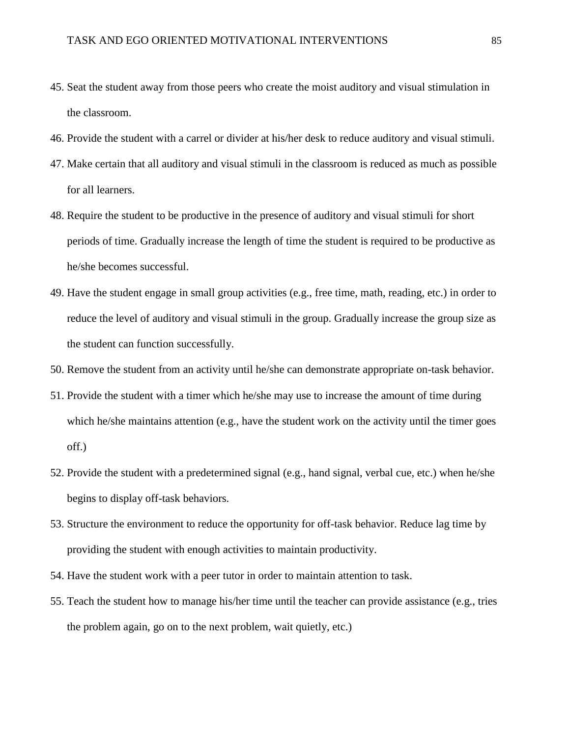- 45. Seat the student away from those peers who create the moist auditory and visual stimulation in the classroom.
- 46. Provide the student with a carrel or divider at his/her desk to reduce auditory and visual stimuli.
- 47. Make certain that all auditory and visual stimuli in the classroom is reduced as much as possible for all learners.
- 48. Require the student to be productive in the presence of auditory and visual stimuli for short periods of time. Gradually increase the length of time the student is required to be productive as he/she becomes successful.
- 49. Have the student engage in small group activities (e.g., free time, math, reading, etc.) in order to reduce the level of auditory and visual stimuli in the group. Gradually increase the group size as the student can function successfully.
- 50. Remove the student from an activity until he/she can demonstrate appropriate on-task behavior.
- 51. Provide the student with a timer which he/she may use to increase the amount of time during which he/she maintains attention (e.g., have the student work on the activity until the timer goes off.)
- 52. Provide the student with a predetermined signal (e.g., hand signal, verbal cue, etc.) when he/she begins to display off-task behaviors.
- 53. Structure the environment to reduce the opportunity for off-task behavior. Reduce lag time by providing the student with enough activities to maintain productivity.
- 54. Have the student work with a peer tutor in order to maintain attention to task.
- 55. Teach the student how to manage his/her time until the teacher can provide assistance (e.g., tries the problem again, go on to the next problem, wait quietly, etc.)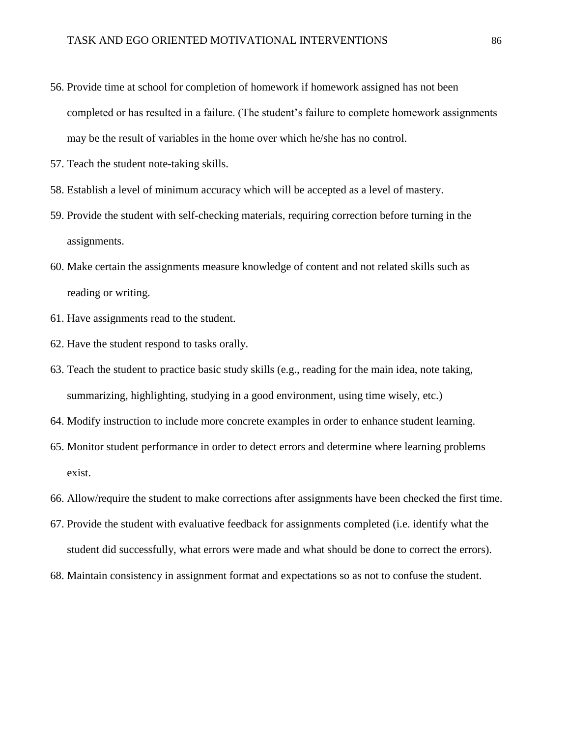- 56. Provide time at school for completion of homework if homework assigned has not been completed or has resulted in a failure. (The student's failure to complete homework assignments may be the result of variables in the home over which he/she has no control.
- 57. Teach the student note-taking skills.
- 58. Establish a level of minimum accuracy which will be accepted as a level of mastery.
- 59. Provide the student with self-checking materials, requiring correction before turning in the assignments.
- 60. Make certain the assignments measure knowledge of content and not related skills such as reading or writing.
- 61. Have assignments read to the student.
- 62. Have the student respond to tasks orally.
- 63. Teach the student to practice basic study skills (e.g., reading for the main idea, note taking, summarizing, highlighting, studying in a good environment, using time wisely, etc.)
- 64. Modify instruction to include more concrete examples in order to enhance student learning.
- 65. Monitor student performance in order to detect errors and determine where learning problems exist.
- 66. Allow/require the student to make corrections after assignments have been checked the first time.
- 67. Provide the student with evaluative feedback for assignments completed (i.e. identify what the student did successfully, what errors were made and what should be done to correct the errors).
- 68. Maintain consistency in assignment format and expectations so as not to confuse the student.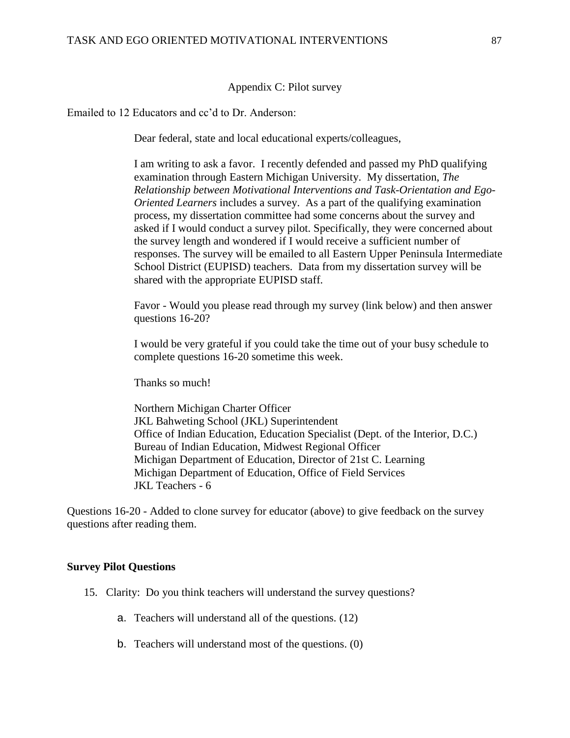#### Appendix C: Pilot survey

Emailed to 12 Educators and cc'd to Dr. Anderson:

Dear federal, state and local educational experts/colleagues,

I am writing to ask a favor. I recently defended and passed my PhD qualifying examination through Eastern Michigan University. My dissertation, *The Relationship between Motivational Interventions and Task-Orientation and Ego-Oriented Learners* includes a survey. As a part of the qualifying examination process, my dissertation committee had some concerns about the survey and asked if I would conduct a survey pilot. Specifically, they were concerned about the survey length and wondered if I would receive a sufficient number of responses. The survey will be emailed to all Eastern Upper Peninsula Intermediate School District (EUPISD) teachers. Data from my dissertation survey will be shared with the appropriate EUPISD staff.

Favor - Would you please read through my survey (link below) and then answer questions 16-20?

I would be very grateful if you could take the time out of your busy schedule to complete questions 16-20 sometime this week.

Thanks so much!

Northern Michigan Charter Officer JKL Bahweting School (JKL) Superintendent Office of Indian Education, Education Specialist (Dept. of the Interior, D.C.) Bureau of Indian Education, Midwest Regional Officer Michigan Department of Education, Director of 21st C. Learning Michigan Department of Education, Office of Field Services JKL Teachers - 6

Questions 16-20 - Added to clone survey for educator (above) to give feedback on the survey questions after reading them.

### **Survey Pilot Questions**

- 15. Clarity: Do you think teachers will understand the survey questions?
	- a. Teachers will understand all of the questions. (12)
	- b. Teachers will understand most of the questions. (0)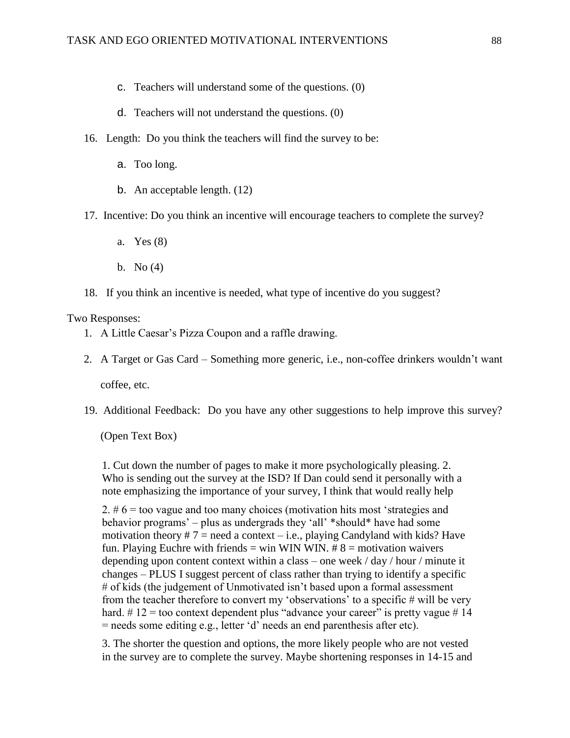- c. Teachers will understand some of the questions. (0)
- d. Teachers will not understand the questions. (0)
- 16. Length: Do you think the teachers will find the survey to be:
	- a. Too long.
	- b. An acceptable length. (12)
- 17. Incentive: Do you think an incentive will encourage teachers to complete the survey?
	- a. Yes (8)
	- b. No (4)
- 18. If you think an incentive is needed, what type of incentive do you suggest?

#### Two Responses:

- 1. A Little Caesar's Pizza Coupon and a raffle drawing.
- 2. A Target or Gas Card Something more generic, i.e., non-coffee drinkers wouldn't want

coffee, etc.

19. Additional Feedback: Do you have any other suggestions to help improve this survey?

(Open Text Box)

1. Cut down the number of pages to make it more psychologically pleasing. 2. Who is sending out the survey at the ISD? If Dan could send it personally with a note emphasizing the importance of your survey, I think that would really help

2.  $# 6 =$  too vague and too many choices (motivation hits most 'strategies and behavior programs' – plus as undergrads they 'all' \*should\* have had some motivation theory  $# 7 =$  need a context – i.e., playing Candyland with kids? Have fun. Playing Euchre with friends  $=$  win WIN WIN.  $\# 8 =$  motivation waivers depending upon content context within a class – one week / day / hour / minute it changes – PLUS I suggest percent of class rather than trying to identify a specific # of kids (the judgement of Unmotivated isn't based upon a formal assessment from the teacher therefore to convert my 'observations' to a specific # will be very hard. # 12 = too context dependent plus "advance your career" is pretty vague # 14 = needs some editing e.g., letter 'd' needs an end parenthesis after etc).

3. The shorter the question and options, the more likely people who are not vested in the survey are to complete the survey. Maybe shortening responses in 14-15 and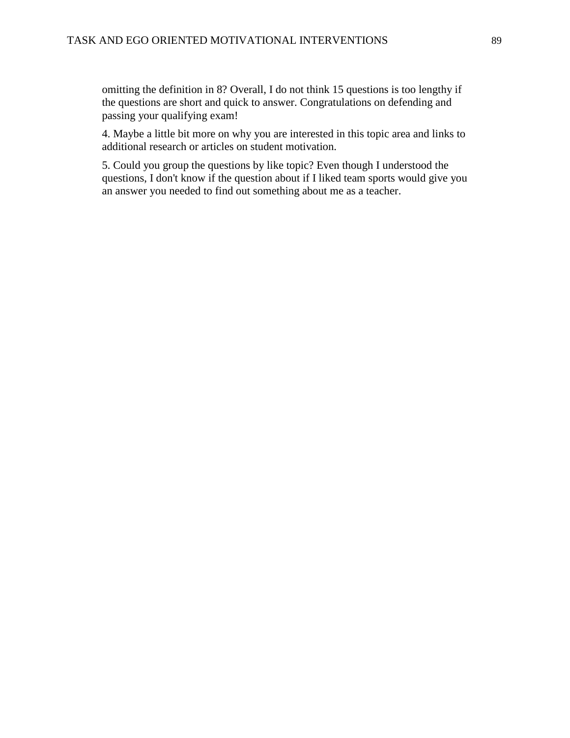omitting the definition in 8? Overall, I do not think 15 questions is too lengthy if the questions are short and quick to answer. Congratulations on defending and passing your qualifying exam!

4. Maybe a little bit more on why you are interested in this topic area and links to additional research or articles on student motivation.

5. Could you group the questions by like topic? Even though I understood the questions, I don't know if the question about if I liked team sports would give you an answer you needed to find out something about me as a teacher.